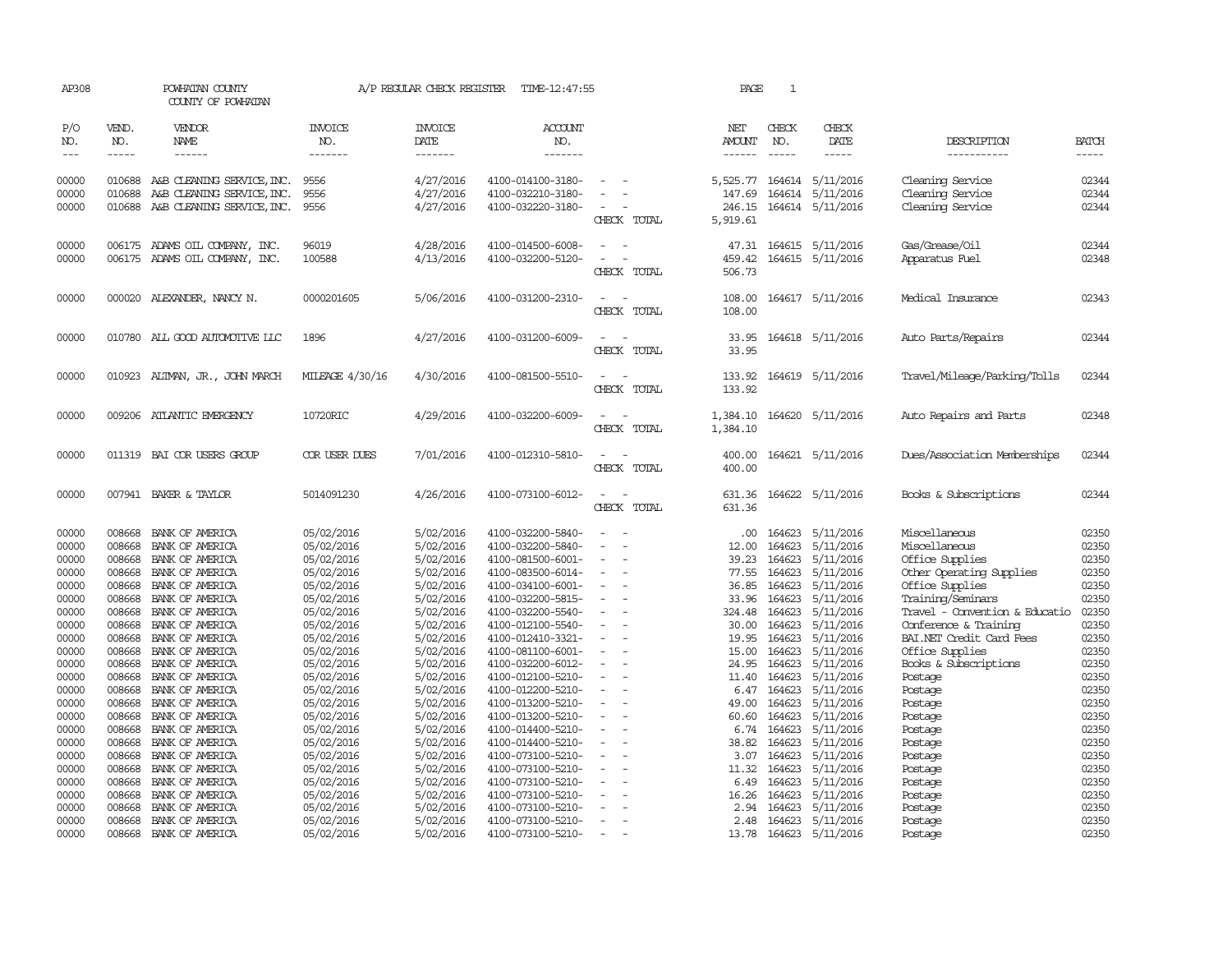| AP308                       |                             | POWHATAN COUNTY<br>COUNTY OF POWHATAN                            |                                  | A/P REGULAR CHECK REGISTER                | TIME-12:47:55                          |                          | PAGE                           | 1                             |                                            |                                      |                             |
|-----------------------------|-----------------------------|------------------------------------------------------------------|----------------------------------|-------------------------------------------|----------------------------------------|--------------------------|--------------------------------|-------------------------------|--------------------------------------------|--------------------------------------|-----------------------------|
| P/O<br>NO.<br>$\frac{1}{2}$ | VEND.<br>NO.<br>$- - - - -$ | VENDOR<br>NAME<br>------                                         | <b>INVOICE</b><br>NO.<br>------- | <b>INVOICE</b><br>DATE<br>$- - - - - - -$ | <b>ACCOUNT</b><br>NO.<br>-------       |                          | NET<br>AMOUNT<br>$- - - - - -$ | CHECK<br>NO.<br>$\frac{1}{2}$ | CHECK<br>DATE<br>-----                     | DESCRIPTION<br>-----------           | <b>BATCH</b><br>$- - - - -$ |
| 00000<br>00000              | 010688<br>010688            | A&B CLEANING SERVICE, INC.<br>A&B CLEANING SERVICE, INC.         | 9556<br>9556                     | 4/27/2016<br>4/27/2016                    | 4100-014100-3180-<br>4100-032210-3180- | $\overline{\phantom{a}}$ | 5,525.77<br>147.69             | 164614                        | 164614 5/11/2016<br>5/11/2016              | Cleaning Service<br>Cleaning Service | 02344<br>02344              |
| 00000                       | 010688                      | A&B CLEANING SERVICE, INC.                                       | 9556                             | 4/27/2016                                 | 4100-032220-3180-                      | CHECK TOTAL              | 246.15<br>5,919.61             |                               | 164614 5/11/2016                           | Cleaning Service                     | 02344                       |
| 00000<br>00000              |                             | 006175 ADAMS OIL COMPANY, INC.<br>006175 ADAMS OIL COMPANY, INC. | 96019<br>100588                  | 4/28/2016<br>4/13/2016                    | 4100-014500-6008-<br>4100-032200-5120- | CHECK TOTAL              | 459.42<br>506.73               |                               | 47.31 164615 5/11/2016<br>164615 5/11/2016 | Gas/Grease/Oil<br>Apparatus Fuel     | 02344<br>02348              |
| 00000                       |                             | 000020 ALEXANDER, NANCY N.                                       | 0000201605                       | 5/06/2016                                 | 4100-031200-2310-                      | CHECK TOTAL              | 108.00<br>108.00               |                               | 164617 5/11/2016                           | Medical Insurance                    | 02343                       |
| 00000                       |                             | 010780 ALL GOOD AUTOMOTTVE LLC                                   | 1896                             | 4/27/2016                                 | 4100-031200-6009-                      | CHECK TOTAL              | 33.95<br>33.95                 |                               | 164618 5/11/2016                           | Auto Parts/Repairs                   | 02344                       |
| 00000                       |                             | 010923 ALIMAN, JR., JOHN MARCH                                   | MILEAGE 4/30/16                  | 4/30/2016                                 | 4100-081500-5510-                      | CHECK TOTAL              | 133.92<br>133.92               |                               | 164619 5/11/2016                           | Travel/Mileage/Parking/Tolls         | 02344                       |
| 00000                       |                             | 009206 ATLANTIC EMERGENCY                                        | 10720RIC                         | 4/29/2016                                 | 4100-032200-6009-                      | CHECK TOTAL              | 1,384.10<br>1,384.10           |                               | 164620 5/11/2016                           | Auto Repairs and Parts               | 02348                       |
| 00000                       |                             | 011319 BAI COR USERS GROUP                                       | COR USER DUES                    | 7/01/2016                                 | 4100-012310-5810-                      | CHECK TOTAL              | 400.00<br>400.00               |                               | 164621 5/11/2016                           | Dues/Association Memberships         | 02344                       |
| 00000                       |                             | 007941 BAKER & TAYLOR                                            | 5014091230                       | 4/26/2016                                 | 4100-073100-6012-                      | CHECK TOTAL              | 631.36<br>631.36               |                               | 164622 5/11/2016                           | Books & Subscriptions                | 02344                       |
| 00000                       | 008668                      | BANK OF AMERICA                                                  | 05/02/2016                       | 5/02/2016                                 | 4100-032200-5840-                      |                          | .00.                           | 164623                        | 5/11/2016                                  | Miscellaneous                        | 02350                       |
| 00000                       | 008668                      | BANK OF AMERICA                                                  | 05/02/2016                       | 5/02/2016                                 | 4100-032200-5840-                      |                          | 12.00                          | 164623                        | 5/11/2016                                  | Miscellaneous                        | 02350                       |
| 00000                       | 008668                      | BANK OF AMERICA                                                  | 05/02/2016                       | 5/02/2016                                 | 4100-081500-6001-                      |                          | 39.23                          | 164623                        | 5/11/2016                                  | Office Supplies                      | 02350                       |
| 00000                       | 008668                      | BANK OF AMERICA                                                  | 05/02/2016                       | 5/02/2016                                 | 4100-083500-6014-                      |                          | 77.55                          | 164623                        | 5/11/2016                                  | Other Operating Supplies             | 02350                       |
| 00000                       | 008668                      | BANK OF AMERICA                                                  | 05/02/2016                       | 5/02/2016                                 | 4100-034100-6001-                      |                          | 36.85                          | 164623                        | 5/11/2016                                  | Office Supplies                      | 02350                       |
| 00000                       | 008668                      | BANK OF AMERICA                                                  | 05/02/2016                       | 5/02/2016                                 | 4100-032200-5815-                      |                          | 33.96                          | 164623                        | 5/11/2016                                  | Training/Seminars                    | 02350                       |
| 00000                       | 008668                      | BANK OF AMERICA                                                  | 05/02/2016                       | 5/02/2016                                 | 4100-032200-5540-                      |                          | 324.48                         | 164623                        | 5/11/2016                                  | Travel - Convention & Educatio       | 02350                       |
| 00000                       | 008668                      | BANK OF AMERICA                                                  | 05/02/2016                       | 5/02/2016                                 | 4100-012100-5540-                      |                          | 30.00                          | 164623                        | 5/11/2016                                  | Conference & Training                | 02350                       |
| 00000                       | 008668                      | BANK OF AMERICA                                                  | 05/02/2016                       | 5/02/2016                                 | 4100-012410-3321-                      |                          | 19.95                          | 164623                        | 5/11/2016                                  | BAI.NET Credit Card Fees             | 02350<br>02350              |
| 00000                       | 008668                      | BANK OF AMERICA                                                  | 05/02/2016                       | 5/02/2016                                 | 4100-081100-6001-                      |                          | 15.00                          | 164623                        | 5/11/2016<br>5/11/2016                     | Office Supplies                      | 02350                       |
| 00000<br>00000              | 008668<br>008668            | BANK OF AMERICA<br>BANK OF AMERICA                               | 05/02/2016<br>05/02/2016         | 5/02/2016<br>5/02/2016                    | 4100-032200-6012-<br>4100-012100-5210- |                          | 24.95<br>11.40                 | 164623<br>164623              | 5/11/2016                                  | Books & Subscriptions<br>Postage     | 02350                       |
| 00000                       | 008668                      | BANK OF AMERICA                                                  | 05/02/2016                       | 5/02/2016                                 | 4100-012200-5210-                      |                          | 6.47                           | 164623                        | 5/11/2016                                  | Postage                              | 02350                       |
| 00000                       | 008668                      | BANK OF AMERICA                                                  | 05/02/2016                       | 5/02/2016                                 | 4100-013200-5210-                      |                          | 49.00                          | 164623                        | 5/11/2016                                  | Postage                              | 02350                       |
| 00000                       | 008668                      | BANK OF AMERICA                                                  | 05/02/2016                       | 5/02/2016                                 | 4100-013200-5210-                      |                          | 60.60                          | 164623                        | 5/11/2016                                  | Postage                              | 02350                       |
| 00000                       | 008668                      | BANK OF AMERICA                                                  | 05/02/2016                       | 5/02/2016                                 | 4100-014400-5210-                      |                          | 6.74                           | 164623                        | 5/11/2016                                  | Postage                              | 02350                       |
| 00000                       | 008668                      | BANK OF AMERICA                                                  | 05/02/2016                       | 5/02/2016                                 | 4100-014400-5210-                      |                          | 38.82                          | 164623                        | 5/11/2016                                  | Postage                              | 02350                       |
| 00000                       | 008668                      | BANK OF AMERICA                                                  | 05/02/2016                       | 5/02/2016                                 | 4100-073100-5210-                      |                          | 3.07                           | 164623                        | 5/11/2016                                  | Postage                              | 02350                       |
| 00000                       | 008668                      | BANK OF AMERICA                                                  | 05/02/2016                       | 5/02/2016                                 | 4100-073100-5210-                      |                          | 11.32                          | 164623                        | 5/11/2016                                  | Postage                              | 02350                       |
| 00000                       | 008668                      | BANK OF AMERICA                                                  | 05/02/2016                       | 5/02/2016                                 | 4100-073100-5210-                      |                          | 6.49                           | 164623                        | 5/11/2016                                  | Postage                              | 02350                       |
| 00000                       | 008668                      | BANK OF AMERICA                                                  | 05/02/2016                       | 5/02/2016                                 | 4100-073100-5210-                      |                          | 16.26                          | 164623                        | 5/11/2016                                  | Postage                              | 02350                       |
| 00000                       | 008668                      | BANK OF AMERICA                                                  | 05/02/2016                       | 5/02/2016                                 | 4100-073100-5210-                      |                          | 2.94                           | 164623                        | 5/11/2016                                  | Postage                              | 02350                       |
| 00000                       | 008668                      | BANK OF AMERICA                                                  | 05/02/2016                       | 5/02/2016                                 | 4100-073100-5210-                      |                          | 2.48                           | 164623                        | 5/11/2016                                  | Postage                              | 02350                       |
| 00000                       | 008668                      | BANK OF AMERICA                                                  | 05/02/2016                       | 5/02/2016                                 | 4100-073100-5210-                      |                          | 13.78                          |                               | 164623 5/11/2016                           | Postage                              | 02350                       |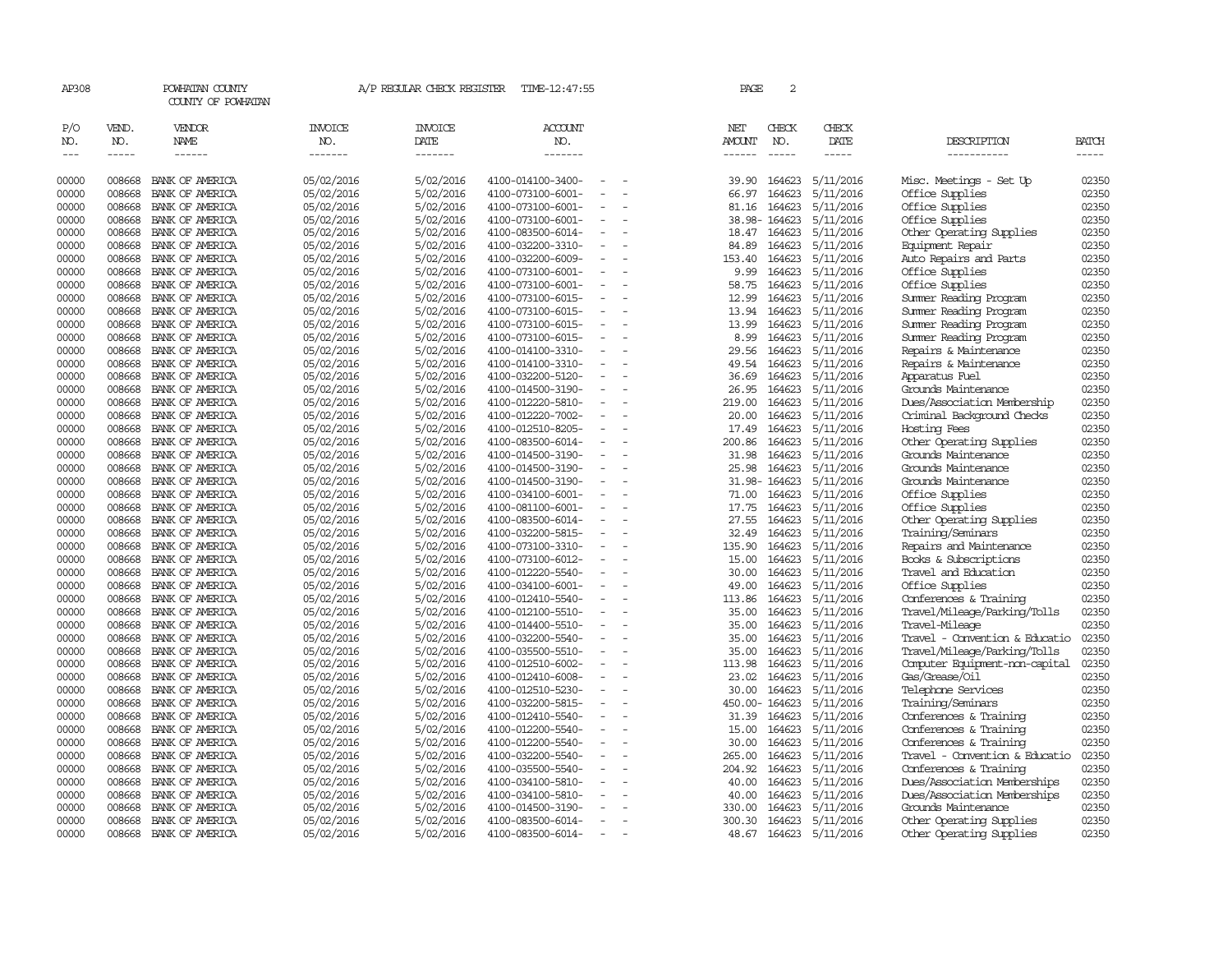| AP308                       |                       | POWHATAN COUNTY<br>COUNTY OF POWHATAN  |                                  | A/P REGULAR CHECK REGISTER               | TIME-12:47:55             |                          | PAGE                           | $\overline{a}$ |                        |                                |                       |
|-----------------------------|-----------------------|----------------------------------------|----------------------------------|------------------------------------------|---------------------------|--------------------------|--------------------------------|----------------|------------------------|--------------------------------|-----------------------|
| P/O<br>NO.<br>$\frac{1}{2}$ | VEND.<br>NO.<br>----- | VENDOR<br><b>NAME</b><br>$- - - - - -$ | <b>INVOICE</b><br>NO.<br>------- | <b>INVOICE</b><br><b>DATE</b><br>------- | ACCOUNT<br>NO.<br>------- |                          | NET<br>AMOUNT<br>$- - - - - -$ | CHECK<br>NO.   | CHECK<br>DATE<br>----- | DESCRIPTION<br>-----------     | <b>BATCH</b><br>----- |
| 00000                       | 008668                | BANK OF AMERICA                        | 05/02/2016                       | 5/02/2016                                | 4100-014100-3400-         |                          | 39.90                          | 164623         | 5/11/2016              | Misc. Meetings - Set Up        | 02350                 |
| 00000                       | 008668                | BANK OF AMERICA                        | 05/02/2016                       | 5/02/2016                                | 4100-073100-6001-         |                          | 66.97                          | 164623         | 5/11/2016              | Office Supplies                | 02350                 |
| 00000                       | 008668                | BANK OF AMERICA                        | 05/02/2016                       | 5/02/2016                                | 4100-073100-6001-         | $\overline{\phantom{a}}$ | 81.16                          | 164623         | 5/11/2016              | Office Supplies                | 02350                 |
| 00000                       | 008668                | BANK OF AMERICA                        | 05/02/2016                       | 5/02/2016                                | 4100-073100-6001-         | $\sim$                   |                                | 38.98-164623   | 5/11/2016              | Office Supplies                | 02350                 |
| 00000                       | 008668                | BANK OF AMERICA                        | 05/02/2016                       | 5/02/2016                                | 4100-083500-6014-         |                          | 18.47                          | 164623         | 5/11/2016              | Other Operating Supplies       | 02350                 |
| 00000                       | 008668                | BANK OF AMERICA                        | 05/02/2016                       | 5/02/2016                                | 4100-032200-3310-         |                          | 84.89                          | 164623         | 5/11/2016              | Equipment Repair               | 02350                 |
| 00000                       | 008668                | BANK OF AMERICA                        | 05/02/2016                       | 5/02/2016                                | 4100-032200-6009-         | $\equiv$                 | 153.40                         | 164623         | 5/11/2016              | Auto Repairs and Parts         | 02350                 |
| 00000                       | 008668                | BANK OF AMERICA                        | 05/02/2016                       | 5/02/2016                                | 4100-073100-6001-         |                          | 9.99                           | 164623         | 5/11/2016              | Office Supplies                | 02350                 |
| 00000                       | 008668                | BANK OF AMERICA                        | 05/02/2016                       | 5/02/2016                                | 4100-073100-6001-         |                          | 58.75                          | 164623         | 5/11/2016              | Office Supplies                | 02350                 |
| 00000                       | 008668                | BANK OF AMERICA                        | 05/02/2016                       | 5/02/2016                                | 4100-073100-6015-         | $\equiv$                 | 12.99                          | 164623         | 5/11/2016              | Summer Reading Program         | 02350                 |
| 00000                       | 008668                | BANK OF AMERICA                        | 05/02/2016                       | 5/02/2016                                | 4100-073100-6015-         |                          | 13.94                          | 164623         | 5/11/2016              | Summer Reading Program         | 02350                 |
| 00000                       | 008668                | BANK OF AMERICA                        | 05/02/2016                       | 5/02/2016                                | 4100-073100-6015-         | $\equiv$                 | 13.99                          | 164623         | 5/11/2016              | Summer Reading Program         | 02350                 |
| 00000                       | 008668                | BANK OF AMERICA                        | 05/02/2016                       | 5/02/2016                                | 4100-073100-6015-         |                          | 8.99                           | 164623         | 5/11/2016              | Summer Reading Program         | 02350                 |
| 00000                       | 008668                | BANK OF AMERICA                        | 05/02/2016                       | 5/02/2016                                | 4100-014100-3310-         | $\overline{\phantom{a}}$ | 29.56                          | 164623         | 5/11/2016              | Repairs & Maintenance          | 02350                 |
| 00000                       | 008668                | BANK OF AMERICA                        | 05/02/2016                       | 5/02/2016                                | 4100-014100-3310-         |                          | 49.54                          | 164623         | 5/11/2016              | Repairs & Maintenance          | 02350                 |
| 00000                       | 008668                | BANK OF AMERICA                        | 05/02/2016                       | 5/02/2016                                | 4100-032200-5120-         |                          | 36.69                          | 164623         | 5/11/2016              | Apparatus Fuel                 | 02350                 |
| 00000                       | 008668                | BANK OF AMERICA                        | 05/02/2016                       | 5/02/2016                                | 4100-014500-3190-         | $\overline{\phantom{a}}$ | 26.95                          | 164623         | 5/11/2016              | Grounds Maintenance            | 02350                 |
| 00000                       | 008668                | BANK OF AMERICA                        | 05/02/2016                       | 5/02/2016                                | 4100-012220-5810-         |                          | 219.00                         | 164623         | 5/11/2016              | Dues/Association Membership    | 02350                 |
| 00000                       | 008668                | BANK OF AMERICA                        | 05/02/2016                       | 5/02/2016                                | 4100-012220-7002-         | $\sim$                   | 20.00                          | 164623         | 5/11/2016              | Criminal Background Checks     | 02350                 |
| 00000                       | 008668                | BANK OF AMERICA                        | 05/02/2016                       | 5/02/2016                                | 4100-012510-8205-         |                          | 17.49                          | 164623         | 5/11/2016              | Hosting Fees                   | 02350                 |
| 00000                       | 008668                | BANK OF AMERICA                        | 05/02/2016                       | 5/02/2016                                | 4100-083500-6014-         | $\equiv$                 | 200.86                         | 164623         | 5/11/2016              | Other Operating Supplies       | 02350                 |
| 00000                       | 008668                | BANK OF AMERICA                        | 05/02/2016                       | 5/02/2016                                | 4100-014500-3190-         |                          | 31.98                          | 164623         | 5/11/2016              | Grounds Maintenance            | 02350                 |
| 00000                       | 008668                | BANK OF AMERICA                        | 05/02/2016                       | 5/02/2016                                | 4100-014500-3190-         |                          | 25.98                          | 164623         | 5/11/2016              | Grounds Maintenance            | 02350                 |
| 00000                       | 008668                | BANK OF AMERICA                        | 05/02/2016                       | 5/02/2016                                | 4100-014500-3190-         | $\sim$                   |                                | 31.98-164623   | 5/11/2016              | Grounds Maintenance            | 02350                 |
| 00000                       | 008668                | BANK OF AMERICA                        | 05/02/2016                       | 5/02/2016                                | 4100-034100-6001-         |                          | 71.00                          | 164623         | 5/11/2016              | Office Supplies                | 02350                 |
| 00000                       | 008668                | BANK OF AMERICA                        | 05/02/2016                       | 5/02/2016                                | 4100-081100-6001-         | $\equiv$                 | 17.75                          | 164623         | 5/11/2016              | Office Supplies                | 02350                 |
| 00000                       | 008668                | BANK OF AMERICA                        | 05/02/2016                       | 5/02/2016                                | 4100-083500-6014-         |                          | 27.55                          | 164623         | 5/11/2016              | Other Operating Supplies       | 02350                 |
| 00000                       | 008668                | BANK OF AMERICA                        | 05/02/2016                       | 5/02/2016                                | 4100-032200-5815-         | $\equiv$                 | 32.49                          | 164623         | 5/11/2016              | Training/Seminars              | 02350                 |
| 00000                       | 008668                | BANK OF AMERICA                        | 05/02/2016                       | 5/02/2016                                | 4100-073100-3310-         | $\equiv$                 | 135.90                         | 164623         | 5/11/2016              | Repairs and Maintenance        | 02350                 |
| 00000                       | 008668                | BANK OF AMERICA                        | 05/02/2016                       | 5/02/2016                                | 4100-073100-6012-         |                          | 15.00                          | 164623         | 5/11/2016              | Books & Subscriptions          | 02350                 |
| 00000                       | 008668                | BANK OF AMERICA                        | 05/02/2016                       | 5/02/2016                                | 4100-012220-5540-         |                          | 30.00                          | 164623         | 5/11/2016              | Travel and Education           | 02350                 |
| 00000                       | 008668                | BANK OF AMERICA                        | 05/02/2016                       | 5/02/2016                                | 4100-034100-6001-         |                          | 49.00                          | 164623         | 5/11/2016              | Office Supplies                | 02350                 |
| 00000                       | 008668                | BANK OF AMERICA                        | 05/02/2016                       | 5/02/2016                                | 4100-012410-5540-         | $\sim$                   | 113.86                         | 164623         | 5/11/2016              | Conferences & Training         | 02350                 |
| 00000                       | 008668                | BANK OF AMERICA                        | 05/02/2016                       | 5/02/2016                                | 4100-012100-5510-         | $\blacksquare$           | 35.00                          | 164623         | 5/11/2016              | Travel/Mileage/Parking/Tolls   | 02350                 |
| 00000                       | 008668                | BANK OF AMERICA                        | 05/02/2016                       | 5/02/2016                                | 4100-014400-5510-         | $\overline{\phantom{a}}$ | 35.00                          | 164623         | 5/11/2016              | Travel-Mileage                 | 02350                 |
| 00000                       | 008668                | BANK OF AMERICA                        | 05/02/2016                       | 5/02/2016                                | 4100-032200-5540-         | $\equiv$                 | 35.00                          | 164623         | 5/11/2016              | Travel - Convention & Educatio | 02350                 |
| 00000                       | 008668                | BANK OF AMERICA                        | 05/02/2016                       | 5/02/2016                                | 4100-035500-5510-         |                          | 35.00                          | 164623         | 5/11/2016              | Travel/Mileage/Parking/Tolls   | 02350                 |
| 00000                       | 008668                | BANK OF AMERICA                        | 05/02/2016                       | 5/02/2016                                | 4100-012510-6002-         | $\equiv$                 | 113.98                         | 164623         | 5/11/2016              | Computer Equipment-non-capital | 02350                 |
| 00000                       | 008668                | BANK OF AMERICA                        | 05/02/2016                       | 5/02/2016                                | 4100-012410-6008-         | $\sim$                   | 23.02                          | 164623         | 5/11/2016              | Gas/Grease/Oil                 | 02350                 |
| 00000                       | 008668                | BANK OF AMERICA                        | 05/02/2016                       | 5/02/2016                                | 4100-012510-5230-         | $\overline{\phantom{a}}$ | 30.00                          | 164623         | 5/11/2016              | Telephone Services             | 02350                 |
| 00000                       | 008668                | BANK OF AMERICA                        | 05/02/2016                       | 5/02/2016                                | 4100-032200-5815-         |                          |                                | 450.00-164623  | 5/11/2016              | Training/Seminars              | 02350                 |
| 00000                       | 008668                | BANK OF AMERICA                        | 05/02/2016                       | 5/02/2016                                | 4100-012410-5540-         | $\equiv$                 | 31.39                          | 164623         | 5/11/2016              | Conferences & Training         | 02350                 |
| 00000                       | 008668                | BANK OF AMERICA                        | 05/02/2016                       | 5/02/2016                                | 4100-012200-5540-         | $\sim$                   | 15.00                          | 164623         | 5/11/2016              | Conferences & Training         | 02350                 |
| 00000                       | 008668                | BANK OF AMERICA                        | 05/02/2016                       | 5/02/2016                                | 4100-012200-5540-         |                          | 30.00                          | 164623         | 5/11/2016              | Conferences & Training         | 02350                 |
| 00000                       | 008668                | BANK OF AMERICA                        | 05/02/2016                       | 5/02/2016                                | 4100-032200-5540-         | $\sim$                   | 265.00                         | 164623         | 5/11/2016              | Travel - Convention & Educatio | 02350                 |
| 00000                       | 008668                | BANK OF AMERICA                        | 05/02/2016                       | 5/02/2016                                | 4100-035500-5540-         |                          | 204.92                         | 164623         | 5/11/2016              | Conferences & Training         | 02350                 |
| 00000                       | 008668                | BANK OF AMERICA                        | 05/02/2016                       | 5/02/2016                                | 4100-034100-5810-         |                          | 40.00                          | 164623         | 5/11/2016              | Dues/Association Memberships   | 02350                 |
| 00000                       | 008668                | BANK OF AMERICA                        | 05/02/2016                       | 5/02/2016                                | 4100-034100-5810-         |                          | 40.00                          | 164623         | 5/11/2016              | Dues/Association Memberships   | 02350                 |
| 00000                       | 008668                | BANK OF AMERICA                        | 05/02/2016                       | 5/02/2016                                | 4100-014500-3190-         | $\sim$                   | 330.00                         | 164623         | 5/11/2016              | Grounds Maintenance            | 02350                 |
| 00000                       | 008668                | BANK OF AMERICA                        | 05/02/2016                       | 5/02/2016                                | 4100-083500-6014-         | $\equiv$                 | 300.30                         | 164623         | 5/11/2016              | Other Operating Supplies       | 02350                 |
| 00000                       | 008668                | BANK OF AMERICA                        | 05/02/2016                       | 5/02/2016                                | 4100-083500-6014-         | $\equiv$                 | 48.67                          |                | 164623 5/11/2016       | Other Operating Supplies       | 02350                 |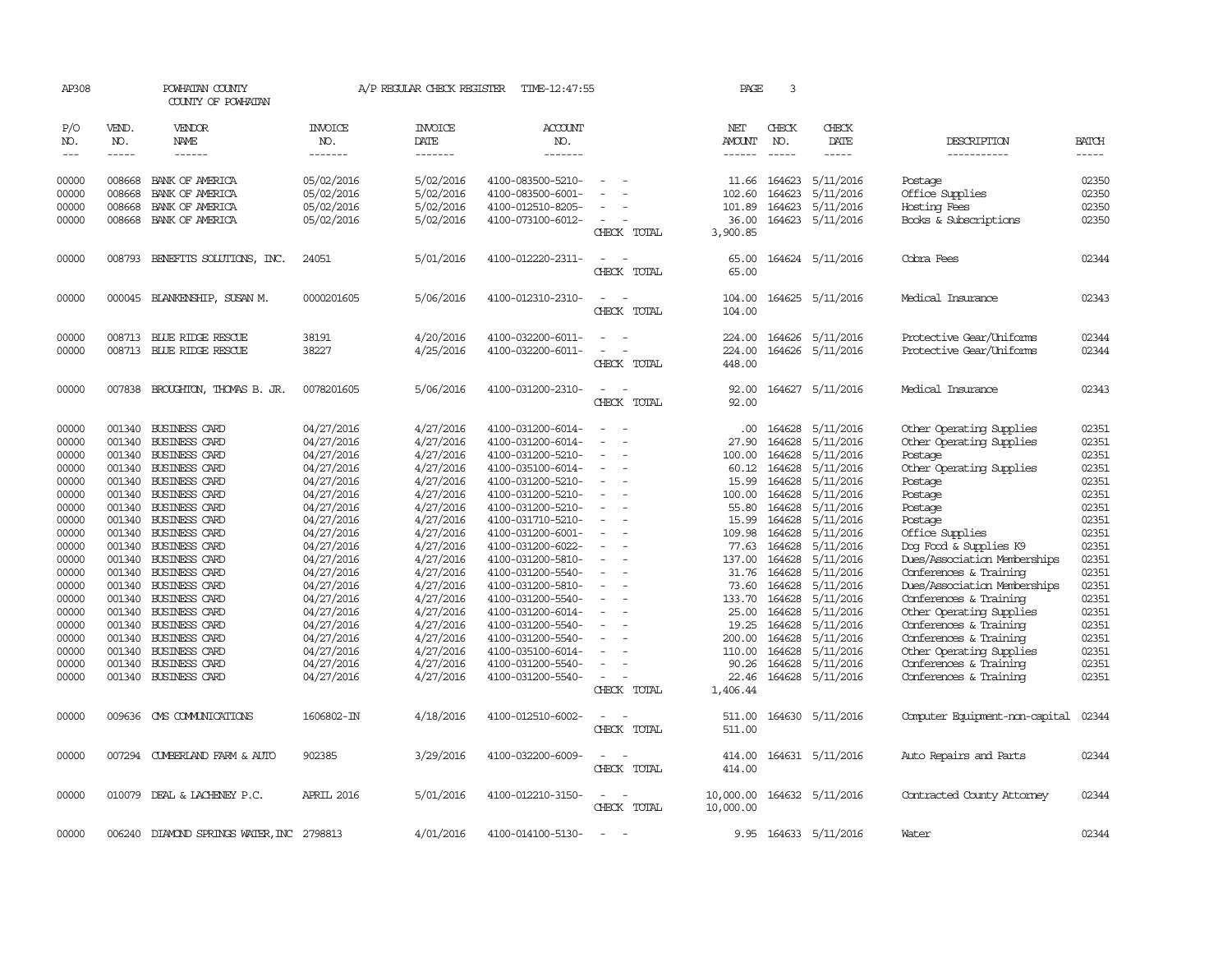| AP308                       |                             | POWHATAN COUNTY<br>COUNTY OF POWHATAN        |                                  | A/P REGULAR CHECK REGISTER        | TIME-12:47:55                          |                            | PAGE                           | 3                             |                        |                                                        |                |
|-----------------------------|-----------------------------|----------------------------------------------|----------------------------------|-----------------------------------|----------------------------------------|----------------------------|--------------------------------|-------------------------------|------------------------|--------------------------------------------------------|----------------|
| P/O<br>NO.<br>$\frac{1}{2}$ | VEND.<br>NO.<br>$- - - - -$ | VENDOR<br>NAME<br>$- - - - - -$              | <b>INVOICE</b><br>NO.<br>------- | <b>INVOICE</b><br>DATE<br>------- | <b>ACCOUNT</b><br>NO.<br>-------       |                            | NET<br>AMOUNT<br>$- - - - - -$ | CHECK<br>NO.<br>$\frac{1}{2}$ | CHECK<br>DATE<br>----- | DESCRIPTION<br>-----------                             | BATCH<br>----- |
| 00000                       |                             | 008668 BANK OF AMERICA                       | 05/02/2016                       | 5/02/2016                         | 4100-083500-5210-                      |                            | 11.66                          | 164623                        | 5/11/2016              | Postage                                                | 02350          |
| 00000                       | 008668                      | BANK OF AMERICA                              | 05/02/2016                       | 5/02/2016                         | 4100-083500-6001-                      |                            | 102.60                         | 164623                        | 5/11/2016              | Office Supplies                                        | 02350          |
| 00000                       | 008668                      | BANK OF AMERICA                              | 05/02/2016                       | 5/02/2016                         | 4100-012510-8205-                      |                            | 101.89                         | 164623                        | 5/11/2016              | Hosting Fees                                           | 02350          |
| 00000                       |                             | 008668 BANK OF AMERICA                       | 05/02/2016                       | 5/02/2016                         | 4100-073100-6012-                      |                            | 36.00                          |                               | 164623 5/11/2016       | Books & Subscriptions                                  | 02350          |
|                             |                             |                                              |                                  |                                   |                                        | CHECK TOTAL                | 3,900.85                       |                               |                        |                                                        |                |
| 00000                       |                             | 008793 BENEFITS SOLUTIONS, INC.              | 24051                            | 5/01/2016                         | 4100-012220-2311-                      | $\equiv$<br>CHECK<br>TOTAL | 65.00<br>65.00                 |                               | 164624 5/11/2016       | Cobra Fees                                             | 02344          |
| 00000                       |                             | 000045 BLANKENSHIP, SUSAN M.                 | 0000201605                       | 5/06/2016                         | 4100-012310-2310-                      | $\equiv$<br>CHECK TOTAL    | 104.00<br>104.00               |                               | 164625 5/11/2016       | Medical Insurance                                      | 02343          |
| 00000                       |                             | 008713 BLUE RIDGE RESCUE                     | 38191                            | 4/20/2016                         | 4100-032200-6011-                      |                            | 224.00                         |                               | 164626 5/11/2016       | Protective Gear/Uniforms                               | 02344          |
| 00000                       |                             | 008713 BLUE RIDGE RESCUE                     | 38227                            | 4/25/2016                         | 4100-032200-6011-                      |                            | 224.00                         |                               | 164626 5/11/2016       | Protective Gear/Uniforms                               | 02344          |
|                             |                             |                                              |                                  |                                   |                                        | CHECK TOTAL                | 448.00                         |                               |                        |                                                        |                |
| 00000                       |                             | 007838 BROUGHTON, THOMAS B. JR.              | 0078201605                       | 5/06/2016                         | 4100-031200-2310-                      |                            | 92.00                          |                               | 164627 5/11/2016       | Medical Insurance                                      | 02343          |
|                             |                             |                                              |                                  |                                   |                                        | CHECK TOTAL                | 92.00                          |                               |                        |                                                        |                |
| 00000                       | 001340                      | <b>BUSINESS CARD</b>                         | 04/27/2016                       | 4/27/2016                         | 4100-031200-6014-                      |                            | .00.                           | 164628                        | 5/11/2016              | Other Operating Supplies                               | 02351          |
| 00000                       | 001340                      | <b>BUSINESS CARD</b>                         | 04/27/2016                       | 4/27/2016                         | 4100-031200-6014-                      | $\sim$                     | 27.90                          | 164628                        | 5/11/2016              | Other Operating Supplies                               | 02351          |
| 00000                       | 001340                      | <b>BUSINESS CARD</b>                         | 04/27/2016                       | 4/27/2016                         | 4100-031200-5210-                      |                            | 100.00                         | 164628                        | 5/11/2016              | Postage                                                | 02351          |
| 00000                       | 001340                      | <b>BUSINESS CARD</b>                         | 04/27/2016                       | 4/27/2016                         | 4100-035100-6014-                      |                            | 60.12                          | 164628                        | 5/11/2016              | Other Operating Supplies                               | 02351          |
| 00000                       |                             | 001340 BUSINESS CARD                         | 04/27/2016                       | 4/27/2016                         | 4100-031200-5210-                      | $\equiv$                   | 15.99                          | 164628                        | 5/11/2016              | Postage                                                | 02351          |
| 00000                       |                             | 001340 BUSINESS CARD                         | 04/27/2016                       | 4/27/2016                         | 4100-031200-5210-                      |                            | 100.00                         | 164628                        | 5/11/2016              | Postage                                                | 02351          |
| 00000                       | 001340                      | BUSINESS CARD                                | 04/27/2016                       | 4/27/2016                         | 4100-031200-5210-                      |                            | 55.80                          | 164628                        | 5/11/2016              | Postage                                                | 02351          |
| 00000                       | 001340                      | <b>BUSINESS CARD</b>                         | 04/27/2016                       | 4/27/2016                         | 4100-031710-5210-                      |                            | 15.99                          | 164628                        | 5/11/2016              | Postage                                                | 02351          |
| 00000                       | 001340                      | BUSINESS CARD                                | 04/27/2016                       | 4/27/2016                         | 4100-031200-6001-                      |                            | 109.98                         | 164628                        | 5/11/2016              | Office Supplies                                        | 02351          |
| 00000                       | 001340                      | BUSINESS CARD                                | 04/27/2016                       | 4/27/2016                         | 4100-031200-6022-                      |                            | 77.63                          | 164628                        | 5/11/2016              | Dog Food & Supplies K9                                 | 02351          |
| 00000                       |                             | 001340 BUSINESS CARD                         | 04/27/2016                       | 4/27/2016                         | 4100-031200-5810-                      |                            | 137.00                         | 164628                        | 5/11/2016              | Dues/Association Memberships                           | 02351<br>02351 |
| 00000<br>00000              | 001340                      | 001340 BUSINESS CARD<br><b>BUSINESS CARD</b> | 04/27/2016<br>04/27/2016         | 4/27/2016<br>4/27/2016            | 4100-031200-5540-<br>4100-031200-5810- |                            | 31.76                          | 164628<br>164628              | 5/11/2016<br>5/11/2016 | Conferences & Training<br>Dues/Association Memberships | 02351          |
| 00000                       | 001340                      | <b>BUSINESS CARD</b>                         | 04/27/2016                       | 4/27/2016                         | 4100-031200-5540-                      |                            | 73.60<br>133.70                | 164628                        | 5/11/2016              | Conferences & Training                                 | 02351          |
| 00000                       | 001340                      | <b>BUSINESS CARD</b>                         | 04/27/2016                       | 4/27/2016                         | 4100-031200-6014-                      |                            | 25.00                          | 164628                        | 5/11/2016              | Other Operating Supplies                               | 02351          |
| 00000                       | 001340                      | BUSINESS CARD                                | 04/27/2016                       | 4/27/2016                         | 4100-031200-5540-                      |                            | 19.25                          | 164628                        | 5/11/2016              | Conferences & Training                                 | 02351          |
| 00000                       | 001340                      | <b>BUSINESS CARD</b>                         | 04/27/2016                       | 4/27/2016                         | 4100-031200-5540-                      |                            | 200.00                         | 164628                        | 5/11/2016              | Conferences & Training                                 | 02351          |
| 00000                       | 001340                      | <b>BUSINESS CARD</b>                         | 04/27/2016                       | 4/27/2016                         | 4100-035100-6014-                      |                            | 110.00                         | 164628                        | 5/11/2016              | Other Operating Supplies                               | 02351          |
| 00000                       | 001340                      | <b>BUSINESS CARD</b>                         | 04/27/2016                       | 4/27/2016                         | 4100-031200-5540-                      |                            | 90.26                          | 164628                        | 5/11/2016              | Conferences & Training                                 | 02351          |
| 00000                       | 001340                      | <b>BUSINESS CARD</b>                         | 04/27/2016                       | 4/27/2016                         | 4100-031200-5540-                      |                            | 22.46                          | 164628                        | 5/11/2016              | Conferences & Training                                 | 02351          |
|                             |                             |                                              |                                  |                                   |                                        | CHECK TOTAL                | 1,406.44                       |                               |                        |                                                        |                |
| 00000                       |                             | 009636 CMS COMMUNICATIONS                    | 1606802-IN                       | 4/18/2016                         | 4100-012510-6002-                      | CHECK TOTAL                | 511.00<br>511.00               |                               | 164630 5/11/2016       | Computer Equipment-non-capital                         | 02344          |
| 00000                       |                             | 007294 CUMBERLAND FARM & AUTO                | 902385                           | 3/29/2016                         | 4100-032200-6009-                      | CHECK TOTAL                | 414.00<br>414.00               |                               | 164631 5/11/2016       | Auto Repairs and Parts                                 | 02344          |
| 00000                       |                             | 010079 DEAL & LACHENEY P.C.                  | APRIL 2016                       | 5/01/2016                         | 4100-012210-3150-                      | CHECK TOTAL                | 10,000.00<br>10,000.00         |                               | 164632 5/11/2016       | Contracted County Attomey                              | 02344          |
| 00000                       |                             | 006240 DIAMOND SPRINGS WATER, INC 2798813    |                                  | 4/01/2016                         | 4100-014100-5130-                      | $\sim$                     | 9.95                           |                               | 164633 5/11/2016       | Water                                                  | 02344          |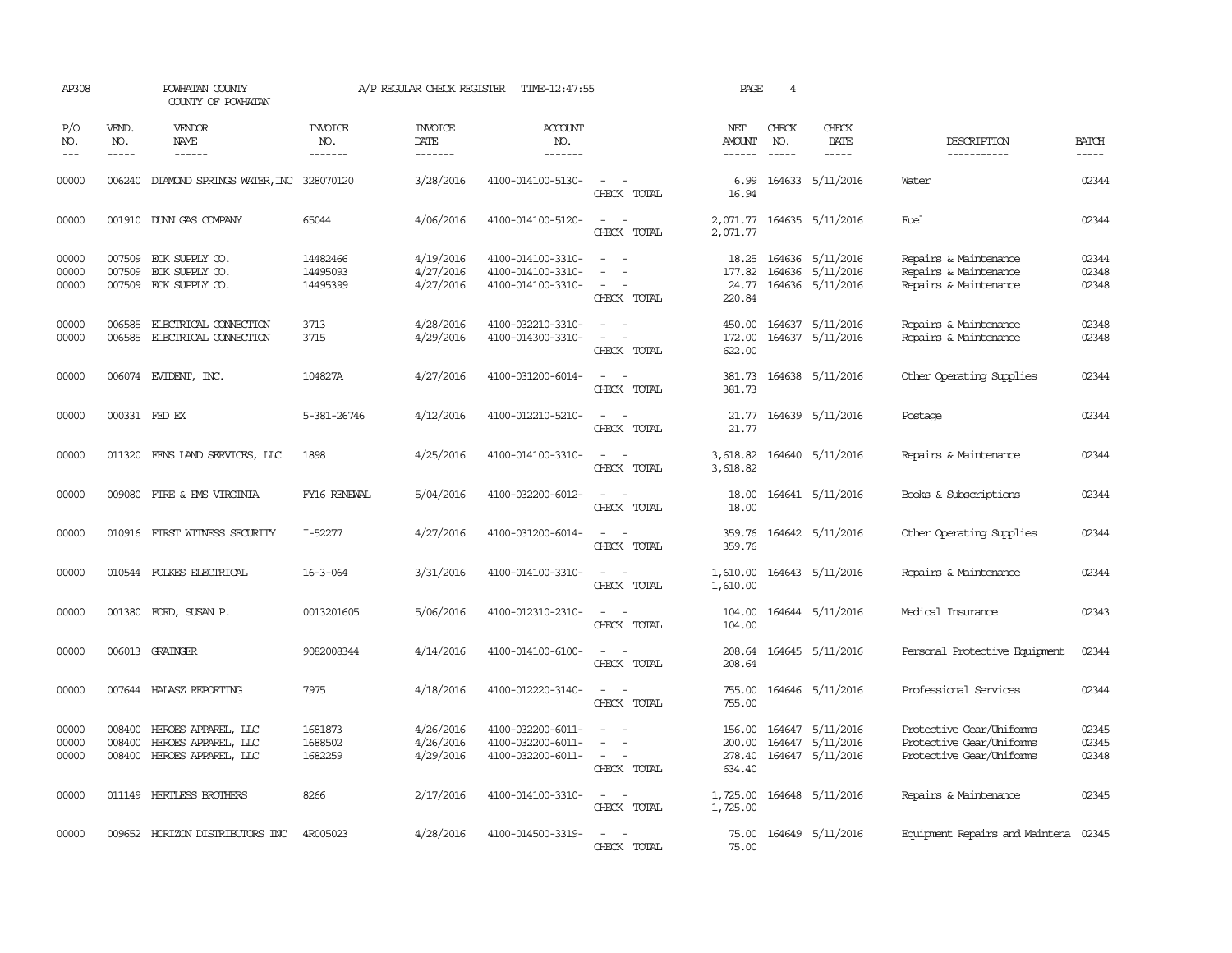| AP308                   |                             | POWHATAN COUNTY<br>COUNTY OF POWHATAN                                    |                                  | A/P REGULAR CHECK REGISTER          | TIME-12:47:55                                               |                                                                                                                             | PAGE                                 | 4                             |                                                          |                                                                                  |                         |
|-------------------------|-----------------------------|--------------------------------------------------------------------------|----------------------------------|-------------------------------------|-------------------------------------------------------------|-----------------------------------------------------------------------------------------------------------------------------|--------------------------------------|-------------------------------|----------------------------------------------------------|----------------------------------------------------------------------------------|-------------------------|
| P/O<br>NO.<br>$---$     | VEND.<br>NO.<br>$- - - - -$ | VENDOR<br>NAME<br>$- - - - - -$                                          | <b>INVOICE</b><br>NO.<br>------- | <b>INVOICE</b><br>DATE<br>-------   | ACCOUNT<br>NO.<br>-------                                   |                                                                                                                             | NET<br><b>AMOUNT</b><br>------       | CHECK<br>NO.<br>$\frac{1}{2}$ | CHECK<br>DATE<br>$- - - - -$                             | DESCRIPTION<br>-----------                                                       | <b>BATCH</b><br>-----   |
| 00000                   |                             | 006240 DIAMOND SPRINGS WATER, INC 328070120                              |                                  | 3/28/2016                           | 4100-014100-5130-                                           | $\sim$ $\sim$<br>CHECK TOTAL                                                                                                | 6.99<br>16.94                        |                               | 164633 5/11/2016                                         | Water                                                                            | 02344                   |
| 00000                   |                             | 001910 DUNN GAS COMPANY                                                  | 65044                            | 4/06/2016                           | 4100-014100-5120-                                           | $\sim$<br>$\sim$<br>CHECK TOTAL                                                                                             | 2,071.77                             |                               | 2,071.77 164635 5/11/2016                                | Fuel                                                                             | 02344                   |
| 00000<br>00000<br>00000 |                             | 007509 ECK SUPPLY CO.<br>007509 ECK SUPPLY CO.<br>007509 ECK SUPPLY CO.  | 14482466<br>14495093<br>14495399 | 4/19/2016<br>4/27/2016<br>4/27/2016 | 4100-014100-3310-<br>4100-014100-3310-<br>4100-014100-3310- | $\equiv$<br>$\overline{\phantom{a}}$<br>$\sim$<br>CHECK TOTAL                                                               | 18.25<br>177.82<br>24.77<br>220.84   |                               | 164636 5/11/2016<br>164636 5/11/2016<br>164636 5/11/2016 | Repairs & Maintenance<br>Repairs & Maintenance<br>Repairs & Maintenance          | 02344<br>02348<br>02348 |
| 00000<br>00000          | 006585                      | 006585 ELECTRICAL CONNECTION<br>ELECTRICAL CONNECTION                    | 3713<br>3715                     | 4/28/2016<br>4/29/2016              | 4100-032210-3310-<br>4100-014300-3310-                      | $\sim$ $ \sim$<br>$\sim$<br>$\overline{\phantom{a}}$<br>CHECK TOTAL                                                         | 172.00<br>622.00                     |                               | 450.00 164637 5/11/2016<br>164637 5/11/2016              | Repairs & Maintenance<br>Repairs & Maintenance                                   | 02348<br>02348          |
| 00000                   |                             | 006074 EVIDENT, INC.                                                     | 104827A                          | 4/27/2016                           | 4100-031200-6014-                                           | $\overline{\phantom{a}}$<br>$\sim$<br>CHECK TOTAL                                                                           | 381.73<br>381.73                     |                               | 164638 5/11/2016                                         | Other Operating Supplies                                                         | 02344                   |
| 00000                   |                             | 000331 FED EX                                                            | 5-381-26746                      | 4/12/2016                           | 4100-012210-5210-                                           | $\sim$<br>CHECK TOTAL                                                                                                       | 21.77                                |                               | 21.77 164639 5/11/2016                                   | Postage                                                                          | 02344                   |
| 00000                   |                             | 011320 FENS LAND SERVICES, LLC                                           | 1898                             | 4/25/2016                           | 4100-014100-3310-                                           | $\sim$ $ \sim$<br>CHECK TOTAL                                                                                               | 3,618.82<br>3,618.82                 |                               | 164640 5/11/2016                                         | Repairs & Maintenance                                                            | 02344                   |
| 00000                   |                             | 009080 FIRE & EMS VIRGINIA                                               | FY16 RENEWAL                     | 5/04/2016                           | 4100-032200-6012-                                           | $\frac{1}{2} \left( \frac{1}{2} \right) \left( \frac{1}{2} \right) = \frac{1}{2} \left( \frac{1}{2} \right)$<br>CHECK TOTAL | 18.00<br>18.00                       |                               | 164641 5/11/2016                                         | Books & Subscriptions                                                            | 02344                   |
| 00000                   |                             | 010916 FIRST WITNESS SECURITY                                            | I-52277                          | 4/27/2016                           | 4100-031200-6014-                                           | CHECK TOTAL                                                                                                                 | 359.76<br>359.76                     |                               | 164642 5/11/2016                                         | Other Operating Supplies                                                         | 02344                   |
| 00000                   |                             | 010544 FOLKES ELECTRICAL                                                 | $16 - 3 - 064$                   | 3/31/2016                           | 4100-014100-3310-                                           | $\sim$<br>CHECK TOTAL                                                                                                       | 1,610.00<br>1,610.00                 |                               | 164643 5/11/2016                                         | Repairs & Maintenance                                                            | 02344                   |
| 00000                   |                             | 001380 FORD, SUSAN P.                                                    | 0013201605                       | 5/06/2016                           | 4100-012310-2310-                                           | $\sim$ $-$<br>CHECK TOTAL                                                                                                   | 104.00<br>104.00                     |                               | 164644 5/11/2016                                         | Medical Insurance                                                                | 02343                   |
| 00000                   |                             | 006013 GRAINGER                                                          | 9082008344                       | 4/14/2016                           | 4100-014100-6100-                                           | $\sim$<br>$\sim$<br>CHECK TOTAL                                                                                             | 208.64<br>208.64                     |                               | 164645 5/11/2016                                         | Personal Protective Equipment                                                    | 02344                   |
| 00000                   |                             | 007644 HALASZ REPORTING                                                  | 7975                             | 4/18/2016                           | 4100-012220-3140-                                           | $\sim$ $ \sim$<br>CHECK TOTAL                                                                                               | 755.00<br>755.00                     |                               | 164646 5/11/2016                                         | Professional Services                                                            | 02344                   |
| 00000<br>00000<br>00000 | 008400<br>008400            | HEROES APPAREL, LLC<br>HEROES APPAREL, LLC<br>008400 HEROES APPAREL, LLC | 1681873<br>1688502<br>1682259    | 4/26/2016<br>4/26/2016<br>4/29/2016 | 4100-032200-6011-<br>4100-032200-6011-<br>4100-032200-6011- | $\equiv$<br>$\overline{\phantom{a}}$<br>CHECK TOTAL                                                                         | 156.00<br>200.00<br>278.40<br>634.40 |                               | 164647 5/11/2016<br>164647 5/11/2016<br>164647 5/11/2016 | Protective Gear/Uniforms<br>Protective Gear/Uniforms<br>Protective Gear/Uniforms | 02345<br>02345<br>02348 |
| 00000                   |                             | 011149 HERTLESS BROTHERS                                                 | 8266                             | 2/17/2016                           | 4100-014100-3310-                                           | $\sim$<br>$\sim$<br>CHECK TOTAL                                                                                             | 1,725.00<br>1,725.00                 |                               | 164648 5/11/2016                                         | Repairs & Maintenance                                                            | 02345                   |
| 00000                   |                             | 009652 HORIZON DISTRIBUTORS INC                                          | 4R005023                         | 4/28/2016                           | 4100-014500-3319-                                           | CHECK TOTAL                                                                                                                 | 75.00<br>75.00                       |                               | 164649 5/11/2016                                         | Equipment Repairs and Maintena 02345                                             |                         |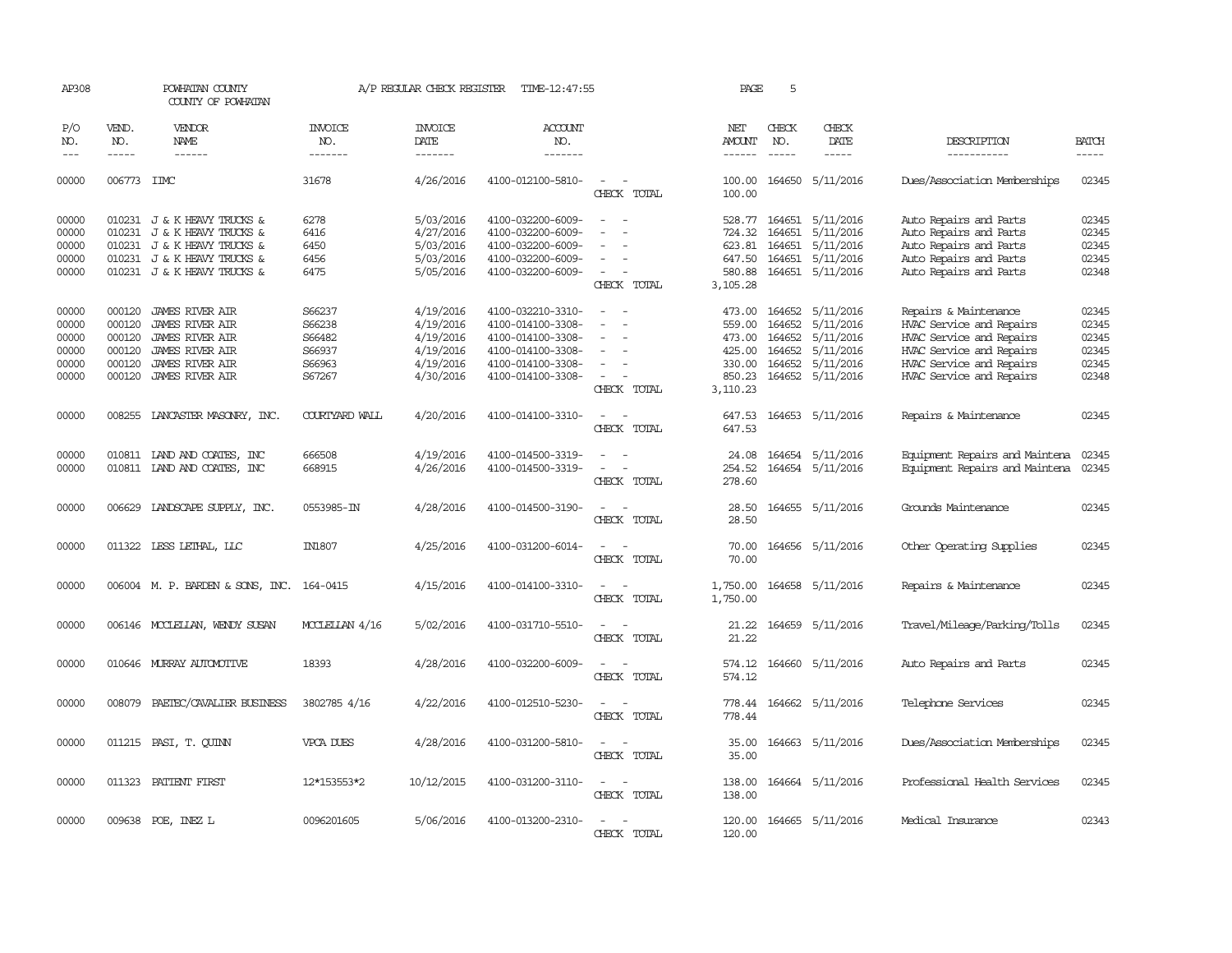| AP308                                              |                                                          | POWHATAN COUNTY<br>COUNTY OF POWHATAN                                                                                                                   |                                                          | A/P REGULAR CHECK REGISTER                                                 | TIME-12:47:55                                                                                                              |                                                                                                                                                                   | PAGE                                                                 | 5                                    |                                                                                          |                                                                                                                                                                   |                                                    |
|----------------------------------------------------|----------------------------------------------------------|---------------------------------------------------------------------------------------------------------------------------------------------------------|----------------------------------------------------------|----------------------------------------------------------------------------|----------------------------------------------------------------------------------------------------------------------------|-------------------------------------------------------------------------------------------------------------------------------------------------------------------|----------------------------------------------------------------------|--------------------------------------|------------------------------------------------------------------------------------------|-------------------------------------------------------------------------------------------------------------------------------------------------------------------|----------------------------------------------------|
| P/O<br>NO.                                         | VEND.<br>NO.                                             | <b>VENDOR</b><br>NAME                                                                                                                                   | INVOICE<br>NO.                                           | <b>INVOICE</b><br>DATE                                                     | ACCOUNT<br>NO.                                                                                                             |                                                                                                                                                                   | NET<br>AMOUNT                                                        | CHECK<br>NO.                         | CHECK<br>DATE                                                                            | DESCRIPTION                                                                                                                                                       | <b>BATCH</b>                                       |
| $\frac{1}{2}$                                      | $- - - - -$                                              | ------                                                                                                                                                  | -------                                                  | -------                                                                    | -------                                                                                                                    |                                                                                                                                                                   |                                                                      | $\frac{1}{2}$                        | -----                                                                                    | -----------                                                                                                                                                       | $- - - - -$                                        |
| 00000                                              | 006773 IMC                                               |                                                                                                                                                         | 31678                                                    | 4/26/2016                                                                  | 4100-012100-5810-                                                                                                          | $\sim$<br>CHECK TOTAL                                                                                                                                             | 100.00<br>100.00                                                     |                                      | 164650 5/11/2016                                                                         | Dues/Association Memberships                                                                                                                                      | 02345                                              |
| 00000<br>00000<br>00000<br>00000<br>00000          |                                                          | 010231 J & K HEAVY TRUCKS &<br>010231 J & K HEAVY TRUCKS &<br>010231 J & K HEAVY TRUCKS &<br>010231 J & K HEAVY TRUCKS &<br>010231 J & K HEAVY TRUCKS & | 6278<br>6416<br>6450<br>6456<br>6475                     | 5/03/2016<br>4/27/2016<br>5/03/2016<br>5/03/2016<br>5/05/2016              | 4100-032200-6009-<br>4100-032200-6009-<br>4100-032200-6009-<br>4100-032200-6009-<br>4100-032200-6009-                      | $\overline{\phantom{a}}$<br>$\overline{\phantom{a}}$<br>$\sim$<br>CHECK TOTAL                                                                                     | 528.77<br>724.32<br>623.81<br>647.50<br>580.88<br>3,105.28           | 164651<br>164651<br>164651           | 164651 5/11/2016<br>5/11/2016<br>5/11/2016<br>5/11/2016<br>164651 5/11/2016              | Auto Repairs and Parts<br>Auto Repairs and Parts<br>Auto Repairs and Parts<br>Auto Repairs and Parts<br>Auto Repairs and Parts                                    | 02345<br>02345<br>02345<br>02345<br>02348          |
| 00000<br>00000<br>00000<br>00000<br>00000<br>00000 | 000120<br>000120<br>000120<br>000120<br>000120<br>000120 | <b>JAMES RIVER AIR</b><br><b>JAMES RIVER AIR</b><br><b>JAMES RIVER AIR</b><br>JAMES RIVER AIR<br>JAMES RIVER AIR<br><b>JAMES RIVER AIR</b>              | S66237<br>S66238<br>S66482<br>S66937<br>S66963<br>S67267 | 4/19/2016<br>4/19/2016<br>4/19/2016<br>4/19/2016<br>4/19/2016<br>4/30/2016 | 4100-032210-3310-<br>4100-014100-3308-<br>4100-014100-3308-<br>4100-014100-3308-<br>4100-014100-3308-<br>4100-014100-3308- | $\overline{\phantom{a}}$<br>$\overline{\phantom{a}}$<br>$\overline{\phantom{a}}$<br>$\overline{\phantom{a}}$<br>$\overline{\phantom{a}}$<br>$\sim$<br>CHECK TOTAL | 473.00<br>559.00<br>473.00<br>425.00<br>330.00<br>850.23<br>3,110.23 | 164652<br>164652<br>164652<br>164652 | 164652 5/11/2016<br>5/11/2016<br>5/11/2016<br>5/11/2016<br>5/11/2016<br>164652 5/11/2016 | Repairs & Maintenance<br>HVAC Service and Repairs<br>HVAC Service and Repairs<br>HVAC Service and Repairs<br>HVAC Service and Repairs<br>HVAC Service and Repairs | 02345<br>02345<br>02345<br>02345<br>02345<br>02348 |
| 00000                                              | 008255                                                   | LANCASTER MASONRY, INC.                                                                                                                                 | COURTYARD WALL                                           | 4/20/2016                                                                  | 4100-014100-3310-                                                                                                          | $\overline{\phantom{a}}$<br>$\sim$<br>CHECK TOTAL                                                                                                                 | 647.53<br>647.53                                                     |                                      | 164653 5/11/2016                                                                         | Repairs & Maintenance                                                                                                                                             | 02345                                              |
| 00000<br>00000                                     |                                                          | 010811 IAND AND COATES, INC<br>010811 IAND AND COATES, INC                                                                                              | 666508<br>668915                                         | 4/19/2016<br>4/26/2016                                                     | 4100-014500-3319-<br>4100-014500-3319-                                                                                     | $\sim$<br>$\sim$<br>CHECK TOTAL                                                                                                                                   | 24.08<br>254.52<br>278.60                                            |                                      | 164654 5/11/2016<br>164654 5/11/2016                                                     | Equipment Repairs and Maintena<br>Equipment Repairs and Maintena                                                                                                  | 02345<br>02345                                     |
| 00000                                              | 006629                                                   | LANDSCAPE SUPPLY, INC.                                                                                                                                  | 0553985-IN                                               | 4/28/2016                                                                  | 4100-014500-3190-                                                                                                          | $\equiv$<br>$\overline{\phantom{a}}$<br>CHECK TOTAL                                                                                                               | 28.50<br>28.50                                                       |                                      | 164655 5/11/2016                                                                         | Grounds Maintenance                                                                                                                                               | 02345                                              |
| 00000                                              |                                                          | 011322 LESS LETHAL, LLC                                                                                                                                 | <b>IN1807</b>                                            | 4/25/2016                                                                  | 4100-031200-6014-                                                                                                          | CHECK TOTAL                                                                                                                                                       | 70.00<br>70.00                                                       |                                      | 164656 5/11/2016                                                                         | Other Operating Supplies                                                                                                                                          | 02345                                              |
| 00000                                              |                                                          | 006004 M. P. BARDEN & SONS, INC. 164-0415                                                                                                               |                                                          | 4/15/2016                                                                  | 4100-014100-3310-                                                                                                          | $\sim$ $\sim$<br>CHECK TOTAL                                                                                                                                      | 1,750.00<br>1,750.00                                                 |                                      | 164658 5/11/2016                                                                         | Repairs & Maintenance                                                                                                                                             | 02345                                              |
| 00000                                              |                                                          | 006146 MCCLELLAN, WENDY SUSAN                                                                                                                           | MCCLELLAN 4/16                                           | 5/02/2016                                                                  | 4100-031710-5510-                                                                                                          | $\sim$<br>$\sim$<br>CHECK TOTAL                                                                                                                                   | 21.22<br>21.22                                                       |                                      | 164659 5/11/2016                                                                         | Travel/Mileage/Parking/Tolls                                                                                                                                      | 02345                                              |
| 00000                                              |                                                          | 010646 MURRAY AUTOMOTTVE                                                                                                                                | 18393                                                    | 4/28/2016                                                                  | 4100-032200-6009-                                                                                                          | $\sim$<br>CHECK TOTAL                                                                                                                                             | 574.12<br>574.12                                                     |                                      | 164660 5/11/2016                                                                         | Auto Repairs and Parts                                                                                                                                            | 02345                                              |
| 00000                                              | 008079                                                   | PAETEC/CAVALIER BUSINESS                                                                                                                                | 3802785 4/16                                             | 4/22/2016                                                                  | 4100-012510-5230-                                                                                                          | $\sim$<br>CHECK TOTAL                                                                                                                                             | 778.44<br>778.44                                                     |                                      | 164662 5/11/2016                                                                         | Telephone Services                                                                                                                                                | 02345                                              |
| 00000                                              |                                                          | 011215 PASI, T. QUINN                                                                                                                                   | VPCA DUES                                                | 4/28/2016                                                                  | 4100-031200-5810-                                                                                                          | CHECK TOTAL                                                                                                                                                       | 35.00<br>35.00                                                       |                                      | 164663 5/11/2016                                                                         | Dues/Association Memberships                                                                                                                                      | 02345                                              |
| 00000                                              |                                                          | 011323 PATIENT FIRST                                                                                                                                    | 12*153553*2                                              | 10/12/2015                                                                 | 4100-031200-3110-                                                                                                          | $\sim$<br>$\sim$<br>CHECK TOTAL                                                                                                                                   | 138.00<br>138.00                                                     |                                      | 164664 5/11/2016                                                                         | Professional Health Services                                                                                                                                      | 02345                                              |
| 00000                                              |                                                          | 009638 POE, INEZ L                                                                                                                                      | 0096201605                                               | 5/06/2016                                                                  | 4100-013200-2310-                                                                                                          | $\overline{\phantom{a}}$<br>CHECK TOTAL                                                                                                                           | 120.00<br>120.00                                                     |                                      | 164665 5/11/2016                                                                         | Medical Insurance                                                                                                                                                 | 02343                                              |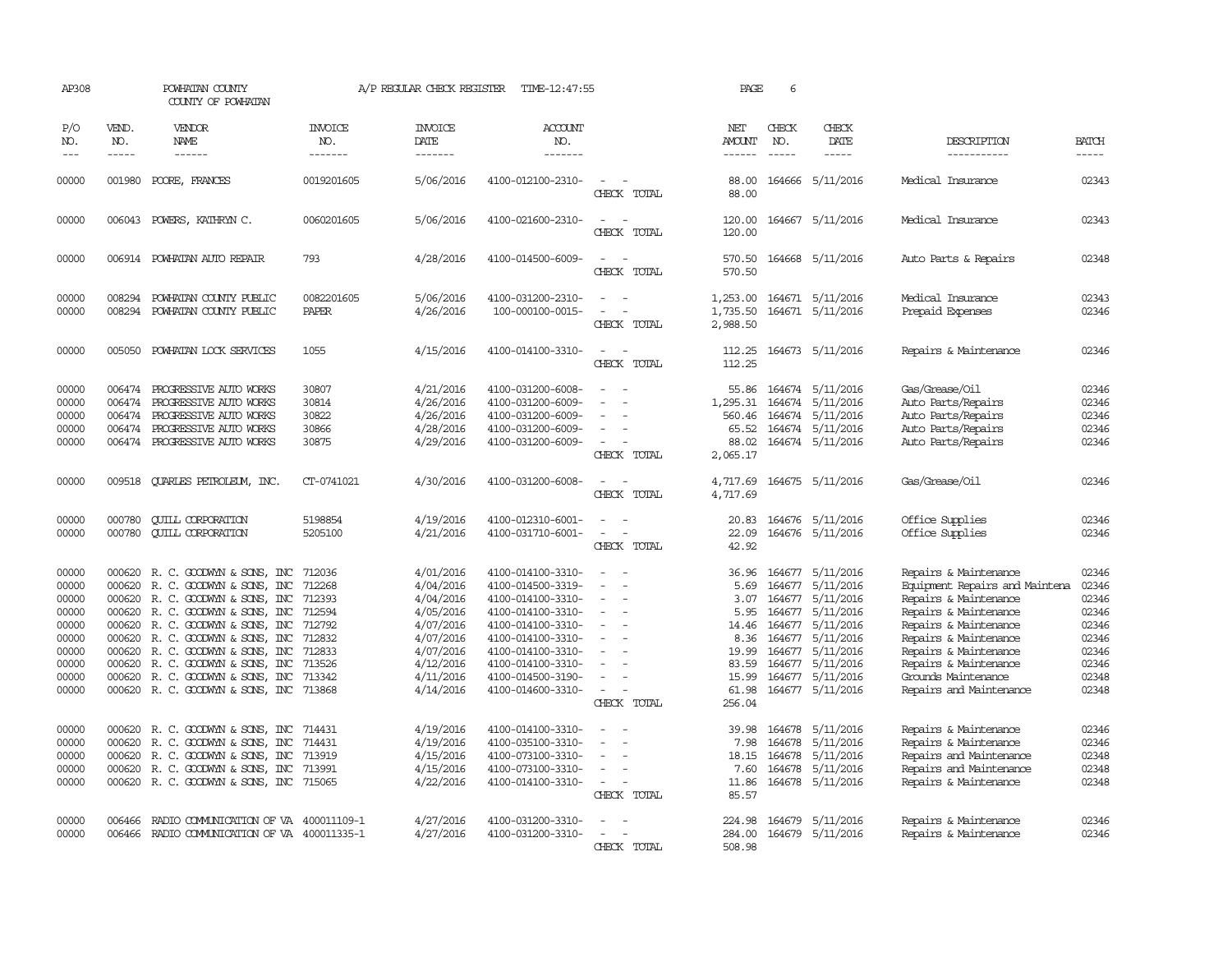| AP308                                                                                  |                                      | POWHATAN COUNTY<br>COUNTY OF POWHATAN                                                                                                                                                                                                                                                                                                                  |                                                                                        |                                                                                                                                | A/P REGULAR CHECK REGISTER TIME-12:47:55                                                                                                                                                                       |                                                                                                                                                           | PAGE                                                                                | 6                                              |                                                                                                                                                                         |                                                                                                                                                                                                                                                                 |                                                                                        |
|----------------------------------------------------------------------------------------|--------------------------------------|--------------------------------------------------------------------------------------------------------------------------------------------------------------------------------------------------------------------------------------------------------------------------------------------------------------------------------------------------------|----------------------------------------------------------------------------------------|--------------------------------------------------------------------------------------------------------------------------------|----------------------------------------------------------------------------------------------------------------------------------------------------------------------------------------------------------------|-----------------------------------------------------------------------------------------------------------------------------------------------------------|-------------------------------------------------------------------------------------|------------------------------------------------|-------------------------------------------------------------------------------------------------------------------------------------------------------------------------|-----------------------------------------------------------------------------------------------------------------------------------------------------------------------------------------------------------------------------------------------------------------|----------------------------------------------------------------------------------------|
| P/O<br>NO.<br>$\frac{1}{2}$                                                            | VEND.<br>NO.<br>$\frac{1}{2}$        | <b>VENDOR</b><br>NAME<br>$- - - - - -$                                                                                                                                                                                                                                                                                                                 | INVOICE<br>NO.<br>-------                                                              | <b>INVOICE</b><br>DATE<br>-------                                                                                              | ACCOUNT<br>NO.<br>-------                                                                                                                                                                                      |                                                                                                                                                           | NET<br>AMOUNT                                                                       | CHECK<br>NO.<br>$\frac{1}{2}$                  | CHECK<br>DATE<br>$- - - - -$                                                                                                                                            | DESCRIPTION<br>-----------                                                                                                                                                                                                                                      | <b>BATCH</b><br>$- - - - -$                                                            |
|                                                                                        |                                      |                                                                                                                                                                                                                                                                                                                                                        |                                                                                        |                                                                                                                                |                                                                                                                                                                                                                |                                                                                                                                                           |                                                                                     |                                                |                                                                                                                                                                         |                                                                                                                                                                                                                                                                 |                                                                                        |
| 00000                                                                                  |                                      | 001980 POORE, FRANCES                                                                                                                                                                                                                                                                                                                                  | 0019201605                                                                             | 5/06/2016                                                                                                                      | 4100-012100-2310-                                                                                                                                                                                              | $\overline{\phantom{a}}$<br>CHECK TOTAL                                                                                                                   | 88.00<br>88.00                                                                      |                                                | 164666 5/11/2016                                                                                                                                                        | Medical Insurance                                                                                                                                                                                                                                               | 02343                                                                                  |
| 00000                                                                                  |                                      | 006043 POWERS, KATHRYN C.                                                                                                                                                                                                                                                                                                                              | 0060201605                                                                             | 5/06/2016                                                                                                                      | 4100-021600-2310-                                                                                                                                                                                              | $\sim$<br>CHECK TOTAL                                                                                                                                     | 120.00<br>120.00                                                                    |                                                | 164667 5/11/2016                                                                                                                                                        | Medical Insurance                                                                                                                                                                                                                                               | 02343                                                                                  |
| 00000                                                                                  |                                      | 006914 POWHATAN AUTO REPAIR                                                                                                                                                                                                                                                                                                                            | 793                                                                                    | 4/28/2016                                                                                                                      | 4100-014500-6009-                                                                                                                                                                                              | CHECK TOTAL                                                                                                                                               | 570.50<br>570.50                                                                    |                                                | 164668 5/11/2016                                                                                                                                                        | Auto Parts & Repairs                                                                                                                                                                                                                                            | 02348                                                                                  |
| 00000<br>00000                                                                         | 008294<br>008294                     | POWHATAN COUNTY PUBLIC<br>POWHATAN COUNTY PUBLIC                                                                                                                                                                                                                                                                                                       | 0082201605<br><b>PAPER</b>                                                             | 5/06/2016<br>4/26/2016                                                                                                         | 4100-031200-2310-<br>100-000100-0015-                                                                                                                                                                          | $\overline{\phantom{a}}$                                                                                                                                  | 1,253.00<br>1,735.50                                                                |                                                | 164671 5/11/2016<br>164671 5/11/2016                                                                                                                                    | Medical Insurance<br>Prepaid Expenses                                                                                                                                                                                                                           | 02343<br>02346                                                                         |
|                                                                                        |                                      |                                                                                                                                                                                                                                                                                                                                                        |                                                                                        |                                                                                                                                |                                                                                                                                                                                                                | CHECK TOTAL                                                                                                                                               | 2,988.50                                                                            |                                                |                                                                                                                                                                         |                                                                                                                                                                                                                                                                 |                                                                                        |
| 00000                                                                                  | 005050                               | POWHATAN LOCK SERVICES                                                                                                                                                                                                                                                                                                                                 | 1055                                                                                   | 4/15/2016                                                                                                                      | 4100-014100-3310-                                                                                                                                                                                              | CHECK TOTAL                                                                                                                                               | 112.25<br>112.25                                                                    |                                                | 164673 5/11/2016                                                                                                                                                        | Repairs & Maintenance                                                                                                                                                                                                                                           | 02346                                                                                  |
| 00000<br>00000<br>00000<br>00000<br>00000                                              | 006474<br>006474<br>006474<br>006474 | PROGRESSIVE AUTO WORKS<br>PROGRESSIVE AUTO WORKS<br>PROGRESSIVE AUTO WORKS<br>PROGRESSIVE AUTO WORKS<br>006474 PROGRESSIVE AUTO WORKS                                                                                                                                                                                                                  | 30807<br>30814<br>30822<br>30866<br>30875                                              | 4/21/2016<br>4/26/2016<br>4/26/2016<br>4/28/2016<br>4/29/2016                                                                  | 4100-031200-6008-<br>4100-031200-6009-<br>4100-031200-6009-<br>4100-031200-6009-<br>4100-031200-6009-                                                                                                          | $\overline{\phantom{a}}$<br>$\overline{\phantom{a}}$<br>CHECK TOTAL                                                                                       | 55.86<br>1,295.31<br>560.46<br>65.52<br>88.02<br>2,065.17                           | 164674<br>164674<br>164674                     | 164674 5/11/2016<br>5/11/2016<br>5/11/2016<br>5/11/2016<br>164674 5/11/2016                                                                                             | Gas/Grease/Oil<br>Auto Parts/Repairs<br>Auto Parts/Repairs<br>Auto Parts/Repairs<br>Auto Parts/Repairs                                                                                                                                                          | 02346<br>02346<br>02346<br>02346<br>02346                                              |
| 00000                                                                                  | 009518                               | QUARLES PETROLEUM, INC.                                                                                                                                                                                                                                                                                                                                | CT-0741021                                                                             | 4/30/2016                                                                                                                      | 4100-031200-6008-                                                                                                                                                                                              | CHECK TOTAL                                                                                                                                               | 4,717.69<br>4,717.69                                                                |                                                | 164675 5/11/2016                                                                                                                                                        | Gas/Grease/0il                                                                                                                                                                                                                                                  | 02346                                                                                  |
| 00000<br>00000                                                                         | 000780<br>000780                     | <b>CUILL CORPORATION</b><br><b>CUILL CORPORATION</b>                                                                                                                                                                                                                                                                                                   | 5198854<br>5205100                                                                     | 4/19/2016<br>4/21/2016                                                                                                         | 4100-012310-6001-<br>4100-031710-6001-                                                                                                                                                                         | $\sim$<br>$\sim$<br>$\overline{\phantom{a}}$<br>CHECK TOTAL                                                                                               | 20.83<br>22.09<br>42.92                                                             |                                                | 164676 5/11/2016<br>164676 5/11/2016                                                                                                                                    | Office Supplies<br>Office Supplies                                                                                                                                                                                                                              | 02346<br>02346                                                                         |
| 00000<br>00000<br>00000<br>00000<br>00000<br>00000<br>00000<br>00000<br>00000<br>00000 | 000620<br>000620<br>000620           | 000620 R. C. GOODWYN & SONS, INC<br>R. C. GOODWYN & SONS, INC<br>000620 R. C. GOODWYN & SONS, INC<br>R. C. GOODWYN & SONS, INC<br>000620 R. C. GOODWYN & SONS, INC<br>000620 R. C. GOODWYN & SONS, INC<br>000620 R. C. GOODWYN & SONS, INC<br>000620 R. C. GOODWYN & SONS, INC<br>R. C. GOODWYN & SONS, INC<br>000620 R. C. GOODWYN & SONS, INC 713868 | 712036<br>712268<br>712393<br>712594<br>712792<br>712832<br>712833<br>713526<br>713342 | 4/01/2016<br>4/04/2016<br>4/04/2016<br>4/05/2016<br>4/07/2016<br>4/07/2016<br>4/07/2016<br>4/12/2016<br>4/11/2016<br>4/14/2016 | 4100-014100-3310-<br>4100-014500-3319-<br>4100-014100-3310-<br>4100-014100-3310-<br>4100-014100-3310-<br>4100-014100-3310-<br>4100-014100-3310-<br>4100-014100-3310-<br>4100-014500-3190-<br>4100-014600-3310- | $\overline{\phantom{a}}$<br>$\sim$<br>$\overline{\phantom{a}}$<br>$\overline{\phantom{a}}$<br>$\overline{\phantom{a}}$<br>$\sim$<br>$\sim$<br>CHECK TOTAL | 36.96<br>5.69<br>3.07<br>5.95<br>14.46<br>8.36<br>19.99<br>83.59<br>15.99<br>256.04 | 164677<br>164677<br>164677<br>164677<br>164677 | 5/11/2016<br>5/11/2016<br>164677 5/11/2016<br>164677 5/11/2016<br>5/11/2016<br>5/11/2016<br>164677 5/11/2016<br>164677 5/11/2016<br>5/11/2016<br>61.98 164677 5/11/2016 | Repairs & Maintenance<br>Equipment Repairs and Maintena<br>Repairs & Maintenance<br>Repairs & Maintenance<br>Repairs & Maintenance<br>Repairs & Maintenance<br>Repairs & Maintenance<br>Repairs & Maintenance<br>Grounds Maintenance<br>Repairs and Maintenance | 02346<br>02346<br>02346<br>02346<br>02346<br>02346<br>02346<br>02346<br>02348<br>02348 |
| 00000<br>00000<br>00000<br>00000<br>00000                                              | 000620<br>000620                     | 000620 R. C. GOODWYN & SONS, INC<br>R. C. GOODWYN & SONS, INC<br>R. C. GOODWYN & SONS, INC<br>000620 R. C. GOODWYN & SONS, INC<br>000620 R. C. GOODWYN & SONS, INC 715065                                                                                                                                                                              | 714431<br>714431<br>713919<br>713991                                                   | 4/19/2016<br>4/19/2016<br>4/15/2016<br>4/15/2016<br>4/22/2016                                                                  | 4100-014100-3310-<br>4100-035100-3310-<br>4100-073100-3310-<br>4100-073100-3310-<br>4100-014100-3310-                                                                                                          | $\equiv$<br>CHECK TOTAL                                                                                                                                   | 39.98<br>7.98<br>18.15<br>7.60<br>11.86<br>85.57                                    | 164678<br>164678<br>164678<br>164678           | 5/11/2016<br>5/11/2016<br>164678 5/11/2016<br>5/11/2016<br>5/11/2016                                                                                                    | Repairs & Maintenance<br>Repairs & Maintenance<br>Repairs and Maintenance<br>Repairs and Maintenance<br>Repairs & Maintenance                                                                                                                                   | 02346<br>02346<br>02348<br>02348<br>02348                                              |
| 00000<br>00000                                                                         | 006466                               | RADIO COMMUNICATION OF VA 400011109-1<br>006466 RADIO COMMUNICATION OF VA 400011335-1                                                                                                                                                                                                                                                                  |                                                                                        | 4/27/2016<br>4/27/2016                                                                                                         | 4100-031200-3310-<br>4100-031200-3310-                                                                                                                                                                         | $\overline{\phantom{a}}$<br>CHECK TOTAL                                                                                                                   | 224.98<br>508.98                                                                    |                                                | 164679 5/11/2016<br>284.00 164679 5/11/2016                                                                                                                             | Repairs & Maintenance<br>Repairs & Maintenance                                                                                                                                                                                                                  | 02346<br>02346                                                                         |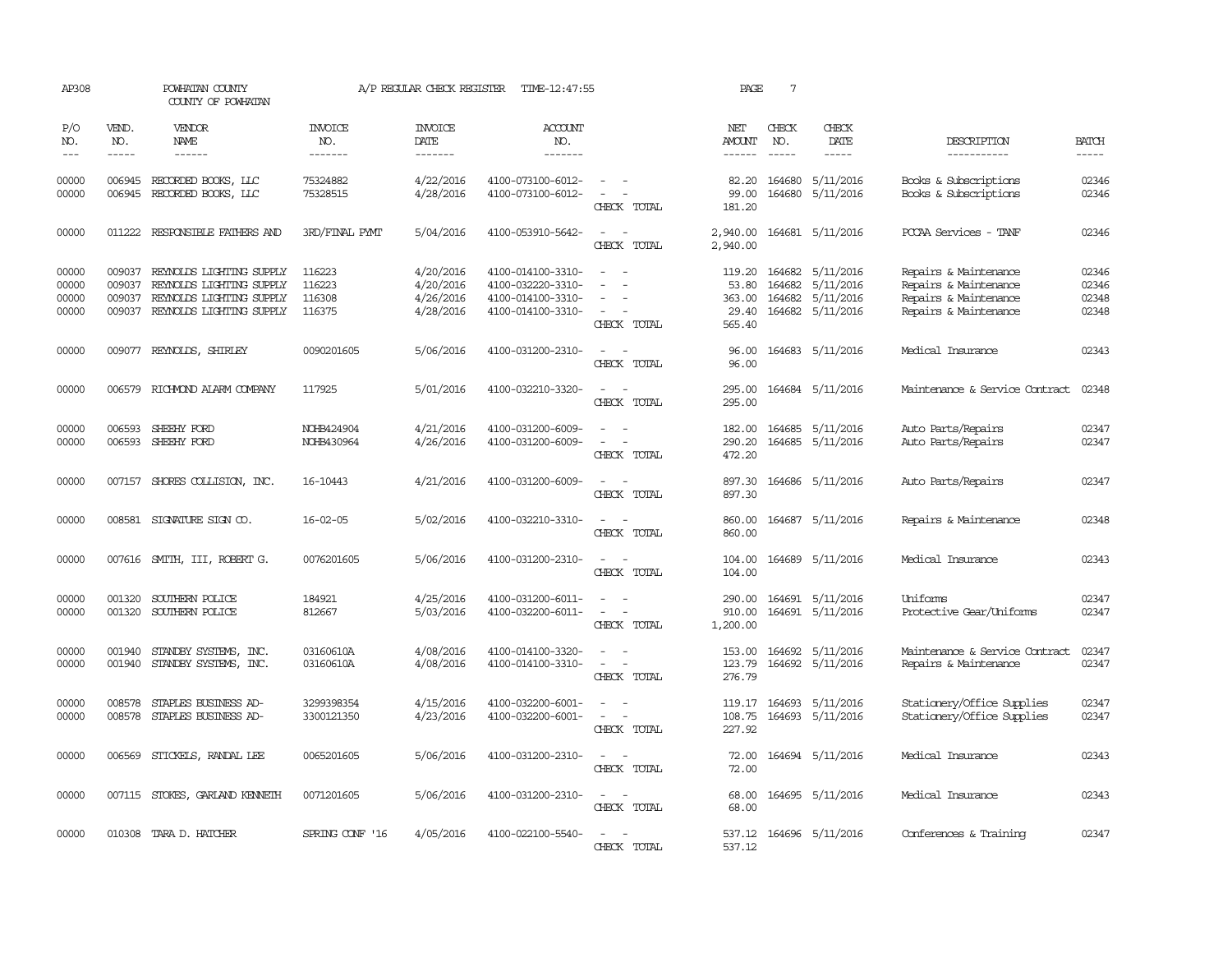| AP308                            |                                      | POWHATAN COUNTY<br>COUNTY OF POWHATAN                                                                        |                                      | A/P REGULAR CHECK REGISTER                       | TIME-12:47:55                                                                    |                                                                                                                             | PAGE                                         | $7\phantom{.0}$ |                                                                              |                                                                                                  |                                  |
|----------------------------------|--------------------------------------|--------------------------------------------------------------------------------------------------------------|--------------------------------------|--------------------------------------------------|----------------------------------------------------------------------------------|-----------------------------------------------------------------------------------------------------------------------------|----------------------------------------------|-----------------|------------------------------------------------------------------------------|--------------------------------------------------------------------------------------------------|----------------------------------|
| P/O<br>NO.                       | VEND.<br>NO.                         | <b>VENDOR</b><br>NAME                                                                                        | <b>INVOICE</b><br>NO.                | <b>INVOICE</b><br>DATE                           | ACCOUNT<br>NO.                                                                   |                                                                                                                             | NET<br><b>AMOUNT</b>                         | CHECK<br>NO.    | CHECK<br>DATE                                                                | DESCRIPTION                                                                                      | <b>BATCH</b>                     |
| $\frac{1}{2}$                    | $- - - - -$                          | $- - - - - -$                                                                                                | -------                              | -------                                          | $- - - - - - -$                                                                  |                                                                                                                             | $- - - - - -$                                | $\cdots$        | $- - - - -$                                                                  | -----------                                                                                      | -----                            |
| 00000<br>00000                   | 006945                               | 006945 RECORDED BOOKS, LLC<br>RECORDED BOOKS, LLC                                                            | 75324882<br>75328515                 | 4/22/2016<br>4/28/2016                           | 4100-073100-6012-<br>4100-073100-6012-                                           | $ -$<br>$\sim$<br>CHECK TOTAL                                                                                               | 82.20<br>99.00<br>181.20                     | 164680          | 164680 5/11/2016<br>5/11/2016                                                | Books & Subscriptions<br>Books & Subscriptions                                                   | 02346<br>02346                   |
| 00000                            | 011222                               | RESPONSIBLE FAIHERS AND                                                                                      | 3RD/FINAL PYMT                       | 5/04/2016                                        | 4100-053910-5642-                                                                | $\frac{1}{2} \left( \frac{1}{2} \right) \left( \frac{1}{2} \right) = \frac{1}{2} \left( \frac{1}{2} \right)$<br>CHECK TOTAL | 2,940.00<br>2,940.00                         |                 | 164681 5/11/2016                                                             | PCCAA Services - TANF                                                                            | 02346                            |
| 00000<br>00000<br>00000<br>00000 | 009037<br>009037<br>009037<br>009037 | REYNOLDS LIGHTING SUPPLY<br>REYNOLDS LIGHTING SUPPLY<br>REYNOLDS LIGHTING SUPPLY<br>REYNOLDS LIGHTING SUPPLY | 116223<br>116223<br>116308<br>116375 | 4/20/2016<br>4/20/2016<br>4/26/2016<br>4/28/2016 | 4100-014100-3310-<br>4100-032220-3310-<br>4100-014100-3310-<br>4100-014100-3310- | CHECK TOTAL                                                                                                                 | 119.20<br>53.80<br>363.00<br>29.40<br>565.40 |                 | 164682 5/11/2016<br>164682 5/11/2016<br>164682 5/11/2016<br>164682 5/11/2016 | Repairs & Maintenance<br>Repairs & Maintenance<br>Repairs & Maintenance<br>Repairs & Maintenance | 02346<br>02346<br>02348<br>02348 |
| 00000                            |                                      | 009077 REYNOLDS, SHIRLEY                                                                                     | 0090201605                           | 5/06/2016                                        | 4100-031200-2310-                                                                | $\sim$<br>CHECK TOTAL                                                                                                       | 96.00<br>96.00                               |                 | 164683 5/11/2016                                                             | Medical Insurance                                                                                | 02343                            |
| 00000                            | 006579                               | RICHMOND ALARM COMPANY                                                                                       | 117925                               | 5/01/2016                                        | 4100-032210-3320-                                                                | CHECK TOTAL                                                                                                                 | 295.00<br>295.00                             |                 | 164684 5/11/2016                                                             | Maintenance & Service Contract                                                                   | 02348                            |
| 00000<br>00000                   | 006593<br>006593                     | SHEEHY FORD<br>SHEEHY FORD                                                                                   | NOHB424904<br>NOHB430964             | 4/21/2016<br>4/26/2016                           | 4100-031200-6009-<br>4100-031200-6009-                                           | $\sim$<br>CHECK TOTAL                                                                                                       | 182.00<br>290.20<br>472.20                   |                 | 164685 5/11/2016<br>164685 5/11/2016                                         | Auto Parts/Repairs<br>Auto Parts/Repairs                                                         | 02347<br>02347                   |
| 00000                            | 007157                               | SHORES COLLISION, INC.                                                                                       | 16-10443                             | 4/21/2016                                        | 4100-031200-6009-                                                                | $\overline{\phantom{a}}$<br>CHECK TOTAL                                                                                     | 897.30<br>897.30                             |                 | 164686 5/11/2016                                                             | Auto Parts/Repairs                                                                               | 02347                            |
| 00000                            |                                      | 008581 SIGNATURE SIGN CO.                                                                                    | $16 - 02 - 05$                       | 5/02/2016                                        | 4100-032210-3310-                                                                | $\frac{1}{2} \left( \frac{1}{2} \right) \left( \frac{1}{2} \right) = \frac{1}{2} \left( \frac{1}{2} \right)$<br>CHECK TOTAL | 860.00<br>860.00                             |                 | 164687 5/11/2016                                                             | Repairs & Maintenance                                                                            | 02348                            |
| 00000                            |                                      | 007616 SMITH, III, ROBERT G.                                                                                 | 0076201605                           | 5/06/2016                                        | 4100-031200-2310-                                                                | $\overline{\phantom{a}}$<br>CHECK TOTAL                                                                                     | 104.00<br>104.00                             |                 | 164689 5/11/2016                                                             | Medical Insurance                                                                                | 02343                            |
| 00000<br>00000                   | 001320<br>001320                     | SOUTHERN POLICE<br>SOUTHERN POLICE                                                                           | 184921<br>812667                     | 4/25/2016<br>5/03/2016                           | 4100-031200-6011-<br>4100-032200-6011-                                           | $\sim$<br>$\overline{\phantom{a}}$<br>CHECK TOTAL                                                                           | 290.00<br>910.00<br>1,200.00                 |                 | 164691 5/11/2016<br>164691 5/11/2016                                         | <b>Uniforms</b><br>Protective Gear/Uniforms                                                      | 02347<br>02347                   |
| 00000<br>00000                   | 001940                               | STANDBY SYSTEMS, INC.<br>001940 STANDBY SYSTEMS, INC.                                                        | 03160610A<br>03160610A               | 4/08/2016<br>4/08/2016                           | 4100-014100-3320-<br>4100-014100-3310-                                           | $\overline{\phantom{a}}$<br>CHECK TOTAL                                                                                     | 153.00<br>123.79<br>276.79                   |                 | 164692 5/11/2016<br>164692 5/11/2016                                         | Maintenance & Service Contract<br>Repairs & Maintenance                                          | 02347<br>02347                   |
| 00000<br>00000                   | 008578<br>008578                     | STAPLES BUSINESS AD-<br>STAPLES BUSINESS AD-                                                                 | 3299398354<br>3300121350             | 4/15/2016<br>4/23/2016                           | 4100-032200-6001-<br>4100-032200-6001-                                           | $\equiv$<br>$\overline{\phantom{a}}$<br>CHECK TOTAL                                                                         | 119.17<br>108.75<br>227.92                   |                 | 164693 5/11/2016<br>164693 5/11/2016                                         | Stationery/Office Supplies<br>Stationery/Office Supplies                                         | 02347<br>02347                   |
| 00000                            |                                      | 006569 STICKELS, RANDAL LEE                                                                                  | 0065201605                           | 5/06/2016                                        | 4100-031200-2310-                                                                | $\sim$<br>CHECK TOTAL                                                                                                       | 72.00<br>72.00                               |                 | 164694 5/11/2016                                                             | Medical Insurance                                                                                | 02343                            |
| 00000                            |                                      | 007115 STOKES, GARLAND KENNETH                                                                               | 0071201605                           | 5/06/2016                                        | 4100-031200-2310-                                                                | $\overline{\phantom{a}}$<br>$\overline{\phantom{a}}$<br>CHECK TOTAL                                                         | 68.00<br>68.00                               |                 | 164695 5/11/2016                                                             | Medical Insurance                                                                                | 02343                            |
| 00000                            |                                      | 010308 TARA D. HATCHER                                                                                       | SPRING CONF '16                      | 4/05/2016                                        | 4100-022100-5540-                                                                | $\sim$<br>CHECK TOTAL                                                                                                       | 537.12                                       |                 | 537.12 164696 5/11/2016                                                      | Conferences & Training                                                                           | 02347                            |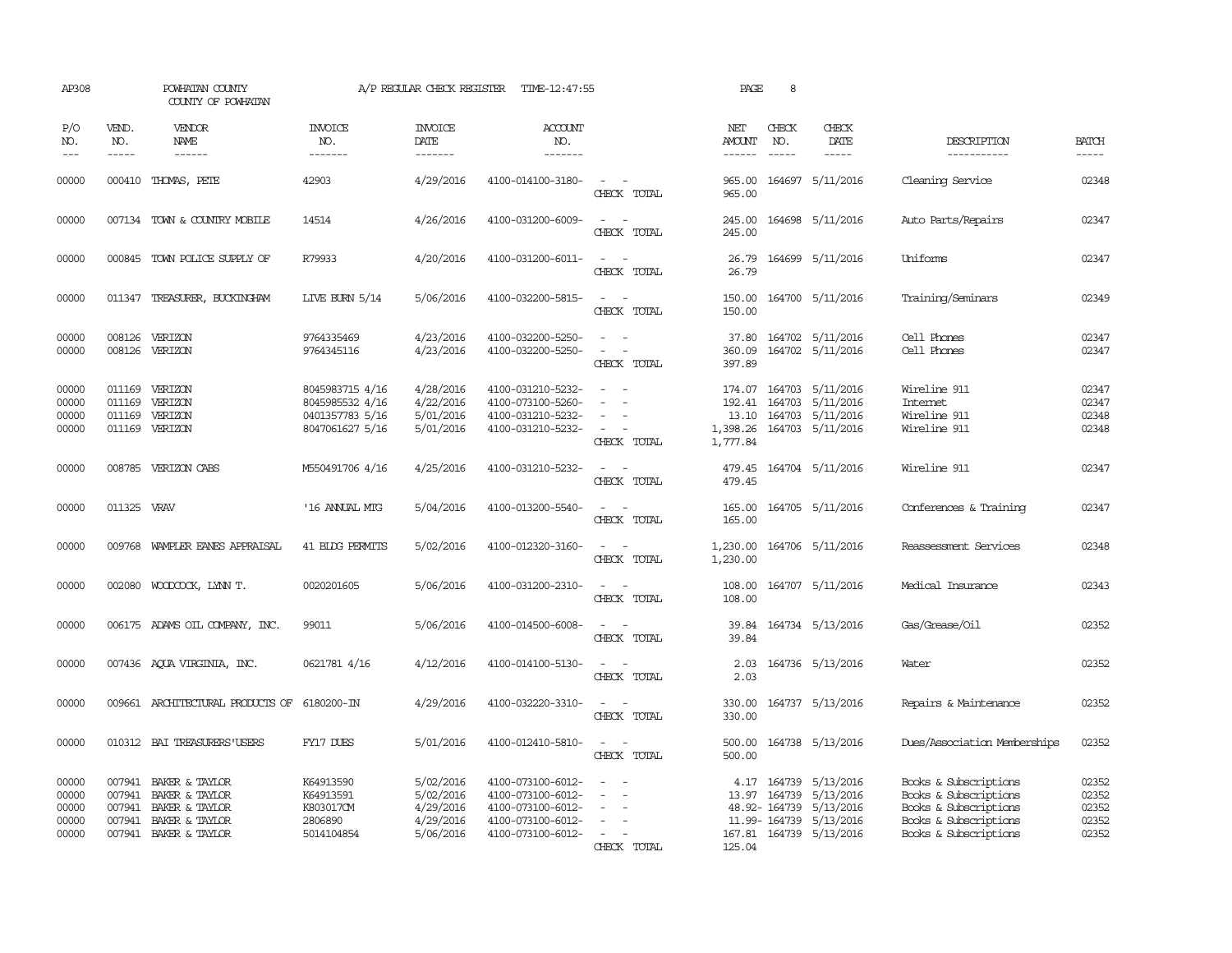| AP308                                     |                             | POWHATAN COUNTY<br>COUNTY OF POWHATAN                                                                                                                                                                                                                                                                                                                                                                                                                                                               |                                                                          | A/P REGULAR CHECK REGISTER                                    | TIME-12:47:55                                                                                         |                                                                                                                             | PAGE                           | 8                             |                                                                                                                                |                                                                                                                           |                                           |
|-------------------------------------------|-----------------------------|-----------------------------------------------------------------------------------------------------------------------------------------------------------------------------------------------------------------------------------------------------------------------------------------------------------------------------------------------------------------------------------------------------------------------------------------------------------------------------------------------------|--------------------------------------------------------------------------|---------------------------------------------------------------|-------------------------------------------------------------------------------------------------------|-----------------------------------------------------------------------------------------------------------------------------|--------------------------------|-------------------------------|--------------------------------------------------------------------------------------------------------------------------------|---------------------------------------------------------------------------------------------------------------------------|-------------------------------------------|
| P/O<br>NO.<br>$- - -$                     | VEND.<br>NO.<br>$- - - - -$ | <b>VENDOR</b><br>NAME<br>$\frac{1}{2} \left( \frac{1}{2} \right) \left( \frac{1}{2} \right) \left( \frac{1}{2} \right) \left( \frac{1}{2} \right) \left( \frac{1}{2} \right) \left( \frac{1}{2} \right) \left( \frac{1}{2} \right) \left( \frac{1}{2} \right) \left( \frac{1}{2} \right) \left( \frac{1}{2} \right) \left( \frac{1}{2} \right) \left( \frac{1}{2} \right) \left( \frac{1}{2} \right) \left( \frac{1}{2} \right) \left( \frac{1}{2} \right) \left( \frac{1}{2} \right) \left( \frac$ | <b>INVOICE</b><br>NO.<br>--------                                        | <b>INVOICE</b><br>DATE<br>--------                            | <b>ACCOUNT</b><br>NO.<br>-------                                                                      |                                                                                                                             | NET<br><b>AMOUNT</b><br>------ | CHECK<br>NO.<br>$\frac{1}{2}$ | CHECK<br>DATE<br>$- - - - -$                                                                                                   | DESCRIPTION<br>-----------                                                                                                | <b>BATCH</b><br>$- - - - -$               |
| 00000                                     |                             | 000410 THOMAS, PETE                                                                                                                                                                                                                                                                                                                                                                                                                                                                                 | 42903                                                                    | 4/29/2016                                                     | 4100-014100-3180-                                                                                     | $\sim$ $ \sim$<br>CHECK TOTAL                                                                                               | 965.00<br>965.00               |                               | 164697 5/11/2016                                                                                                               | Cleaning Service                                                                                                          | 02348                                     |
| 00000                                     |                             | 007134 TOWN & COUNTRY MOBILE                                                                                                                                                                                                                                                                                                                                                                                                                                                                        | 14514                                                                    | 4/26/2016                                                     | 4100-031200-6009-                                                                                     | $\overline{\phantom{a}}$<br>CHECK TOTAL                                                                                     | 245.00<br>245.00               |                               | 164698 5/11/2016                                                                                                               | Auto Parts/Repairs                                                                                                        | 02347                                     |
| 00000                                     |                             | 000845 TOWN POLICE SUPPLY OF                                                                                                                                                                                                                                                                                                                                                                                                                                                                        | R79933                                                                   | 4/20/2016                                                     | 4100-031200-6011-                                                                                     | $ -$<br>CHECK TOTAL                                                                                                         | 26.79<br>26.79                 |                               | 164699 5/11/2016                                                                                                               | Uniforms                                                                                                                  | 02347                                     |
| 00000                                     |                             | 011347 TREASURER, BUCKINGHAM                                                                                                                                                                                                                                                                                                                                                                                                                                                                        | <b>LIVE BURN 5/14</b>                                                    | 5/06/2016                                                     | 4100-032200-5815-                                                                                     | $\frac{1}{2} \left( \frac{1}{2} \right) \left( \frac{1}{2} \right) = \frac{1}{2} \left( \frac{1}{2} \right)$<br>CHECK TOTAL | 150.00<br>150.00               |                               | 164700 5/11/2016                                                                                                               | Training/Seminars                                                                                                         | 02349                                     |
| 00000<br>00000                            | 008126<br>008126            | VERIZON<br>VERIZON                                                                                                                                                                                                                                                                                                                                                                                                                                                                                  | 9764335469<br>9764345116                                                 | 4/23/2016<br>4/23/2016                                        | 4100-032200-5250-<br>4100-032200-5250-                                                                | CHECK TOTAL                                                                                                                 | 37.80<br>360.09<br>397.89      |                               | 164702 5/11/2016<br>164702 5/11/2016                                                                                           | Cell Phones<br>Cell Phones                                                                                                | 02347<br>02347                            |
| 00000<br>00000<br>00000<br>00000          | 011169<br>011169            | 011169 VERIZON<br>VERIZON<br>011169 VERIZON<br>VERIZON                                                                                                                                                                                                                                                                                                                                                                                                                                              | 8045983715 4/16<br>8045985532 4/16<br>0401357783 5/16<br>8047061627 5/16 | 4/28/2016<br>4/22/2016<br>5/01/2016<br>5/01/2016              | 4100-031210-5232-<br>4100-073100-5260-<br>4100-031210-5232-<br>4100-031210-5232-                      | $\equiv$<br>$\equiv$<br>CHECK TOTAL                                                                                         | 1,398.26<br>1,777.84           |                               | 174.07 164703 5/11/2016<br>192.41 164703 5/11/2016<br>13.10 164703 5/11/2016<br>164703 5/11/2016                               | Wireline 911<br><b>Internet</b><br>Wireline 911<br>Wireline 911                                                           | 02347<br>02347<br>02348<br>02348          |
| 00000                                     |                             | 008785 VERIZON CABS                                                                                                                                                                                                                                                                                                                                                                                                                                                                                 | M550491706 4/16                                                          | 4/25/2016                                                     | 4100-031210-5232-                                                                                     | $\sim$<br>CHECK TOTAL                                                                                                       | 479.45<br>479.45               |                               | 164704 5/11/2016                                                                                                               | Wireline 911                                                                                                              | 02347                                     |
| 00000                                     | 011325 VRAV                 |                                                                                                                                                                                                                                                                                                                                                                                                                                                                                                     | '16 ANNUAL MIG                                                           | 5/04/2016                                                     | 4100-013200-5540-                                                                                     | CHECK TOTAL                                                                                                                 | 165.00<br>165.00               |                               | 164705 5/11/2016                                                                                                               | Conferences & Training                                                                                                    | 02347                                     |
| 00000                                     |                             | 009768 WAMPLER EANES APPRAISAL                                                                                                                                                                                                                                                                                                                                                                                                                                                                      | 41 BIDG PERMITS                                                          | 5/02/2016                                                     | 4100-012320-3160-                                                                                     | $\omega_{\rm{max}}$<br>CHECK TOTAL                                                                                          | 1,230.00<br>1,230.00           |                               | 164706 5/11/2016                                                                                                               | Reassessment Services                                                                                                     | 02348                                     |
| 00000                                     |                             | 002080 WOODCOCK, LYNN T.                                                                                                                                                                                                                                                                                                                                                                                                                                                                            | 0020201605                                                               | 5/06/2016                                                     | 4100-031200-2310-                                                                                     | $\sim$ $\sim$<br>CHECK TOTAL                                                                                                | 108.00                         |                               | 108.00 164707 5/11/2016                                                                                                        | Medical Insurance                                                                                                         | 02343                                     |
| 00000                                     |                             | 006175 ADAMS OIL COMPANY, INC.                                                                                                                                                                                                                                                                                                                                                                                                                                                                      | 99011                                                                    | 5/06/2016                                                     | 4100-014500-6008-                                                                                     | $\sim$<br>$\sim$<br>CHECK TOTAL                                                                                             | 39.84<br>39.84                 |                               | 164734 5/13/2016                                                                                                               | Gas/Grease/Oil                                                                                                            | 02352                                     |
| 00000                                     |                             | 007436 AQUA VIRGINIA, INC.                                                                                                                                                                                                                                                                                                                                                                                                                                                                          | 0621781 4/16                                                             | 4/12/2016                                                     | 4100-014100-5130-                                                                                     | $\sim$<br>CHECK TOTAL                                                                                                       | 2.03<br>2.03                   |                               | 164736 5/13/2016                                                                                                               | Water                                                                                                                     | 02352                                     |
| 00000                                     |                             | 009661 ARCHITECTURAL PRODUCTS OF 6180200-IN                                                                                                                                                                                                                                                                                                                                                                                                                                                         |                                                                          | 4/29/2016                                                     | 4100-032220-3310-                                                                                     | $\frac{1}{2} \left( \frac{1}{2} \right) \left( \frac{1}{2} \right) = \frac{1}{2} \left( \frac{1}{2} \right)$<br>CHECK TOTAL | 330.00<br>330.00               |                               | 164737 5/13/2016                                                                                                               | Repairs & Maintenance                                                                                                     | 02352                                     |
| 00000                                     |                             | 010312 BAI TREASURERS USERS                                                                                                                                                                                                                                                                                                                                                                                                                                                                         | FY17 DUES                                                                | 5/01/2016                                                     | 4100-012410-5810-                                                                                     | $\sim$ $ \sim$<br>CHECK TOTAL                                                                                               | 500.00<br>500.00               |                               | 164738 5/13/2016                                                                                                               | Dues/Association Memberships                                                                                              | 02352                                     |
| 00000<br>00000<br>00000<br>00000<br>00000 | 007941                      | BAKER & TAYLOR<br>007941 BAKER & TAYLOR<br>007941 BAKER & TAYLOR<br>007941 BAKER & TAYLOR<br>007941 BAKER & TAYLOR                                                                                                                                                                                                                                                                                                                                                                                  | K64913590<br>K64913591<br>K803017CM<br>2806890<br>5014104854             | 5/02/2016<br>5/02/2016<br>4/29/2016<br>4/29/2016<br>5/06/2016 | 4100-073100-6012-<br>4100-073100-6012-<br>4100-073100-6012-<br>4100-073100-6012-<br>4100-073100-6012- | $\equiv$<br>$\sim$<br>CHECK TOTAL                                                                                           | 125.04                         |                               | 4.17 164739 5/13/2016<br>13.97 164739 5/13/2016<br>48.92-164739 5/13/2016<br>11.99-164739 5/13/2016<br>167.81 164739 5/13/2016 | Books & Subscriptions<br>Books & Subscriptions<br>Books & Subscriptions<br>Books & Subscriptions<br>Books & Subscriptions | 02352<br>02352<br>02352<br>02352<br>02352 |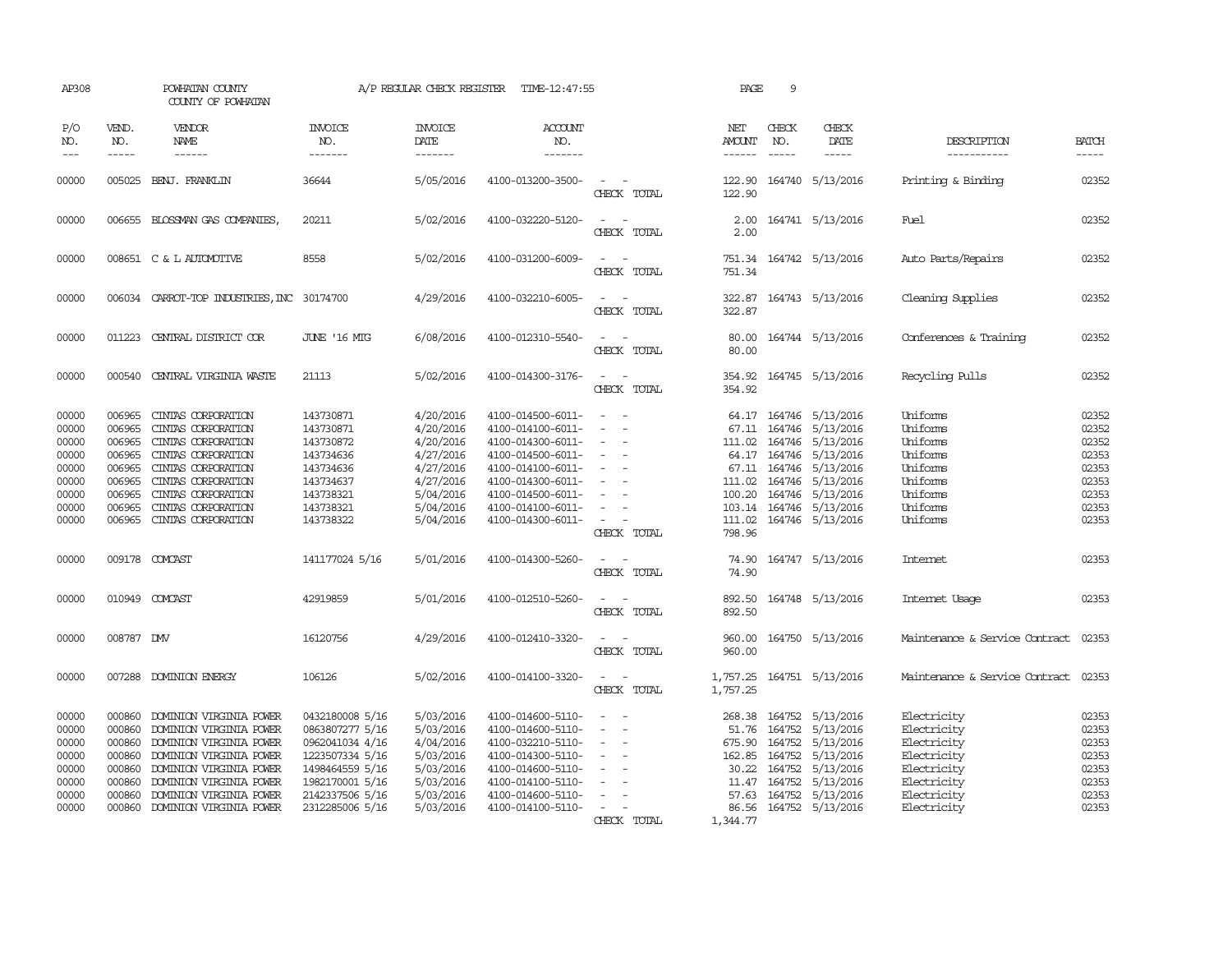| AP308                                                                         |                                                                                        | POWHATAN COUNTY<br>COUNTY OF POWHATAN                                                                                                                                                                                |                                                                                                                                                      | A/P REGULAR CHECK REGISTER                                                                                        | TIME-12:47:55                                                                                                                                                                             |                                                                                                                                 | PAGE                                                                     | 9                |                                                                                                                                                                                  |                                                                                                                      |                                                                               |
|-------------------------------------------------------------------------------|----------------------------------------------------------------------------------------|----------------------------------------------------------------------------------------------------------------------------------------------------------------------------------------------------------------------|------------------------------------------------------------------------------------------------------------------------------------------------------|-------------------------------------------------------------------------------------------------------------------|-------------------------------------------------------------------------------------------------------------------------------------------------------------------------------------------|---------------------------------------------------------------------------------------------------------------------------------|--------------------------------------------------------------------------|------------------|----------------------------------------------------------------------------------------------------------------------------------------------------------------------------------|----------------------------------------------------------------------------------------------------------------------|-------------------------------------------------------------------------------|
| P/O<br>NO.<br>$---$                                                           | VEND.<br>NO.<br>$- - - - -$                                                            | VENDOR<br><b>NAME</b><br>------                                                                                                                                                                                      | <b>INVOICE</b><br>NO.<br>-------                                                                                                                     | <b>INVOICE</b><br>DATE<br>-------                                                                                 | <b>ACCOUNT</b><br>NO.<br>-------                                                                                                                                                          |                                                                                                                                 | NET<br>AMOUNT<br>------                                                  | CHECK<br>NO.     | CHECK<br>DATE<br>$- - - - -$                                                                                                                                                     | DESCRIPTION<br>-----------                                                                                           | <b>BATCH</b><br>-----                                                         |
| 00000                                                                         |                                                                                        | 005025 BENJ. FRANKLIN                                                                                                                                                                                                | 36644                                                                                                                                                | 5/05/2016                                                                                                         | 4100-013200-3500-                                                                                                                                                                         | $\equiv$<br>CHECK TOTAL                                                                                                         | 122.90<br>122.90                                                         |                  | 164740 5/13/2016                                                                                                                                                                 | Printing & Binding                                                                                                   | 02352                                                                         |
| 00000                                                                         |                                                                                        | 006655 BLOSSMAN GAS COMPANIES,                                                                                                                                                                                       | 20211                                                                                                                                                | 5/02/2016                                                                                                         | 4100-032220-5120-                                                                                                                                                                         | $\equiv$<br>CHECK TOTAL                                                                                                         | 2.00<br>2.00                                                             |                  | 164741 5/13/2016                                                                                                                                                                 | Fuel                                                                                                                 | 02352                                                                         |
| 00000                                                                         |                                                                                        | 008651 C & L AUTOMOTIVE                                                                                                                                                                                              | 8558                                                                                                                                                 | 5/02/2016                                                                                                         | 4100-031200-6009-                                                                                                                                                                         | $\sim$<br>CHECK TOTAL                                                                                                           | 751.34                                                                   |                  | 751.34 164742 5/13/2016                                                                                                                                                          | Auto Parts/Repairs                                                                                                   | 02352                                                                         |
| 00000                                                                         |                                                                                        | 006034 CARROT-TOP INDUSTRIES, INC 30174700                                                                                                                                                                           |                                                                                                                                                      | 4/29/2016                                                                                                         | 4100-032210-6005-                                                                                                                                                                         | CHECK TOTAL                                                                                                                     | 322.87                                                                   |                  | 322.87 164743 5/13/2016                                                                                                                                                          | Cleaning Supplies                                                                                                    | 02352                                                                         |
| 00000                                                                         |                                                                                        | 011223 CENTRAL DISTRICT COR                                                                                                                                                                                          | <b>JUNE '16 MIG</b>                                                                                                                                  | 6/08/2016                                                                                                         | 4100-012310-5540-                                                                                                                                                                         | CHECK TOTAL                                                                                                                     | 80.00<br>80.00                                                           |                  | 164744 5/13/2016                                                                                                                                                                 | Conferences & Training                                                                                               | 02352                                                                         |
| 00000                                                                         |                                                                                        | 000540 CENTRAL VIRGINIA WASTE                                                                                                                                                                                        | 21113                                                                                                                                                | 5/02/2016                                                                                                         | 4100-014300-3176-                                                                                                                                                                         | $\frac{1}{2} \left( \frac{1}{2} \right) \left( \frac{1}{2} \right) = \frac{1}{2} \left( \frac{1}{2} \right)$<br>CHECK TOTAL     | 354.92                                                                   |                  | 354.92 164745 5/13/2016                                                                                                                                                          | Recycling Pulls                                                                                                      | 02352                                                                         |
| 00000<br>00000<br>00000<br>00000<br>00000<br>00000<br>00000<br>00000<br>00000 | 006965<br>006965<br>006965<br>006965<br>006965<br>006965<br>006965<br>006965<br>006965 | CINIAS CORPORATION<br>CINIAS CORPORATION<br>CINIAS CORPORATION<br>CINIAS CORPORATION<br>CINIAS CORPORATION<br>CINIAS CORPORATION<br>CINIAS CORPORATION<br>CINIAS CORPORATION<br>CINIAS CORPORATION                   | 143730871<br>143730871<br>143730872<br>143734636<br>143734636<br>143734637<br>143738321<br>143738321<br>143738322                                    | 4/20/2016<br>4/20/2016<br>4/20/2016<br>4/27/2016<br>4/27/2016<br>4/27/2016<br>5/04/2016<br>5/04/2016<br>5/04/2016 | 4100-014500-6011-<br>4100-014100-6011-<br>4100-014300-6011-<br>4100-014500-6011-<br>4100-014100-6011-<br>4100-014300-6011-<br>4100-014500-6011-<br>4100-014100-6011-<br>4100-014300-6011- | $\equiv$<br>$\sim$<br>$\overline{\phantom{a}}$<br>$\overline{\phantom{a}}$<br>$\overline{\phantom{a}}$<br>$\sim$<br>CHECK TOTAL | 64.17<br>67.11<br>111.02<br>64.17<br>67.11<br>111.02<br>100.20<br>798.96 | 164746<br>164746 | 164746 5/13/2016<br>164746 5/13/2016<br>164746 5/13/2016<br>5/13/2016<br>164746 5/13/2016<br>5/13/2016<br>164746 5/13/2016<br>103.14 164746 5/13/2016<br>111.02 164746 5/13/2016 | <b>Uniforms</b><br>Uniforms<br>Uniforms<br>Uniforms<br>Uniforms<br>Uniforms<br>Uniforms<br>Uniforms<br>Uniforms      | 02352<br>02352<br>02352<br>02353<br>02353<br>02353<br>02353<br>02353<br>02353 |
| 00000                                                                         |                                                                                        | 009178 COMCAST                                                                                                                                                                                                       | 141177024 5/16                                                                                                                                       | 5/01/2016                                                                                                         | 4100-014300-5260-                                                                                                                                                                         | CHECK TOTAL                                                                                                                     | 74.90<br>74.90                                                           |                  | 164747 5/13/2016                                                                                                                                                                 | <b>Internet</b>                                                                                                      | 02353                                                                         |
| 00000                                                                         |                                                                                        | 010949 COMCAST                                                                                                                                                                                                       | 42919859                                                                                                                                             | 5/01/2016                                                                                                         | 4100-012510-5260-                                                                                                                                                                         | CHECK TOTAL                                                                                                                     | 892.50<br>892.50                                                         |                  | 164748 5/13/2016                                                                                                                                                                 | Internet Usage                                                                                                       | 02353                                                                         |
| 00000                                                                         | 008787 DW                                                                              |                                                                                                                                                                                                                      | 16120756                                                                                                                                             | 4/29/2016                                                                                                         | 4100-012410-3320-                                                                                                                                                                         | CHECK TOTAL                                                                                                                     | 960.00<br>960.00                                                         |                  | 164750 5/13/2016                                                                                                                                                                 | Maintenance & Service Contract                                                                                       | 02353                                                                         |
| 00000                                                                         |                                                                                        | 007288 DOMINION ENERGY                                                                                                                                                                                               | 106126                                                                                                                                               | 5/02/2016                                                                                                         | 4100-014100-3320-                                                                                                                                                                         | $\frac{1}{2} \left( \frac{1}{2} \right) \left( \frac{1}{2} \right) = \frac{1}{2} \left( \frac{1}{2} \right)$<br>CHECK TOTAL     | 1,757.25<br>1,757.25                                                     |                  | 164751 5/13/2016                                                                                                                                                                 | Maintenance & Service Contract                                                                                       | 02353                                                                         |
| 00000<br>00000<br>00000<br>00000<br>00000<br>00000<br>00000<br>00000          | 000860<br>000860<br>000860<br>000860<br>000860<br>000860<br>000860<br>000860           | DOMINION VIRGINIA POWER<br>DOMINION VIRGINIA POWER<br>DOMINION VIRGINIA POWER<br>DOMINION VIRGINIA POWER<br>DOMINION VIRGINIA POWER<br>DOMINION VIRGINIA POWER<br>DOMINION VIRGINIA POWER<br>DOMINION VIRGINIA POWER | 0432180008 5/16<br>0863807277 5/16<br>0962041034 4/16<br>1223507334 5/16<br>1498464559 5/16<br>1982170001 5/16<br>2142337506 5/16<br>2312285006 5/16 | 5/03/2016<br>5/03/2016<br>4/04/2016<br>5/03/2016<br>5/03/2016<br>5/03/2016<br>5/03/2016<br>5/03/2016              | 4100-014600-5110-<br>4100-014600-5110-<br>4100-032210-5110-<br>4100-014300-5110-<br>4100-014600-5110-<br>4100-014100-5110-<br>4100-014600-5110-<br>4100-014100-5110-                      | $\equiv$<br>$\equiv$<br>$\equiv$<br>$\equiv$<br>CHECK TOTAL                                                                     | 268.38<br>51.76<br>675.90<br>30.22<br>57.63<br>86.56<br>1,344.77         |                  | 164752 5/13/2016<br>164752 5/13/2016<br>164752 5/13/2016<br>162.85 164752 5/13/2016<br>164752 5/13/2016<br>11.47 164752 5/13/2016<br>164752 5/13/2016<br>164752 5/13/2016        | Electricity<br>Electricity<br>Electricity<br>Electricity<br>Electricity<br>Electricity<br>Electricity<br>Electricity | 02353<br>02353<br>02353<br>02353<br>02353<br>02353<br>02353<br>02353          |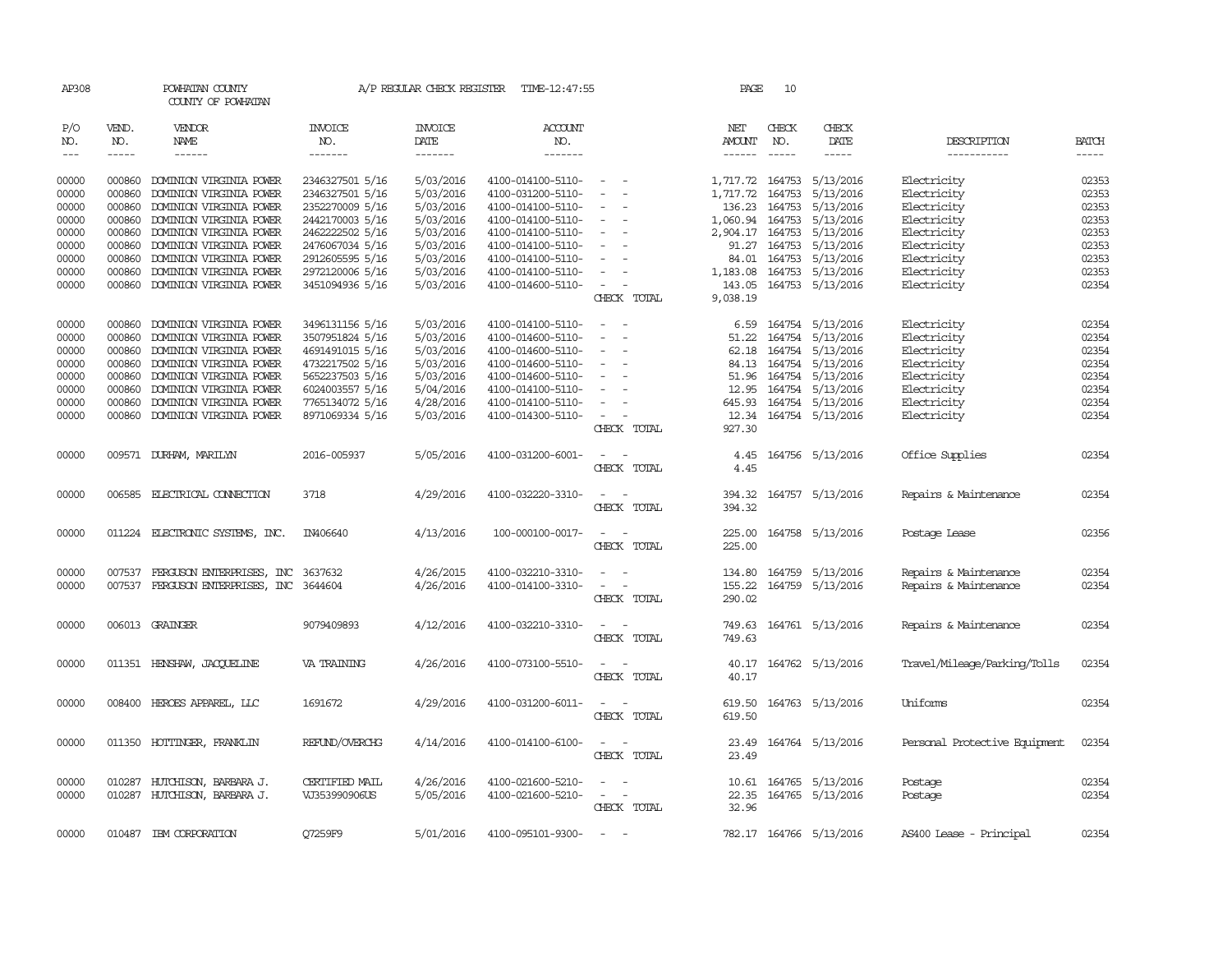| AP308                                                                                  |                                                                                                  | POWHATAN COUNTY<br>COUNTY OF POWHATAN                                                                                                                                                                                                                                      |                                                                                                                                                                                            | A/P REGULAR CHECK REGISTER                                                                                                     | TIME-12:47:55                                                                                                                                                                                                  |                                                                                                                       | PAGE                                                                                                      | 10                               |                                                                                                                                                                                       |                                                                                                                                                    |                                                                                        |
|----------------------------------------------------------------------------------------|--------------------------------------------------------------------------------------------------|----------------------------------------------------------------------------------------------------------------------------------------------------------------------------------------------------------------------------------------------------------------------------|--------------------------------------------------------------------------------------------------------------------------------------------------------------------------------------------|--------------------------------------------------------------------------------------------------------------------------------|----------------------------------------------------------------------------------------------------------------------------------------------------------------------------------------------------------------|-----------------------------------------------------------------------------------------------------------------------|-----------------------------------------------------------------------------------------------------------|----------------------------------|---------------------------------------------------------------------------------------------------------------------------------------------------------------------------------------|----------------------------------------------------------------------------------------------------------------------------------------------------|----------------------------------------------------------------------------------------|
| P/O<br>NO.<br>$\qquad \qquad - -$                                                      | VEND.<br>NO.<br>$- - - - -$                                                                      | VENDOR<br>NAME<br>------                                                                                                                                                                                                                                                   | <b>INVOICE</b><br>NO.<br>-------                                                                                                                                                           | <b>INVOICE</b><br>DATE<br>-------                                                                                              | <b>ACCOUNT</b><br>NO.<br>$- - - - - - -$                                                                                                                                                                       |                                                                                                                       | NET<br>AMOUNT<br>$- - - - - -$                                                                            | CHECK<br>NO.<br>$\frac{1}{2}$    | CHECK<br>DATE<br>$- - - - -$                                                                                                                                                          | DESCRIPTION<br>-----------                                                                                                                         | <b>BATCH</b><br>-----                                                                  |
| 00000<br>00000<br>00000<br>00000<br>00000<br>00000<br>00000<br>00000<br>00000<br>00000 | 000860<br>000860<br>000860<br>000860<br>000860<br>000860<br>000860<br>000860<br>000860<br>000860 | DOMINION VIRGINIA POWER<br>DOMINION VIRGINIA POWER<br>DOMINION VIRGINIA POWER<br>DOMINION VIRGINIA POWER<br>DOMINION VIRGINIA POWER<br>DOMINION VIRGINIA POWER<br>DOMINION VIRGINIA POWER<br>DOMINION VIRGINIA POWER<br>DOMINION VIRGINIA POWER<br>DOMINION VIRGINIA POWER | 2346327501 5/16<br>2346327501 5/16<br>2352270009 5/16<br>2442170003 5/16<br>2462222502 5/16<br>2476067034 5/16<br>2912605595 5/16<br>2972120006 5/16<br>3451094936 5/16<br>3496131156 5/16 | 5/03/2016<br>5/03/2016<br>5/03/2016<br>5/03/2016<br>5/03/2016<br>5/03/2016<br>5/03/2016<br>5/03/2016<br>5/03/2016<br>5/03/2016 | 4100-014100-5110-<br>4100-031200-5110-<br>4100-014100-5110-<br>4100-014100-5110-<br>4100-014100-5110-<br>4100-014100-5110-<br>4100-014100-5110-<br>4100-014100-5110-<br>4100-014600-5110-<br>4100-014100-5110- | $\overline{\phantom{a}}$<br>$\overline{\phantom{a}}$<br>$\equiv$<br>$\sim$<br>$\sim$<br>CHECK TOTAL<br>$\overline{a}$ | 1,717.72<br>1,717.72<br>136.23<br>1,060.94<br>2,904.17<br>91.27<br>1,183.08<br>143.05<br>9,038.19<br>6.59 | 164753<br>164753<br>164753       | 5/13/2016<br>5/13/2016<br>164753 5/13/2016<br>5/13/2016<br>164753 5/13/2016<br>164753 5/13/2016<br>84.01 164753 5/13/2016<br>164753 5/13/2016<br>164753 5/13/2016<br>164754 5/13/2016 | Electricity<br>Electricity<br>Electricity<br>Electricity<br>Electricity<br>Electricity<br>Electricity<br>Electricity<br>Electricity<br>Electricity | 02353<br>02353<br>02353<br>02353<br>02353<br>02353<br>02353<br>02353<br>02354<br>02354 |
| 00000<br>00000<br>00000<br>00000<br>00000<br>00000<br>00000                            | 000860<br>000860<br>000860<br>000860<br>000860<br>000860<br>000860                               | DOMINION VIRGINIA POWER<br>DOMINION VIRGINIA POWER<br>DOMINION VIRGINIA POWER<br>DOMINION VIRGINIA POWER<br>DOMINION VIRGINIA POWER<br>DOMINION VIRGINIA POWER<br>DOMINION VIRGINIA POWER                                                                                  | 3507951824 5/16<br>4691491015 5/16<br>4732217502 5/16<br>5652237503 5/16<br>6024003557 5/16<br>7765134072 5/16<br>8971069334 5/16                                                          | 5/03/2016<br>5/03/2016<br>5/03/2016<br>5/03/2016<br>5/04/2016<br>4/28/2016<br>5/03/2016                                        | 4100-014600-5110-<br>4100-014600-5110-<br>4100-014600-5110-<br>4100-014600-5110-<br>4100-014100-5110-<br>4100-014100-5110-<br>4100-014300-5110-                                                                | $\overline{\phantom{a}}$<br>$\overline{\phantom{a}}$<br>$\equiv$<br>CHECK TOTAL                                       | 51.22<br>62.18<br>51.96<br>12.95<br>645.93<br>12.34<br>927.30                                             | 164754<br>164754<br>84.13 164754 | 5/13/2016<br>5/13/2016<br>5/13/2016<br>164754 5/13/2016<br>164754 5/13/2016<br>164754 5/13/2016<br>164754 5/13/2016                                                                   | Electricity<br>Electricity<br>Electricity<br>Electricity<br>Electricity<br>Electricity<br>Electricity                                              | 02354<br>02354<br>02354<br>02354<br>02354<br>02354<br>02354                            |
| 00000<br>00000                                                                         |                                                                                                  | 009571 DURHAM, MARILYN<br>006585 ELECTRICAL CONNECTION                                                                                                                                                                                                                     | 2016-005937<br>3718                                                                                                                                                                        | 5/05/2016<br>4/29/2016                                                                                                         | 4100-031200-6001-<br>4100-032220-3310-                                                                                                                                                                         | $\sim$<br>CHECK TOTAL<br>$ -$                                                                                         | 4.45<br>4.45<br>394.32                                                                                    |                                  | 164756 5/13/2016<br>164757 5/13/2016                                                                                                                                                  | Office Supplies<br>Repairs & Maintenance                                                                                                           | 02354<br>02354                                                                         |
| 00000                                                                                  |                                                                                                  | 011224 ELECTRONIC SYSTEMS, INC.                                                                                                                                                                                                                                            | IN406640                                                                                                                                                                                   | 4/13/2016                                                                                                                      | 100-000100-0017-                                                                                                                                                                                               | CHECK TOTAL<br>$\sim$<br>$\sim$<br>CHECK TOTAL                                                                        | 394.32<br>225.00<br>225.00                                                                                |                                  | 164758 5/13/2016                                                                                                                                                                      | Postage Lease                                                                                                                                      | 02356                                                                                  |
| 00000<br>00000                                                                         | 007537                                                                                           | FERGUSON ENTERPRISES, INC<br>007537 FERGUSON ENTERPRISES, INC 3644604                                                                                                                                                                                                      | 3637632                                                                                                                                                                                    | 4/26/2015<br>4/26/2016                                                                                                         | 4100-032210-3310-<br>4100-014100-3310-                                                                                                                                                                         | $\sim$ $ \sim$<br>CHECK TOTAL                                                                                         | 155.22<br>290.02                                                                                          |                                  | 134.80 164759 5/13/2016<br>164759 5/13/2016                                                                                                                                           | Repairs & Maintenance<br>Repairs & Maintenance                                                                                                     | 02354<br>02354                                                                         |
| 00000                                                                                  |                                                                                                  | 006013 GRAINGER                                                                                                                                                                                                                                                            | 9079409893                                                                                                                                                                                 | 4/12/2016                                                                                                                      | 4100-032210-3310-                                                                                                                                                                                              | $\overline{\phantom{a}}$<br>$\overline{\phantom{a}}$<br>CHECK TOTAL                                                   | 749.63<br>749.63                                                                                          |                                  | 164761 5/13/2016                                                                                                                                                                      | Repairs & Maintenance                                                                                                                              | 02354                                                                                  |
| 00000                                                                                  |                                                                                                  | 011351 HENSHAW, JACOUELINE                                                                                                                                                                                                                                                 | VA TRAINING                                                                                                                                                                                | 4/26/2016                                                                                                                      | 4100-073100-5510-                                                                                                                                                                                              | $\overline{\phantom{a}}$<br>$\overline{\phantom{a}}$<br>CHECK TOTAL                                                   | 40.17<br>40.17                                                                                            |                                  | 164762 5/13/2016                                                                                                                                                                      | Travel/Mileage/Parking/Tolls                                                                                                                       | 02354                                                                                  |
| 00000                                                                                  |                                                                                                  | 008400 HEROES APPAREL, LLC                                                                                                                                                                                                                                                 | 1691672                                                                                                                                                                                    | 4/29/2016                                                                                                                      | 4100-031200-6011-                                                                                                                                                                                              | $\sim$<br>- -<br>CHECK TOTAL                                                                                          | 619.50<br>619.50                                                                                          |                                  | 164763 5/13/2016                                                                                                                                                                      | Uniforms                                                                                                                                           | 02354                                                                                  |
| 00000                                                                                  |                                                                                                  | 011350 HOTTINGER, FRANKLIN                                                                                                                                                                                                                                                 | REFUND/OVERCHG                                                                                                                                                                             | 4/14/2016                                                                                                                      | 4100-014100-6100-                                                                                                                                                                                              | CHECK TOTAL                                                                                                           | 23.49                                                                                                     |                                  | 23.49 164764 5/13/2016                                                                                                                                                                | Personal Protective Equipment                                                                                                                      | 02354                                                                                  |
| 00000<br>00000                                                                         | 010287                                                                                           | HUTCHISON, BARBARA J.<br>010287 HUTCHISON, BARBARA J.                                                                                                                                                                                                                      | CERTIFIED MAIL<br>VJ353990906US                                                                                                                                                            | 4/26/2016<br>5/05/2016                                                                                                         | 4100-021600-5210-<br>4100-021600-5210-                                                                                                                                                                         | $\sim$<br>$\overline{\phantom{a}}$<br>CHECK TOTAL                                                                     | 10.61<br>22.35<br>32.96                                                                                   |                                  | 164765 5/13/2016<br>164765 5/13/2016                                                                                                                                                  | Postage<br>Postage                                                                                                                                 | 02354<br>02354                                                                         |
| 00000                                                                                  |                                                                                                  | 010487 IBM CORPORATION                                                                                                                                                                                                                                                     | Q7259F9                                                                                                                                                                                    | 5/01/2016                                                                                                                      | 4100-095101-9300-                                                                                                                                                                                              | $\sim$                                                                                                                |                                                                                                           |                                  | 782.17 164766 5/13/2016                                                                                                                                                               | AS400 Lease - Principal                                                                                                                            | 02354                                                                                  |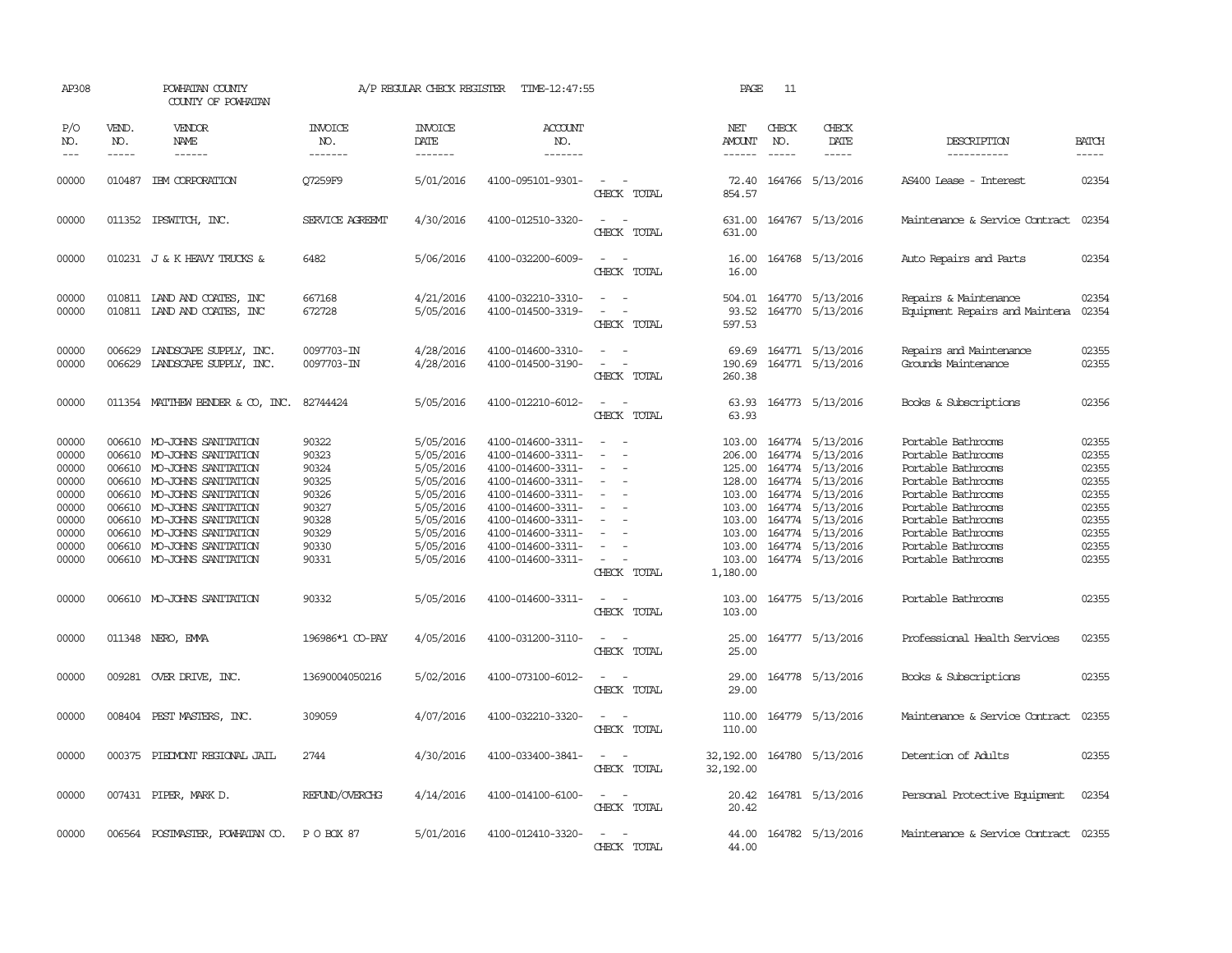| AP308                                                                                  |                               | POWHATAN COUNTY<br>COUNTY OF POWHATAN                                                                                                                                                                                                                                                      |                                                                                        | A/P REGULAR CHECK REGISTER                                                                                                     | TIME-12:47:55                                                                                                                                                                                                  |                                                                                                                                                                                 | PAGE                                      | 11                          |                                                                                                                                                                                                                                                              |                                                                                                                                                                                                                          |                                                                                        |
|----------------------------------------------------------------------------------------|-------------------------------|--------------------------------------------------------------------------------------------------------------------------------------------------------------------------------------------------------------------------------------------------------------------------------------------|----------------------------------------------------------------------------------------|--------------------------------------------------------------------------------------------------------------------------------|----------------------------------------------------------------------------------------------------------------------------------------------------------------------------------------------------------------|---------------------------------------------------------------------------------------------------------------------------------------------------------------------------------|-------------------------------------------|-----------------------------|--------------------------------------------------------------------------------------------------------------------------------------------------------------------------------------------------------------------------------------------------------------|--------------------------------------------------------------------------------------------------------------------------------------------------------------------------------------------------------------------------|----------------------------------------------------------------------------------------|
| P/O<br>NO.<br>$- - -$                                                                  | VEND.<br>NO.<br>$\frac{1}{2}$ | VENDOR<br>NAME                                                                                                                                                                                                                                                                             | <b>INVOICE</b><br>NO.<br>-------                                                       | <b>INVOICE</b><br>DATE<br>--------                                                                                             | <b>ACCOUNT</b><br>NO.<br>-------                                                                                                                                                                               |                                                                                                                                                                                 | NET<br>AMOUNT<br>------                   | CHECK<br>NO.<br>$- - - - -$ | CHECK<br>DATE<br>$- - - - -$                                                                                                                                                                                                                                 | DESCRIPTION<br>------------                                                                                                                                                                                              | <b>BATCH</b><br>$- - - - -$                                                            |
| 00000                                                                                  |                               | 010487 IBM CORPORATION                                                                                                                                                                                                                                                                     | O7259F9                                                                                | 5/01/2016                                                                                                                      | 4100-095101-9301-                                                                                                                                                                                              | $\sim$ $ -$<br>CHECK TOTAL                                                                                                                                                      | 854.57                                    |                             | 72.40 164766 5/13/2016                                                                                                                                                                                                                                       | AS400 Lease - Interest                                                                                                                                                                                                   | 02354                                                                                  |
| 00000                                                                                  |                               | 011352 IPSWITCH, INC.                                                                                                                                                                                                                                                                      | SERVICE AGREEMT                                                                        | 4/30/2016                                                                                                                      | 4100-012510-3320-                                                                                                                                                                                              | CHECK TOTAL                                                                                                                                                                     | 631.00                                    |                             | 631.00 164767 5/13/2016                                                                                                                                                                                                                                      | Maintenance & Service Contract                                                                                                                                                                                           | 02354                                                                                  |
| 00000                                                                                  |                               | 010231 J & K HEAVY TRUCKS &                                                                                                                                                                                                                                                                | 6482                                                                                   | 5/06/2016                                                                                                                      | 4100-032200-6009-                                                                                                                                                                                              | $\sim$ $\sim$<br>CHECK TOTAL                                                                                                                                                    | 16.00<br>16.00                            |                             | 164768 5/13/2016                                                                                                                                                                                                                                             | Auto Repairs and Parts                                                                                                                                                                                                   | 02354                                                                                  |
| 00000<br>00000                                                                         |                               | 010811 LAND AND COATES, INC<br>010811 IAND AND COATES, INC                                                                                                                                                                                                                                 | 667168<br>672728                                                                       | 4/21/2016<br>5/05/2016                                                                                                         | 4100-032210-3310-<br>4100-014500-3319-                                                                                                                                                                         | $\sim$<br>$\sim$<br>CHECK TOTAL                                                                                                                                                 | 93.52<br>597.53                           |                             | 504.01 164770 5/13/2016<br>164770 5/13/2016                                                                                                                                                                                                                  | Repairs & Maintenance<br>Equipment Repairs and Maintena                                                                                                                                                                  | 02354<br>02354                                                                         |
| 00000<br>00000                                                                         | 006629                        | LANDSCAPE SUPPLY, INC.<br>006629 LANDSCAPE SUPPLY, INC.                                                                                                                                                                                                                                    | 0097703-IN<br>0097703-IN                                                               | 4/28/2016<br>4/28/2016                                                                                                         | 4100-014600-3310-<br>4100-014500-3190-                                                                                                                                                                         | $\sim$<br>$\overline{\phantom{a}}$<br>CHECK TOTAL                                                                                                                               | 69.69<br>190.69<br>260.38                 |                             | 164771 5/13/2016<br>164771 5/13/2016                                                                                                                                                                                                                         | Repairs and Maintenance<br>Grounds Maintenance                                                                                                                                                                           | 02355<br>02355                                                                         |
| 00000                                                                                  |                               | 011354 MATTHEW BENDER & CO, INC.                                                                                                                                                                                                                                                           | 82744424                                                                               | 5/05/2016                                                                                                                      | 4100-012210-6012-                                                                                                                                                                                              | $\sim$ $\sim$<br>CHECK TOTAL                                                                                                                                                    | 63.93                                     |                             | 63.93 164773 5/13/2016                                                                                                                                                                                                                                       | Books & Subscriptions                                                                                                                                                                                                    | 02356                                                                                  |
| 00000<br>00000<br>00000<br>00000<br>00000<br>00000<br>00000<br>00000<br>00000<br>00000 | 006610<br>006610              | 006610 MO-JOHNS SANITATION<br>MO-JOHNS SANITATION<br>006610 MO-JOHNS SANITATION<br>MO-JOHNS SANITATION<br>006610 MO-JOHNS SANITATION<br>006610 MO-JOHNS SANITATION<br>006610 MO-JOHNS SANITATION<br>006610 MO-JOHNS SANITATION<br>006610 MO-JOHNS SANITATION<br>006610 MO-JOHNS SANITATION | 90322<br>90323<br>90324<br>90325<br>90326<br>90327<br>90328<br>90329<br>90330<br>90331 | 5/05/2016<br>5/05/2016<br>5/05/2016<br>5/05/2016<br>5/05/2016<br>5/05/2016<br>5/05/2016<br>5/05/2016<br>5/05/2016<br>5/05/2016 | 4100-014600-3311-<br>4100-014600-3311-<br>4100-014600-3311-<br>4100-014600-3311-<br>4100-014600-3311-<br>4100-014600-3311-<br>4100-014600-3311-<br>4100-014600-3311-<br>4100-014600-3311-<br>4100-014600-3311- | $\sim$<br>$\equiv$<br>$\overline{\phantom{a}}$<br>$\overline{\phantom{a}}$<br>$\overline{\phantom{a}}$<br>$\sim$<br>$\overline{\phantom{a}}$<br>$\sim$<br>$\sim$<br>CHECK TOTAL | 206.00<br>128.00<br>1,180.00              |                             | 103.00 164774 5/13/2016<br>164774 5/13/2016<br>125.00 164774 5/13/2016<br>164774 5/13/2016<br>103.00 164774 5/13/2016<br>103.00 164774 5/13/2016<br>103.00 164774 5/13/2016<br>103.00 164774 5/13/2016<br>103.00 164774 5/13/2016<br>103.00 164774 5/13/2016 | Portable Bathrooms<br>Portable Bathrooms<br>Portable Bathrooms<br>Portable Bathrooms<br>Portable Bathrooms<br>Portable Bathrooms<br>Portable Bathrooms<br>Portable Bathrooms<br>Portable Bathrooms<br>Portable Bathrooms | 02355<br>02355<br>02355<br>02355<br>02355<br>02355<br>02355<br>02355<br>02355<br>02355 |
| 00000                                                                                  |                               | 006610 MO-JOHNS SANITATION                                                                                                                                                                                                                                                                 | 90332                                                                                  | 5/05/2016                                                                                                                      | 4100-014600-3311-                                                                                                                                                                                              | $ -$<br>CHECK TOTAL                                                                                                                                                             | 103.00<br>103.00                          |                             | 164775 5/13/2016                                                                                                                                                                                                                                             | Portable Bathrooms                                                                                                                                                                                                       | 02355                                                                                  |
| 00000                                                                                  |                               | 011348 NERO, EMMA                                                                                                                                                                                                                                                                          | 196986*1 CO-PAY                                                                        | 4/05/2016                                                                                                                      | 4100-031200-3110-                                                                                                                                                                                              | CHECK TOTAL                                                                                                                                                                     | 25.00<br>25.00                            |                             | 164777 5/13/2016                                                                                                                                                                                                                                             | Professional Health Services                                                                                                                                                                                             | 02355                                                                                  |
| 00000                                                                                  |                               | 009281 OVER DRIVE, INC.                                                                                                                                                                                                                                                                    | 13690004050216                                                                         | 5/02/2016                                                                                                                      | 4100-073100-6012-                                                                                                                                                                                              | CHECK TOTAL                                                                                                                                                                     | 29.00<br>29.00                            |                             | 164778 5/13/2016                                                                                                                                                                                                                                             | Books & Subscriptions                                                                                                                                                                                                    | 02355                                                                                  |
| 00000                                                                                  |                               | 008404 PEST MASTERS, INC.                                                                                                                                                                                                                                                                  | 309059                                                                                 | 4/07/2016                                                                                                                      | 4100-032210-3320-                                                                                                                                                                                              | CHECK TOTAL                                                                                                                                                                     | 110.00<br>110.00                          |                             | 164779 5/13/2016                                                                                                                                                                                                                                             | Maintenance & Service Contract                                                                                                                                                                                           | 02355                                                                                  |
| 00000                                                                                  |                               | 000375 PIEDMONT REGIONAL JAIL                                                                                                                                                                                                                                                              | 2744                                                                                   | 4/30/2016                                                                                                                      | 4100-033400-3841-                                                                                                                                                                                              | $\overline{\phantom{a}}$<br>CHECK TOTAL                                                                                                                                         | 32, 192.00 164780 5/13/2016<br>32, 192.00 |                             |                                                                                                                                                                                                                                                              | Detention of Adults                                                                                                                                                                                                      | 02355                                                                                  |
| 00000                                                                                  |                               | 007431 PIPER, MARK D.                                                                                                                                                                                                                                                                      | REFUND/OVERCHG                                                                         | 4/14/2016                                                                                                                      | 4100-014100-6100-                                                                                                                                                                                              | CHECK TOTAL                                                                                                                                                                     | 20.42                                     |                             | 20.42 164781 5/13/2016                                                                                                                                                                                                                                       | Personal Protective Equipment                                                                                                                                                                                            | 02354                                                                                  |
| 00000                                                                                  |                               | 006564 POSTMASTER, POWHATAN CO. P O BOX 87                                                                                                                                                                                                                                                 |                                                                                        | 5/01/2016                                                                                                                      | 4100-012410-3320-                                                                                                                                                                                              | CHRCK TOTAL                                                                                                                                                                     | 44.00                                     |                             | 44.00 164782 5/13/2016                                                                                                                                                                                                                                       | Maintenance & Service Contract 02355                                                                                                                                                                                     |                                                                                        |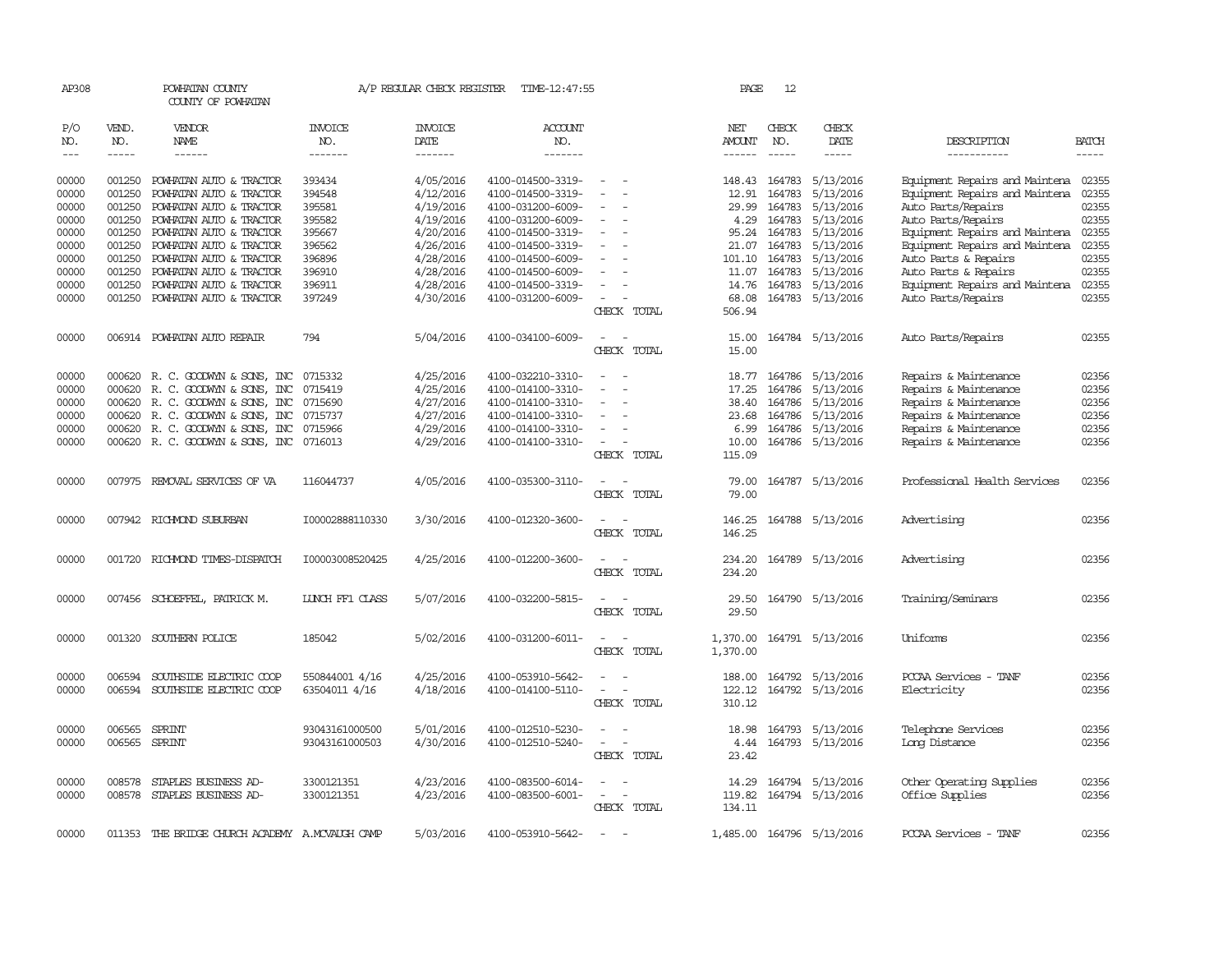| AP308      |               | POWHATAN COUNTY<br>COUNTY OF POWHATAN    |                       | A/P REGULAR CHECK REGISTER | TIME-12:47:55         |                                                      | PAGE          | 12            |                           |                                |              |
|------------|---------------|------------------------------------------|-----------------------|----------------------------|-----------------------|------------------------------------------------------|---------------|---------------|---------------------------|--------------------------------|--------------|
| P/O<br>NO. | VEND.<br>NO.  | VENDOR<br><b>NAME</b>                    | <b>INVOICE</b><br>NO. | <b>INVOICE</b><br>DATE     | <b>ACCOUNT</b><br>NO. |                                                      | NET<br>AMOUNT | CHECK<br>NO.  | CHECK<br>DATE             | DESCRIPTION                    | <b>BATCH</b> |
| $- - -$    | $- - - - -$   | $- - - - - -$                            | -------               | -------                    | -------               |                                                      | ------        | $- - - - -$   | -----                     | -----------                    | $- - - - -$  |
| 00000      | 001250        | POWHATAN AUTO & TRACTOR                  | 393434                | 4/05/2016                  | 4100-014500-3319-     | $\overline{\phantom{a}}$                             |               | 148.43 164783 | 5/13/2016                 | Equipment Repairs and Maintena | 02355        |
| 00000      | 001250        | POWHATAN AUTO & TRACTOR                  | 394548                | 4/12/2016                  | 4100-014500-3319-     |                                                      | 12.91         | 164783        | 5/13/2016                 | Equipment Repairs and Maintena | 02355        |
| 00000      | 001250        | POWHATAN AUTO & TRACTOR                  | 395581                | 4/19/2016                  | 4100-031200-6009-     |                                                      | 29.99         | 164783        | 5/13/2016                 | Auto Parts/Repairs             | 02355        |
| 00000      | 001250        | POWHATAN AUTO & TRACTOR                  | 395582                | 4/19/2016                  | 4100-031200-6009-     |                                                      | 4.29          | 164783        | 5/13/2016                 | Auto Parts/Repairs             | 02355        |
| 00000      | 001250        | POWHATAN AUTO & TRACTOR                  | 395667                | 4/20/2016                  | 4100-014500-3319-     | $\sim$                                               | 95.24         | 164783        | 5/13/2016                 | Equipment Repairs and Maintena | 02355        |
| 00000      | 001250        | POWHATAN AUTO & TRACTOR                  | 396562                | 4/26/2016                  | 4100-014500-3319-     |                                                      | 21.07         | 164783        | 5/13/2016                 | Equipment Repairs and Maintena | 02355        |
| 00000      | 001250        | POWHATAN AUTO & TRACTOR                  | 396896                | 4/28/2016                  | 4100-014500-6009-     |                                                      | 101.10        | 164783        | 5/13/2016                 | Auto Parts & Repairs           | 02355        |
| 00000      | 001250        | POWHATAN AUTO & TRACTOR                  | 396910                | 4/28/2016                  | 4100-014500-6009-     |                                                      | 11.07         | 164783        | 5/13/2016                 | Auto Parts & Repairs           | 02355        |
| 00000      | 001250        | POWHATAN AUTO & TRACTOR                  | 396911                | 4/28/2016                  | 4100-014500-3319-     |                                                      | 14.76         | 164783        | 5/13/2016                 | Equipment Repairs and Maintena | 02355        |
| 00000      |               | 001250 POWHATAN AUTO & TRACTOR           | 397249                | 4/30/2016                  | 4100-031200-6009-     |                                                      | 68.08         |               | 164783 5/13/2016          | Auto Parts/Repairs             | 02355        |
|            |               |                                          |                       |                            |                       | CHECK TOTAL                                          | 506.94        |               |                           |                                |              |
| 00000      |               | 006914 POWHATAN AUTO REPAIR              | 794                   | 5/04/2016                  | 4100-034100-6009-     | $\overline{\phantom{a}}$<br>$\overline{\phantom{a}}$ | 15.00         |               | 164784 5/13/2016          | Auto Parts/Repairs             | 02355        |
|            |               |                                          |                       |                            |                       | CHECK TOTAL                                          | 15.00         |               |                           |                                |              |
| 00000      |               | 000620 R. C. GOODWYN & SONS, INC         | 0715332               | 4/25/2016                  | 4100-032210-3310-     |                                                      | 18.77         |               | 164786 5/13/2016          | Repairs & Maintenance          | 02356        |
| 00000      | 000620        | R. C. GOODWYN & SONS, INC                | 0715419               | 4/25/2016                  | 4100-014100-3310-     |                                                      | 17.25         | 164786        | 5/13/2016                 | Repairs & Maintenance          | 02356        |
| 00000      |               | 000620 R. C. GOODWYN & SONS, INC         | 0715690               | 4/27/2016                  | 4100-014100-3310-     | $\equiv$                                             | 38.40         |               | 164786 5/13/2016          | Repairs & Maintenance          | 02356        |
| 00000      | 000620        | R. C. GOODWYN & SONS, INC                | 0715737               | 4/27/2016                  | 4100-014100-3310-     |                                                      | 23.68         | 164786        | 5/13/2016                 | Repairs & Maintenance          | 02356        |
| 00000      |               | 000620 R. C. GOODWYN & SONS, INC         | 0715966               | 4/29/2016                  | 4100-014100-3310-     |                                                      | 6.99          |               | 164786 5/13/2016          | Repairs & Maintenance          | 02356        |
| 00000      |               | 000620 R. C. GOODWYN & SONS, INC 0716013 |                       | 4/29/2016                  | 4100-014100-3310-     | $\equiv$                                             | 10.00         |               | 164786 5/13/2016          | Repairs & Maintenance          | 02356        |
|            |               |                                          |                       |                            |                       | CHECK TOTAL                                          | 115.09        |               |                           |                                |              |
| 00000      |               | 007975 REMOVAL SERVICES OF VA            | 116044737             | 4/05/2016                  | 4100-035300-3110-     | $\sim$ $\sim$                                        | 79.00         |               | 164787 5/13/2016          | Professional Health Services   | 02356        |
|            |               |                                          |                       |                            |                       | CHECK TOTAL                                          | 79.00         |               |                           |                                |              |
| 00000      |               | 007942 RICHMOND SUBURBAN                 | I00002888110330       | 3/30/2016                  | 4100-012320-3600-     | - -                                                  | 146.25        |               | 164788 5/13/2016          | Advertising                    | 02356        |
|            |               |                                          |                       |                            |                       | CHECK TOTAL                                          | 146.25        |               |                           |                                |              |
| 00000      |               | 001720 RICHMOND TIMES-DISPATCH           | 100003008520425       | 4/25/2016                  | 4100-012200-3600-     | $\overline{\phantom{a}}$                             | 234.20        |               | 164789 5/13/2016          | Advertising                    | 02356        |
|            |               |                                          |                       |                            |                       | CHECK TOTAL                                          | 234.20        |               |                           |                                |              |
| 00000      |               | 007456 SCHOEFFEL, PATRICK M.             | LUNCH FF1 CLASS       | 5/07/2016                  | 4100-032200-5815-     |                                                      | 29.50         |               | 164790 5/13/2016          | Training/Seminars              | 02356        |
|            |               |                                          |                       |                            |                       | CHECK TOTAL                                          | 29.50         |               |                           |                                |              |
| 00000      | 001320        | SOUTHERN POLICE                          | 185042                | 5/02/2016                  | 4100-031200-6011-     | $\overline{\phantom{a}}$                             | 1,370.00      |               | 164791 5/13/2016          | Uniforms                       | 02356        |
|            |               |                                          |                       |                            |                       | CHECK TOTAL                                          | 1,370.00      |               |                           |                                |              |
| 00000      | 006594        | SOUTHSIDE ELECTRIC COOP                  | 550844001 4/16        | 4/25/2016                  | 4100-053910-5642-     |                                                      | 188.00        |               | 164792 5/13/2016          | PCCAA Services - TANF          | 02356        |
| 00000      | 006594        | SOUTHSIDE ELECTRIC COOP                  | 63504011 4/16         | 4/18/2016                  | 4100-014100-5110-     |                                                      | 122.12        |               | 164792 5/13/2016          | Electricity                    | 02356        |
|            |               |                                          |                       |                            |                       | CHECK TOTAL                                          | 310.12        |               |                           |                                |              |
| 00000      | 006565        | SPRINT                                   | 93043161000500        | 5/01/2016                  | 4100-012510-5230-     |                                                      | 18.98         |               | 164793 5/13/2016          | Telephone Services             | 02356        |
| 00000      | 006565 SPRINT |                                          | 93043161000503        | 4/30/2016                  | 4100-012510-5240-     | $\equiv$<br>$\sim$                                   | 4.44          |               | 164793 5/13/2016          | Long Distance                  | 02356        |
|            |               |                                          |                       |                            |                       | CHECK TOTAL                                          | 23.42         |               |                           |                                |              |
| 00000      | 008578        | STAPLES BUSINESS AD-                     | 3300121351            | 4/23/2016                  | 4100-083500-6014-     |                                                      |               |               | 14.29 164794 5/13/2016    | Other Operating Supplies       | 02356        |
| 00000      |               | 008578 STAPLES BUSINESS AD-              | 3300121351            | 4/23/2016                  | 4100-083500-6001-     | $\overline{\phantom{a}}$<br>$\overline{a}$           | 119.82        |               | 164794 5/13/2016          | Office Supplies                | 02356        |
|            |               |                                          |                       |                            |                       | CHECK TOTAL                                          | 134.11        |               |                           |                                |              |
| 00000      | 011353        | THE BRIDGE CHURCH ACADEMY A.MCVAUGH CAMP |                       | 5/03/2016                  | 4100-053910-5642-     |                                                      |               |               | 1,485.00 164796 5/13/2016 | PCCAA Services - TANF          | 02356        |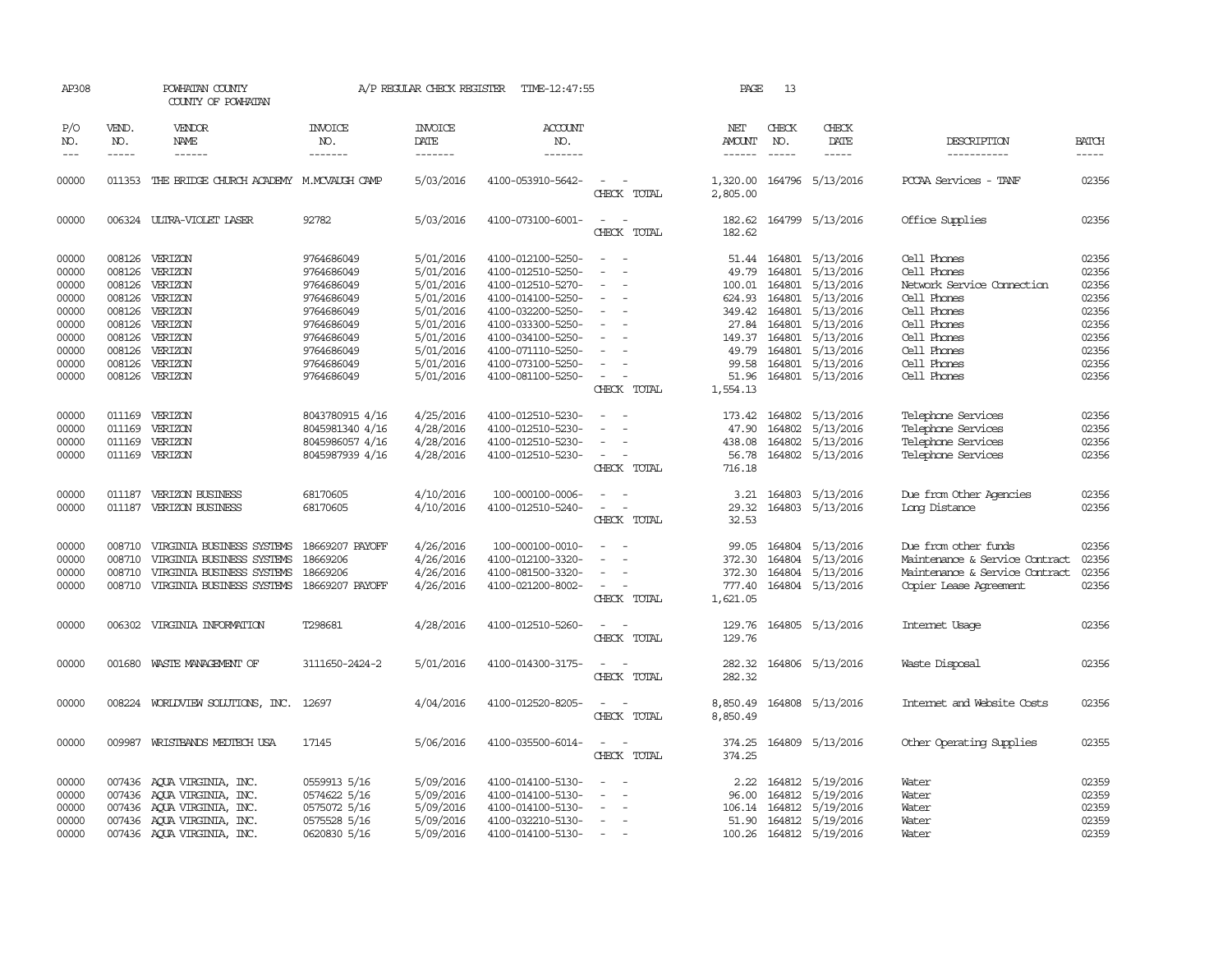| AP308                                     |                                      | POWHATAN COUNTY<br>COUNTY OF POWHATAN                                                                            |                                                                          | A/P REGULAR CHECK REGISTER                                    | TIME-12:47:55                                                                                         |                                                      | PAGE                                            | 13                                                   |                                                                |                                                                                                                    |                                           |
|-------------------------------------------|--------------------------------------|------------------------------------------------------------------------------------------------------------------|--------------------------------------------------------------------------|---------------------------------------------------------------|-------------------------------------------------------------------------------------------------------|------------------------------------------------------|-------------------------------------------------|------------------------------------------------------|----------------------------------------------------------------|--------------------------------------------------------------------------------------------------------------------|-------------------------------------------|
| P/O<br>NO.<br>$---$                       | VEND.<br>NO.<br>$- - - - -$          | VENDOR<br>NAME                                                                                                   | <b>INVOICE</b><br>NO.<br>-------                                         | <b>INVOICE</b><br><b>DATE</b><br>-------                      | <b>ACCOUNT</b><br>NO.<br>-------                                                                      |                                                      | NET<br><b>AMOUNT</b><br>------                  | CHECK<br>NO.<br>$\frac{1}{2}$                        | CHECK<br>DATE<br>-----                                         | DESCRIPTION<br>-----------                                                                                         | <b>BATCH</b><br>-----                     |
| 00000                                     |                                      | 011353 THE BRIDGE CHURCH ACADEMY M.MCVAUGH CAMP                                                                  |                                                                          | 5/03/2016                                                     | 4100-053910-5642-                                                                                     | CHECK TOTAL                                          | 1,320.00<br>2,805.00                            |                                                      | 164796 5/13/2016                                               | PCCAA Services - TANF                                                                                              | 02356                                     |
| 00000                                     |                                      | 006324 ULTRA-VIOLET LASER                                                                                        | 92782                                                                    | 5/03/2016                                                     | 4100-073100-6001-                                                                                     | $\sim$<br>$\overline{\phantom{a}}$<br>CHECK<br>TOTAL | 182.62                                          |                                                      | 182.62 164799 5/13/2016                                        | Office Supplies                                                                                                    | 02356                                     |
| 00000<br>00000<br>00000<br>00000          | 008126<br>008126                     | 008126 VERIZON<br>VERIZON<br>VERIZON<br>008126 VERIZON                                                           | 9764686049<br>9764686049<br>9764686049<br>9764686049                     | 5/01/2016<br>5/01/2016<br>5/01/2016<br>5/01/2016              | 4100-012100-5250-<br>4100-012510-5250-<br>4100-012510-5270-<br>4100-014100-5250-                      | $\sim$<br>$\overline{\phantom{a}}$                   | 49.79<br>100.01<br>624.93                       | 164801<br>164801<br>164801                           | 51.44 164801 5/13/2016<br>5/13/2016<br>5/13/2016<br>5/13/2016  | Cell Phones<br>Cell Phones<br>Network Service Cornection<br>Cell Phones                                            | 02356<br>02356<br>02356<br>02356          |
| 00000<br>00000<br>00000<br>00000<br>00000 | 008126<br>008126                     | 008126 VERIZON<br>008126 VERIZON<br>008126 VERIZON<br>VERIZON<br>VERIZON                                         | 9764686049<br>9764686049<br>9764686049<br>9764686049<br>9764686049       | 5/01/2016<br>5/01/2016<br>5/01/2016<br>5/01/2016<br>5/01/2016 | 4100-032200-5250-<br>4100-033300-5250-<br>4100-034100-5250-<br>4100-071110-5250-<br>4100-073100-5250- | $\overline{\phantom{a}}$<br>$\sim$                   | 349.42<br>27.84<br>149.37<br>99.58              | 164801<br>164801<br>164801<br>49.79 164801<br>164801 | 5/13/2016<br>5/13/2016<br>5/13/2016<br>5/13/2016<br>5/13/2016  | Cell Phones<br>Cell Phones<br>Cell Phones<br>Cell Phones<br>Cell Phones                                            | 02356<br>02356<br>02356<br>02356<br>02356 |
| 00000                                     |                                      | 008126 VERIZON                                                                                                   | 9764686049                                                               | 5/01/2016                                                     | 4100-081100-5250-                                                                                     | $\overline{\phantom{a}}$<br>CHECK TOTAL              | 51.96<br>1,554.13                               |                                                      | 164801 5/13/2016                                               | Cell Phones                                                                                                        | 02356                                     |
| 00000<br>00000<br>00000<br>00000          | 011169<br>011169<br>011169<br>011169 | VERIZON<br>VERIZON<br>VERIZON<br>VERIZON                                                                         | 8043780915 4/16<br>8045981340 4/16<br>8045986057 4/16<br>8045987939 4/16 | 4/25/2016<br>4/28/2016<br>4/28/2016<br>4/28/2016              | 4100-012510-5230-<br>4100-012510-5230-<br>4100-012510-5230-<br>4100-012510-5230-                      | $\sim$<br>$\sim$<br>CHECK TOTAL                      | 173.42<br>47.90<br>438.08<br>56.78<br>716.18    | 164802<br>164802<br>164802<br>164802                 | 5/13/2016<br>5/13/2016<br>5/13/2016<br>5/13/2016               | Telephone Services<br>Telephone Services<br>Telephone Services<br>Telephone Services                               | 02356<br>02356<br>02356<br>02356          |
| 00000<br>00000                            | 011187<br>011187                     | <b>VERIZON BUSINESS</b><br><b>VERIZON BUSINESS</b>                                                               | 68170605<br>68170605                                                     | 4/10/2016<br>4/10/2016                                        | 100-000100-0006-<br>4100-012510-5240-                                                                 | $\equiv$<br>$\overline{\phantom{a}}$<br>CHECK TOTAL  | 3.21<br>29.32<br>32.53                          |                                                      | 164803 5/13/2016<br>164803 5/13/2016                           | Due from Other Agencies<br>Long Distance                                                                           | 02356<br>02356                            |
| 00000<br>00000<br>00000<br>00000          | 008710<br>008710<br>008710<br>008710 | VIRGINIA BUSINESS SYSTEMS<br>VIRGINIA BUSINESS SYSTEMS<br>VIRGINIA BUSINESS SYSTEMS<br>VIRGINIA BUSINESS SYSTEMS | 18669207 PAYOFF<br>18669206<br>18669206<br>18669207 PAYOFF               | 4/26/2016<br>4/26/2016<br>4/26/2016<br>4/26/2016              | 100-000100-0010-<br>4100-012100-3320-<br>4100-081500-3320-<br>4100-021200-8002-                       | $\equiv$<br>$\sim$<br>CHECK TOTAL                    | 99.05<br>372.30<br>372.30<br>777.40<br>1,621.05 | 164804<br>164804                                     | 5/13/2016<br>5/13/2016<br>164804 5/13/2016<br>164804 5/13/2016 | Due from other funds<br>Maintenance & Service Contract<br>Maintenance & Service Contract<br>Copier Lease Agreement | 02356<br>02356<br>02356<br>02356          |
| 00000                                     |                                      | 006302 VIRGINIA INFORMATION                                                                                      | T298681                                                                  | 4/28/2016                                                     | 4100-012510-5260-                                                                                     | $\overline{\phantom{a}}$<br>CHECK TOTAL              | 129.76<br>129.76                                |                                                      | 164805 5/13/2016                                               | Internet Usage                                                                                                     | 02356                                     |
| 00000                                     |                                      | 001680 WASTE MANAGEMENT OF                                                                                       | 3111650-2424-2                                                           | 5/01/2016                                                     | 4100-014300-3175-                                                                                     | CHECK TOTAL                                          | 282.32                                          |                                                      | 282.32 164806 5/13/2016                                        | Waste Disposal                                                                                                     | 02356                                     |
| 00000                                     |                                      | 008224 WORLDVIEW SOLUTIONS, INC. 12697                                                                           |                                                                          | 4/04/2016                                                     | 4100-012520-8205-                                                                                     | $\sim$<br>$\overline{\phantom{a}}$<br>CHECK TOTAL    | 8,850.49<br>8,850.49                            |                                                      | 164808 5/13/2016                                               | Internet and Website Costs                                                                                         | 02356                                     |
| 00000                                     |                                      | 009987 WRISTBANDS MEDTECH USA                                                                                    | 17145                                                                    | 5/06/2016                                                     | 4100-035500-6014-                                                                                     | $\sim$<br>CHECK TOTAL                                | 374.25<br>374.25                                |                                                      | 164809 5/13/2016                                               | Other Operating Supplies                                                                                           | 02355                                     |
| 00000<br>00000<br>00000<br>00000          | 007436                               | 007436 AOUA VIRGINIA, INC.<br>AQUA VIRGINIA, INC.<br>007436 AQUA VIRGINIA, INC.<br>007436 AQUA VIRGINIA, INC.    | 0559913 5/16<br>0574622 5/16<br>0575072 5/16<br>0575528 5/16             | 5/09/2016<br>5/09/2016<br>5/09/2016<br>5/09/2016              | 4100-014100-5130-<br>4100-014100-5130-<br>4100-014100-5130-<br>4100-032210-5130-                      | $\sim$                                               | 2.22<br>96.00<br>106.14<br>51.90                | 164812<br>164812<br>164812<br>164812                 | 5/19/2016<br>5/19/2016<br>5/19/2016<br>5/19/2016               | Water<br>Water<br>Water<br>Water                                                                                   | 02359<br>02359<br>02359<br>02359          |
| 00000                                     |                                      | 007436 AOUA VIRGINIA, INC.                                                                                       | 0620830 5/16                                                             | 5/09/2016                                                     | 4100-014100-5130-                                                                                     | $\sim$                                               |                                                 |                                                      | 100.26 164812 5/19/2016                                        | Water                                                                                                              | 02359                                     |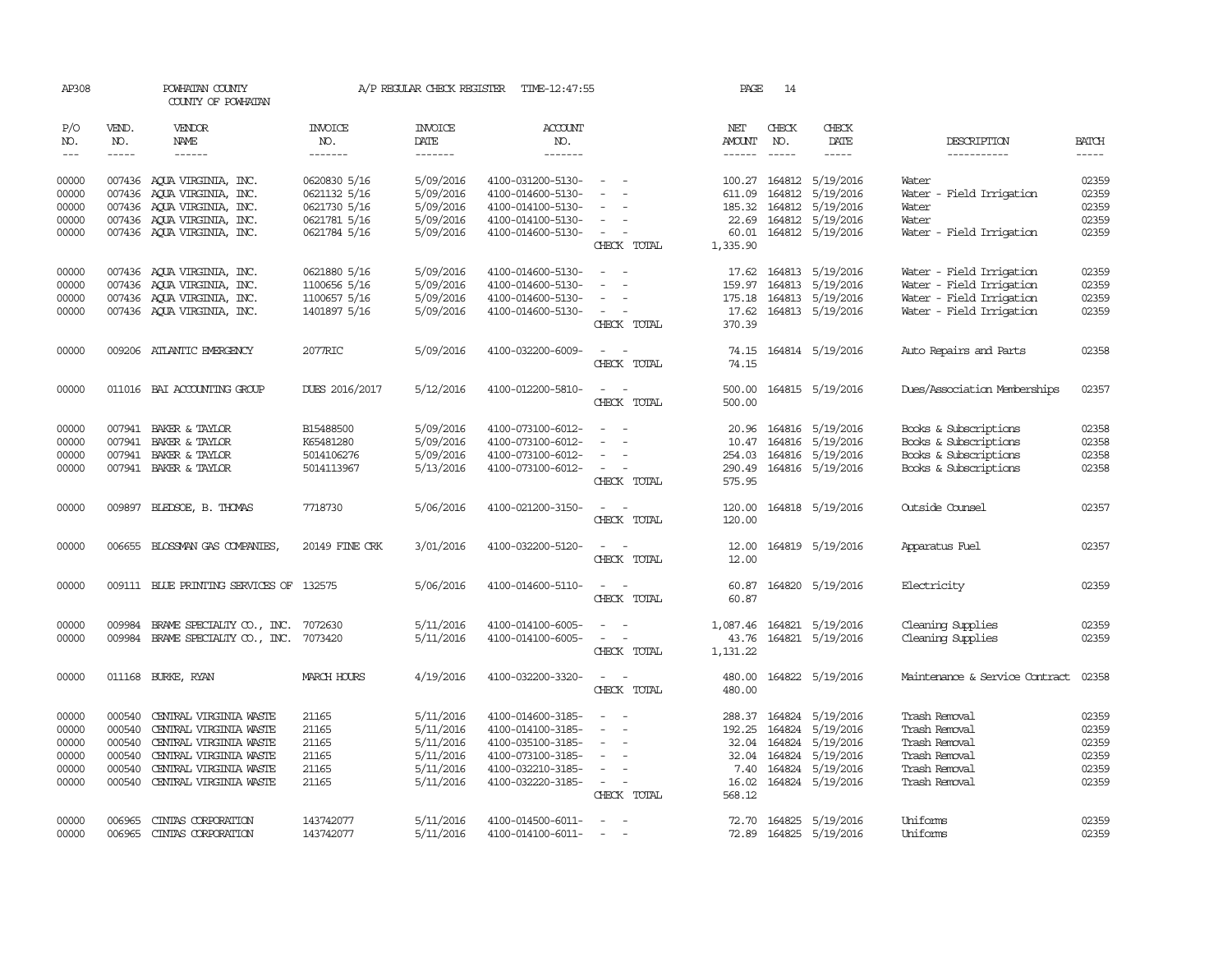| AP308         |              | POWHATAN COUNTY<br>COUNTY OF POWHATAN     |                       | A/P REGULAR CHECK REGISTER | TIME-12:47:55         |                                    | PAGE          | 14           |                           |                                |              |
|---------------|--------------|-------------------------------------------|-----------------------|----------------------------|-----------------------|------------------------------------|---------------|--------------|---------------------------|--------------------------------|--------------|
| P/O<br>NO.    | VEND.<br>NO. | VENDOR<br>NAME                            | <b>INVOICE</b><br>NO. | <b>INVOICE</b><br>DATE     | <b>ACCOUNT</b><br>NO. |                                    | NET<br>AMOUNT | CHECK<br>NO. | CHECK<br>DATE             | DESCRIPTION                    | <b>BATCH</b> |
| $\frac{1}{2}$ | -----        | $- - - - - -$                             | -------               | -------                    | -------               |                                    | $- - - - - -$ |              | -----                     | -----------                    | $- - - - -$  |
| 00000         |              | 007436 AOUA VIRGINIA, INC.                | 0620830 5/16          | 5/09/2016                  | 4100-031200-5130-     | $\sim$ $ \sim$                     |               |              | 100.27 164812 5/19/2016   | Water                          | 02359        |
| 00000         | 007436       | AQUA VIRGINIA, INC.                       | 0621132 5/16          | 5/09/2016                  | 4100-014600-5130-     | $\sim$                             | 611.09        | 164812       | 5/19/2016                 | Water - Field Irrigation       | 02359        |
| 00000         |              | 007436 AOUA VIRGINIA, INC.                | 0621730 5/16          | 5/09/2016                  | 4100-014100-5130-     | $\sim$                             |               |              | 185.32 164812 5/19/2016   | Water                          | 02359        |
| 00000         |              | 007436 AQUA VIRGINIA, INC.                | 0621781 5/16          | 5/09/2016                  | 4100-014100-5130-     | $\sim$                             |               |              | 22.69 164812 5/19/2016    | Water                          | 02359        |
| 00000         |              | 007436 AQUA VIRGINIA, INC.                | 0621784 5/16          | 5/09/2016                  | 4100-014600-5130-     | $\sim$                             |               |              | 60.01 164812 5/19/2016    | Water - Field Irrigation       | 02359        |
|               |              |                                           |                       |                            |                       | CHECK TOTAL                        | 1,335.90      |              |                           |                                |              |
| 00000         |              | 007436 AQUA VIRGINIA, INC.                | 0621880 5/16          | 5/09/2016                  | 4100-014600-5130-     | $\sim$<br>$\sim$                   |               |              | 17.62 164813 5/19/2016    | Water - Field Irrigation       | 02359        |
| 00000         |              | 007436 AQUA VIRGINIA, INC.                | 1100656 5/16          | 5/09/2016                  | 4100-014600-5130-     | $\sim$                             | 159.97        |              | 164813 5/19/2016          | Water - Field Irrigation       | 02359        |
| 00000         |              | 007436 AQUA VIRGINIA, INC.                | 1100657 5/16          | 5/09/2016                  | 4100-014600-5130-     |                                    |               |              | 175.18 164813 5/19/2016   | Water - Field Irrigation       | 02359        |
| 00000         |              | 007436 AQUA VIRGINIA, INC.                | 1401897 5/16          | 5/09/2016                  | 4100-014600-5130-     | $\sim$ $-$<br>$\sim$               |               |              | 17.62 164813 5/19/2016    | Water - Field Irrigation       | 02359        |
|               |              |                                           |                       |                            |                       | CHECK TOTAL                        | 370.39        |              |                           |                                |              |
| 00000         |              | 009206 ATLANTIC EMERGENCY                 | 2077RIC               | 5/09/2016                  | 4100-032200-6009-     | $\sim$<br>$\sim$                   | 74.15         |              | 164814 5/19/2016          | Auto Repairs and Parts         | 02358        |
|               |              |                                           |                       |                            |                       | CHECK TOTAL                        | 74.15         |              |                           |                                |              |
| 00000         |              | 011016 BAI ACCOUNTING GROUP               | DUES 2016/2017        | 5/12/2016                  | 4100-012200-5810-     | $\sim$ $\sim$                      | 500.00        |              | 164815 5/19/2016          | Dues/Association Memberships   | 02357        |
|               |              |                                           |                       |                            |                       | CHECK TOTAL                        | 500.00        |              |                           |                                |              |
| 00000         |              | 007941 BAKER & TAYLOR                     | B15488500             | 5/09/2016                  | 4100-073100-6012-     | $\sim$                             |               |              | 20.96 164816 5/19/2016    | Books & Subscriptions          | 02358        |
| 00000         | 007941       | BAKER & TAYLOR                            | K65481280             | 5/09/2016                  | 4100-073100-6012-     | $\overline{\phantom{a}}$           |               |              | 10.47 164816 5/19/2016    | Books & Subscriptions          | 02358        |
| 00000         |              | 007941 BAKER & TAYLOR                     | 5014106276            | 5/09/2016                  | 4100-073100-6012-     |                                    | 254.03        |              | 164816 5/19/2016          | Books & Subscriptions          | 02358        |
| 00000         |              | 007941 BAKER & TAYLOR                     | 5014113967            | 5/13/2016                  | 4100-073100-6012-     | $\sim$ $-$                         |               |              | 290.49 164816 5/19/2016   | Books & Subscriptions          | 02358        |
|               |              |                                           |                       |                            |                       | CHECK TOTAL                        | 575.95        |              |                           |                                |              |
| 00000         |              | 009897 BLEDSOE, B. THOMAS                 | 7718730               | 5/06/2016                  | 4100-021200-3150-     |                                    | 120.00        |              | 164818 5/19/2016          | Outside Counsel                | 02357        |
|               |              |                                           |                       |                            |                       | CHECK TOTAL                        | 120.00        |              |                           |                                |              |
| 00000         |              | 006655 BLOSSMAN GAS COMPANIES,            | 20149 FINE CRK        | 3/01/2016                  | 4100-032200-5120-     | $\sim$<br>$\overline{\phantom{a}}$ | 12.00         |              | 164819 5/19/2016          | Apparatus Fuel                 | 02357        |
|               |              |                                           |                       |                            |                       | CHECK TOTAL                        | 12.00         |              |                           |                                |              |
| 00000         |              | 009111 BLUE PRINTING SERVICES OF 132575   |                       | 5/06/2016                  | 4100-014600-5110-     | $\sim$<br>$\sim$                   | 60.87         |              | 164820 5/19/2016          | Electricity                    | 02359        |
|               |              |                                           |                       |                            |                       | CHECK TOTAL                        | 60.87         |              |                           |                                |              |
| 00000         |              | 009984 BRAME SPECIALITY CO., INC. 7072630 |                       | 5/11/2016                  | 4100-014100-6005-     | $\sim$ 100 $\sim$                  |               |              | 1,087.46 164821 5/19/2016 | Cleaning Supplies              | 02359        |
| 00000         |              | 009984 BRAME SPECIALITY CO., INC. 7073420 |                       | 5/11/2016                  | 4100-014100-6005-     | $\sim$<br>$\sim$                   | 43.76         |              | 164821 5/19/2016          | Cleaning Supplies              | 02359        |
|               |              |                                           |                       |                            |                       | CHECK TOTAL                        | 1,131.22      |              |                           |                                |              |
| 00000         |              | 011168 BURKE, RYAN                        | MARCH HOURS           | 4/19/2016                  | 4100-032200-3320-     | $\sim$<br>$\sim$                   | 480.00        |              | 164822 5/19/2016          | Maintenance & Service Contract | 02358        |
|               |              |                                           |                       |                            |                       | CHECK TOTAL                        | 480.00        |              |                           |                                |              |
| 00000         | 000540       | CENTRAL VIRGINIA WASTE                    | 21165                 | 5/11/2016                  | 4100-014600-3185-     | $\sim$<br>$\sim$                   |               |              | 288.37 164824 5/19/2016   | Trash Removal                  | 02359        |
| 00000         | 000540       | CENTRAL VIRGINIA WASTE                    | 21165                 | 5/11/2016                  | 4100-014100-3185-     | $\overline{\phantom{a}}$           | 192.25        | 164824       | 5/19/2016                 | Trash Removal                  | 02359        |
| 00000         | 000540       | CENTRAL VIRGINIA WASTE                    | 21165                 | 5/11/2016                  | 4100-035100-3185-     | $\overline{\phantom{a}}$           | 32.04         | 164824       | 5/19/2016                 | Trash Removal                  | 02359        |
| 00000         | 000540       | CENTRAL VIRGINIA WASTE                    | 21165                 | 5/11/2016                  | 4100-073100-3185-     | $\sim$                             |               | 32.04 164824 | 5/19/2016                 | Trash Removal                  | 02359        |
| 00000         | 000540       | CENTRAL VIRGINIA WASTE                    | 21165                 | 5/11/2016                  | 4100-032210-3185-     | $\sim$                             | 7.40          | 164824       | 5/19/2016                 | Trash Removal                  | 02359        |
| 00000         |              | 000540 CENTRAL VIRGINIA WASTE             | 21165                 | 5/11/2016                  | 4100-032220-3185-     | $\sim$ $ \sim$                     |               |              | 16.02 164824 5/19/2016    | Trash Removal                  | 02359        |
|               |              |                                           |                       |                            |                       | CHECK TOTAL                        | 568.12        |              |                           |                                |              |
| 00000         | 006965       | CINIAS CORPORATION                        | 143742077             | 5/11/2016                  | 4100-014500-6011-     | $\overline{\phantom{a}}$           |               |              | 72.70 164825 5/19/2016    | Uniforms                       | 02359        |
| 00000         | 006965       | CINIAS CORPORATION                        | 143742077             | 5/11/2016                  | 4100-014100-6011-     |                                    |               |              | 72.89 164825 5/19/2016    | Uniforms                       | 02359        |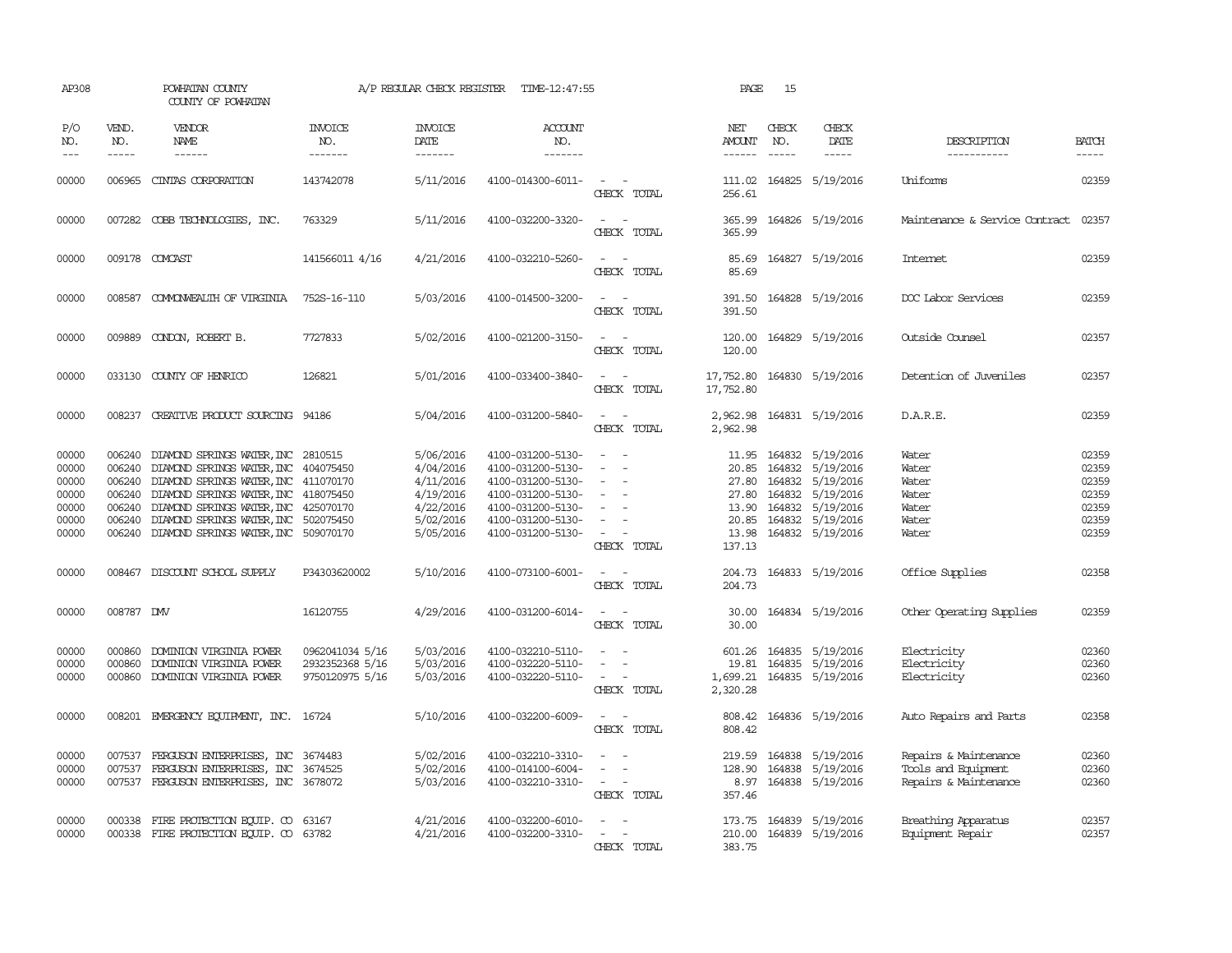| AP308                                                       |                             | POWHATAN COUNTY<br>COUNTY OF POWHATAN                                                                                                                                                                                                                                                                          |                                                       | A/P REGULAR CHECK REGISTER                                                              | TIME-12:47:55                                                                                                                                   |                                                                                                                             | PAGE                                                         | 15                            |                                                                                                                                                |                                                                       |                                                             |
|-------------------------------------------------------------|-----------------------------|----------------------------------------------------------------------------------------------------------------------------------------------------------------------------------------------------------------------------------------------------------------------------------------------------------------|-------------------------------------------------------|-----------------------------------------------------------------------------------------|-------------------------------------------------------------------------------------------------------------------------------------------------|-----------------------------------------------------------------------------------------------------------------------------|--------------------------------------------------------------|-------------------------------|------------------------------------------------------------------------------------------------------------------------------------------------|-----------------------------------------------------------------------|-------------------------------------------------------------|
| P/O<br>NO.<br>$---$                                         | VEND.<br>NO.<br>$- - - - -$ | VENDOR<br><b>NAME</b><br>------                                                                                                                                                                                                                                                                                | <b>INVOICE</b><br>NO.<br>-------                      | <b>INVOICE</b><br>DATE<br>-------                                                       | <b>ACCOUNT</b><br>NO.<br>-------                                                                                                                |                                                                                                                             | NET<br>AMOUNT<br>$- - - - - -$                               | CHECK<br>NO.<br>$\frac{1}{2}$ | CHECK<br>DATE<br>$- - - - -$                                                                                                                   | DESCRIPTION<br>-----------                                            | <b>BATCH</b><br>$- - - - -$                                 |
| 00000                                                       |                             | 006965 CINIAS CORPORATION                                                                                                                                                                                                                                                                                      | 143742078                                             | 5/11/2016                                                                               | 4100-014300-6011-                                                                                                                               | $\sim$ $\sim$<br>CHECK TOTAL                                                                                                | 256.61                                                       |                               | 111.02 164825 5/19/2016                                                                                                                        | Uniforms                                                              | 02359                                                       |
| 00000                                                       |                             | 007282 COBB TECHNOLOGIES, INC.                                                                                                                                                                                                                                                                                 | 763329                                                | 5/11/2016                                                                               | 4100-032200-3320-                                                                                                                               | $\frac{1}{2} \left( \frac{1}{2} \right) \left( \frac{1}{2} \right) = \frac{1}{2} \left( \frac{1}{2} \right)$<br>CHECK TOTAL | 365.99<br>365.99                                             |                               | 164826 5/19/2016                                                                                                                               | Maintenance & Service Contract                                        | 02357                                                       |
| 00000                                                       |                             | 009178 COMCAST                                                                                                                                                                                                                                                                                                 | 141566011 4/16                                        | 4/21/2016                                                                               | 4100-032210-5260-                                                                                                                               | $\frac{1}{2} \left( \frac{1}{2} \right) \left( \frac{1}{2} \right) = \frac{1}{2} \left( \frac{1}{2} \right)$<br>CHECK TOTAL | 85.69<br>85.69                                               |                               | 164827 5/19/2016                                                                                                                               | <b>Internet</b>                                                       | 02359                                                       |
| 00000                                                       |                             | 008587 COMONWEALTH OF VIRGINIA                                                                                                                                                                                                                                                                                 | 752S-16-110                                           | 5/03/2016                                                                               | 4100-014500-3200-                                                                                                                               | $\sim$ 100 $\sim$<br>CHECK TOTAL                                                                                            | 391.50<br>391.50                                             |                               | 164828 5/19/2016                                                                                                                               | DOC Labor Services                                                    | 02359                                                       |
| 00000                                                       | 009889                      | CONDON, ROBERT B.                                                                                                                                                                                                                                                                                              | 7727833                                               | 5/02/2016                                                                               | 4100-021200-3150-                                                                                                                               | $\sim$<br>$\sim$<br>CHECK TOTAL                                                                                             | 120.00<br>120.00                                             |                               | 164829 5/19/2016                                                                                                                               | Outside Counsel                                                       | 02357                                                       |
| 00000                                                       |                             | 033130 COUNTY OF HENRICO                                                                                                                                                                                                                                                                                       | 126821                                                | 5/01/2016                                                                               | 4100-033400-3840-                                                                                                                               | $\overline{\phantom{a}}$<br>CHECK TOTAL                                                                                     | 17,752.80<br>17,752.80                                       |                               | 164830 5/19/2016                                                                                                                               | Detention of Juveniles                                                | 02357                                                       |
| 00000                                                       |                             | 008237 CREATIVE PRODUCT SOURCING 94186                                                                                                                                                                                                                                                                         |                                                       | 5/04/2016                                                                               | 4100-031200-5840-                                                                                                                               | $\frac{1}{2} \left( \frac{1}{2} \right) \left( \frac{1}{2} \right) = \frac{1}{2} \left( \frac{1}{2} \right)$<br>CHECK TOTAL | 2,962.98<br>2,962.98                                         |                               | 164831 5/19/2016                                                                                                                               | D.A.R.E.                                                              | 02359                                                       |
| 00000<br>00000<br>00000<br>00000<br>00000<br>00000<br>00000 | 006240<br>006240<br>006240  | DIAMOND SPRINGS WATER, INC 2810515<br>006240 DIAMOND SPRINGS WATER, INC 404075450<br>DIAMOND SPRINGS WATER, INC 411070170<br>006240 DIAMOND SPRINGS WATER, INC 418075450<br>DIAMOND SPRINGS WATER, INC 425070170<br>006240 DIAMOND SPRINGS WATER, INC 502075450<br>006240 DIAMOND SPRINGS WATER, INC 509070170 |                                                       | 5/06/2016<br>4/04/2016<br>4/11/2016<br>4/19/2016<br>4/22/2016<br>5/02/2016<br>5/05/2016 | 4100-031200-5130-<br>4100-031200-5130-<br>4100-031200-5130-<br>4100-031200-5130-<br>4100-031200-5130-<br>4100-031200-5130-<br>4100-031200-5130- | $\overline{\phantom{a}}$<br>$\sim$<br>$\overline{\phantom{a}}$<br>$\overline{\phantom{a}}$<br>$\sim$<br>CHECK TOTAL         | 11.95<br>20.85<br>27.80<br>13.90<br>20.85<br>13.98<br>137.13 |                               | 164832 5/19/2016<br>164832 5/19/2016<br>164832 5/19/2016<br>27.80 164832 5/19/2016<br>164832 5/19/2016<br>164832 5/19/2016<br>164832 5/19/2016 | Water<br>Water<br>Water<br>Water<br>Water<br>Water<br>Water           | 02359<br>02359<br>02359<br>02359<br>02359<br>02359<br>02359 |
| 00000                                                       | 008467                      | DISCOUNT SCHOOL SUPPLY                                                                                                                                                                                                                                                                                         | P34303620002                                          | 5/10/2016                                                                               | 4100-073100-6001-                                                                                                                               | $\overline{\phantom{a}}$<br>CHECK TOTAL                                                                                     | 204.73<br>204.73                                             |                               | 164833 5/19/2016                                                                                                                               | Office Supplies                                                       | 02358                                                       |
| 00000                                                       | 008787 DMV                  |                                                                                                                                                                                                                                                                                                                | 16120755                                              | 4/29/2016                                                                               | 4100-031200-6014-                                                                                                                               | $\frac{1}{2} \left( \frac{1}{2} \right) \left( \frac{1}{2} \right) = \frac{1}{2} \left( \frac{1}{2} \right)$<br>CHECK TOTAL | 30.00<br>30.00                                               |                               | 164834 5/19/2016                                                                                                                               | Other Operating Supplies                                              | 02359                                                       |
| 00000<br>00000<br>00000                                     | 000860                      | 000860 DOMINION VIRGINIA POWER<br>DOMINION VIRGINIA POWER<br>000860 DOMINION VIRGINIA POWER                                                                                                                                                                                                                    | 0962041034 5/16<br>2932352368 5/16<br>9750120975 5/16 | 5/03/2016<br>5/03/2016<br>5/03/2016                                                     | 4100-032210-5110-<br>4100-032220-5110-<br>4100-032220-5110-                                                                                     | $\equiv$<br>$\sim$<br>$\sim$ $ -$<br>CHECK TOTAL                                                                            | 19.81<br>1,699.21<br>2,320.28                                |                               | 601.26 164835 5/19/2016<br>164835 5/19/2016<br>164835 5/19/2016                                                                                | Electricity<br>Electricity<br>Electricity                             | 02360<br>02360<br>02360                                     |
| 00000                                                       | 008201                      | EMERGENCY EQUIPMENT, INC. 16724                                                                                                                                                                                                                                                                                |                                                       | 5/10/2016                                                                               | 4100-032200-6009-                                                                                                                               | $\overline{\phantom{a}}$<br>CHECK TOTAL                                                                                     | 808.42<br>808.42                                             |                               | 164836 5/19/2016                                                                                                                               | Auto Repairs and Parts                                                | 02358                                                       |
| 00000<br>00000<br>00000                                     | 007537<br>007537            | FERGUSON ENTERPRISES, INC 3674483<br>FERGUSON ENTERPRISES, INC<br>007537 FERGUSON ENTERPRISES, INC 3678072                                                                                                                                                                                                     | 3674525                                               | 5/02/2016<br>5/02/2016<br>5/03/2016                                                     | 4100-032210-3310-<br>4100-014100-6004-<br>4100-032210-3310-                                                                                     | $\sim$ 10 $\pm$<br>CHECK TOTAL                                                                                              | 219.59<br>128.90<br>357.46                                   |                               | 164838 5/19/2016<br>164838 5/19/2016<br>8.97 164838 5/19/2016                                                                                  | Repairs & Maintenance<br>Tools and Equipment<br>Repairs & Maintenance | 02360<br>02360<br>02360                                     |
| 00000<br>00000                                              | 000338                      | FIRE PROTECTION EQUIP. CO 63167<br>000338 FIRE PROTECTION EQUIP. CO 63782                                                                                                                                                                                                                                      |                                                       | 4/21/2016<br>4/21/2016                                                                  | 4100-032200-6010-<br>4100-032200-3310-                                                                                                          | $\sim$ $\sim$<br>CHRCK TOTAL                                                                                                | 383.75                                                       |                               | 173.75 164839 5/19/2016<br>210.00 164839 5/19/2016                                                                                             | Breathing Apparatus<br>Equipment Repair                               | 02357<br>02357                                              |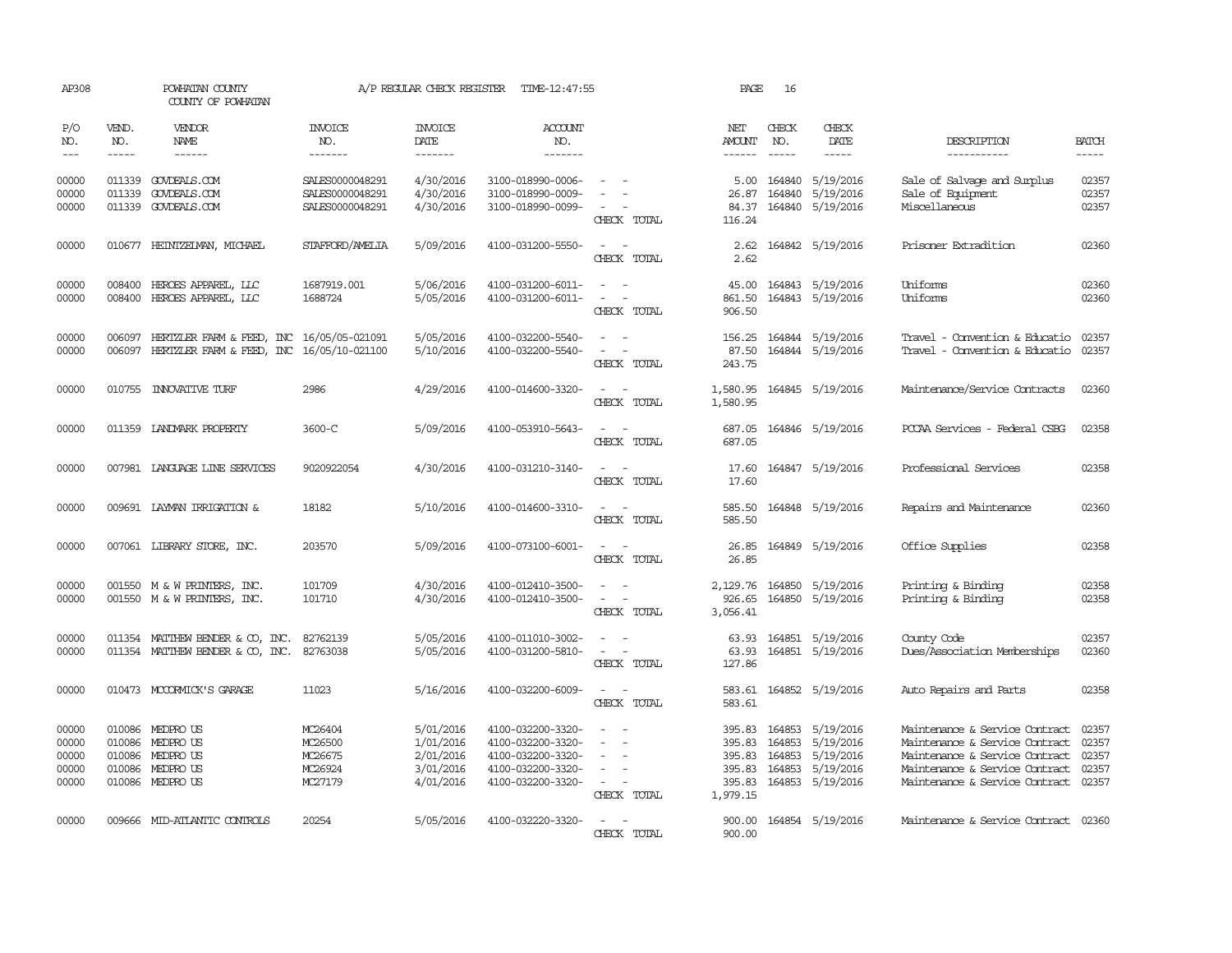| AP308                                     |                       | POWHATAN COUNTY<br>COUNTY OF POWHATAN                                                          |                                                       | A/P REGULAR CHECK REGISTER                                    | TIME-12:47:55                                                                                         |                                                                                                                             | PAGE                                                       | 16                            |                                                                             |                                                                                                                                                                        |                                           |
|-------------------------------------------|-----------------------|------------------------------------------------------------------------------------------------|-------------------------------------------------------|---------------------------------------------------------------|-------------------------------------------------------------------------------------------------------|-----------------------------------------------------------------------------------------------------------------------------|------------------------------------------------------------|-------------------------------|-----------------------------------------------------------------------------|------------------------------------------------------------------------------------------------------------------------------------------------------------------------|-------------------------------------------|
| P/O<br>NO.<br>$\frac{1}{2}$               | VEND.<br>NO.<br>----- | <b>VENDOR</b><br>NAME<br>$- - - - - -$                                                         | INVOICE<br>NO.<br>-------                             | <b>INVOICE</b><br>DATE<br>-------                             | <b>ACCOUNT</b><br>NO.<br>-------                                                                      |                                                                                                                             | NET<br>AMOUNT<br>$- - - - - -$                             | CHECK<br>NO.<br>$\frac{1}{2}$ | CHECK<br>DATE<br>-----                                                      | DESCRIPTION<br>-----------                                                                                                                                             | <b>BATCH</b><br>-----                     |
| 00000<br>00000<br>00000                   |                       | 011339 GOVDEALS.COM<br>011339 GOVDEALS.COM<br>011339 GOVDEALS.COM                              | SALES0000048291<br>SALES0000048291<br>SALES0000048291 | 4/30/2016<br>4/30/2016<br>4/30/2016                           | 3100-018990-0006-<br>3100-018990-0009-<br>3100-018990-0099-                                           | CHECK TOTAL                                                                                                                 | 5.00<br>26.87<br>84.37<br>116.24                           |                               | 164840 5/19/2016<br>164840 5/19/2016<br>164840 5/19/2016                    | Sale of Salvage and Surplus<br>Sale of Equipment<br>Miscellaneous                                                                                                      | 02357<br>02357<br>02357                   |
| 00000                                     |                       | 010677 HEINTZELMAN, MICHAEL                                                                    | STAFFORD/AMELIA                                       | 5/09/2016                                                     | 4100-031200-5550-                                                                                     | CHECK TOTAL                                                                                                                 | 2.62<br>2.62                                               |                               | 164842 5/19/2016                                                            | Prisoner Extradition                                                                                                                                                   | 02360                                     |
| 00000<br>00000                            | 008400                | HEROES APPAREL, LLC<br>008400 HEROES APPAREL, LLC                                              | 1687919.001<br>1688724                                | 5/06/2016<br>5/05/2016                                        | 4100-031200-6011-<br>4100-031200-6011-                                                                | $\overline{\phantom{a}}$<br>$\sim$<br>$\overline{\phantom{a}}$<br>CHECK TOTAL                                               | 45.00<br>861.50<br>906.50                                  |                               | 164843 5/19/2016<br>164843 5/19/2016                                        | Uniforms<br>Uniforms                                                                                                                                                   | 02360<br>02360                            |
| 00000<br>00000                            | 006097                | HERIZLER FARM & FEED, INC 16/05/05-021091<br>006097 HERIZLER FARM & FEED, INC 16/05/10-021100  |                                                       | 5/05/2016<br>5/10/2016                                        | 4100-032200-5540-<br>4100-032200-5540-                                                                | $\equiv$<br>$\overline{\phantom{a}}$<br>CHECK TOTAL                                                                         | 156.25<br>87.50<br>243.75                                  |                               | 164844 5/19/2016<br>164844 5/19/2016                                        | Travel - Convention & Educatio<br>Travel - Convention & Educatio                                                                                                       | 02357<br>02357                            |
| 00000                                     |                       | 010755 INNOVATIVE TURF                                                                         | 2986                                                  | 4/29/2016                                                     | 4100-014600-3320-                                                                                     | $\frac{1}{2} \left( \frac{1}{2} \right) \left( \frac{1}{2} \right) = \frac{1}{2} \left( \frac{1}{2} \right)$<br>CHECK TOTAL | 1,580.95<br>1,580.95                                       |                               | 164845 5/19/2016                                                            | Maintenance/Service Contracts                                                                                                                                          | 02360                                     |
| 00000                                     |                       | 011359 LANDMARK PROPERTY                                                                       | 3600-C                                                | 5/09/2016                                                     | 4100-053910-5643-                                                                                     | $\sim$ $ \sim$<br>CHECK TOTAL                                                                                               | 687.05<br>687.05                                           |                               | 164846 5/19/2016                                                            | PCCAA Services - Federal CSBG                                                                                                                                          | 02358                                     |
| 00000                                     |                       | 007981 LANGUAGE LINE SERVICES                                                                  | 9020922054                                            | 4/30/2016                                                     | 4100-031210-3140-                                                                                     | $\frac{1}{2} \left( \frac{1}{2} \right) \left( \frac{1}{2} \right) = \frac{1}{2} \left( \frac{1}{2} \right)$<br>CHECK TOTAL | 17.60<br>17.60                                             |                               | 164847 5/19/2016                                                            | Professional Services                                                                                                                                                  | 02358                                     |
| 00000                                     |                       | 009691 LAYMAN IRRIGATION &                                                                     | 18182                                                 | 5/10/2016                                                     | 4100-014600-3310-                                                                                     | $\frac{1}{2} \left( \frac{1}{2} \right) \left( \frac{1}{2} \right) = \frac{1}{2} \left( \frac{1}{2} \right)$<br>CHECK TOTAL | 585.50<br>585.50                                           |                               | 164848 5/19/2016                                                            | Repairs and Maintenance                                                                                                                                                | 02360                                     |
| 00000                                     |                       | 007061 LIBRARY STORE, INC.                                                                     | 203570                                                | 5/09/2016                                                     | 4100-073100-6001-                                                                                     | CHECK TOTAL                                                                                                                 | 26.85                                                      |                               | 26.85 164849 5/19/2016                                                      | Office Supplies                                                                                                                                                        | 02358                                     |
| 00000<br>00000                            |                       | 001550 M & W PRINTERS, INC.<br>001550 M & W PRINTERS, INC.                                     | 101709<br>101710                                      | 4/30/2016<br>4/30/2016                                        | 4100-012410-3500-<br>4100-012410-3500-                                                                | $\sim$ $ \sim$<br>CHECK TOTAL                                                                                               | 2,129.76<br>926.65<br>3,056.41                             |                               | 164850 5/19/2016<br>164850 5/19/2016                                        | Printing & Binding<br>Printing & Binding                                                                                                                               | 02358<br>02358                            |
| 00000<br>00000                            |                       | 011354 MATTHEW BENDER & CO, INC.<br>011354 MATTHEW BENDER & CO, INC.                           | 82762139<br>82763038                                  | 5/05/2016<br>5/05/2016                                        | 4100-011010-3002-<br>4100-031200-5810-                                                                | $\overline{\phantom{a}}$<br>CHECK TOTAL                                                                                     | 63.93<br>127.86                                            |                               | 63.93 164851 5/19/2016<br>164851 5/19/2016                                  | County Code<br>Dues/Association Memberships                                                                                                                            | 02357<br>02360                            |
| 00000                                     |                       | 010473 MCCORMICK'S GARAGE                                                                      | 11023                                                 | 5/16/2016                                                     | 4100-032200-6009-                                                                                     | $\frac{1}{2} \left( \frac{1}{2} \right) \left( \frac{1}{2} \right) = \frac{1}{2} \left( \frac{1}{2} \right)$<br>CHECK TOTAL | 583.61<br>583.61                                           |                               | 164852 5/19/2016                                                            | Auto Repairs and Parts                                                                                                                                                 | 02358                                     |
| 00000<br>00000<br>00000<br>00000<br>00000 |                       | 010086 MEDPROUS<br>010086 MEDPROUS<br>010086 MEDPRO US<br>010086 MEDPRO US<br>010086 MEDPRO US | MC26404<br>MC26500<br>MC26675<br>MC26924<br>MC27179   | 5/01/2016<br>1/01/2016<br>2/01/2016<br>3/01/2016<br>4/01/2016 | 4100-032200-3320-<br>4100-032200-3320-<br>4100-032200-3320-<br>4100-032200-3320-<br>4100-032200-3320- | $\equiv$<br>$\sim$<br>$\equiv$<br>$\sim$ 10 $\pm$<br>CHECK TOTAL                                                            | 395.83<br>395.83<br>395.83<br>395.83<br>395.83<br>1,979.15 | 164853<br>164853<br>164853    | 164853 5/19/2016<br>5/19/2016<br>5/19/2016<br>5/19/2016<br>164853 5/19/2016 | Maintenance & Service Contract<br>Maintenance & Service Contract<br>Maintenance & Service Contract<br>Maintenance & Service Contract<br>Maintenance & Service Contract | 02357<br>02357<br>02357<br>02357<br>02357 |
| 00000                                     |                       | 009666 MID-ATLANTIC CONTROLS                                                                   | 20254                                                 | 5/05/2016                                                     | 4100-032220-3320-                                                                                     | $\overline{\phantom{a}}$<br>CHRCK TOTAL                                                                                     | 900.00                                                     |                               | 900.00 164854 5/19/2016                                                     | Maintenance & Service Contract 02360                                                                                                                                   |                                           |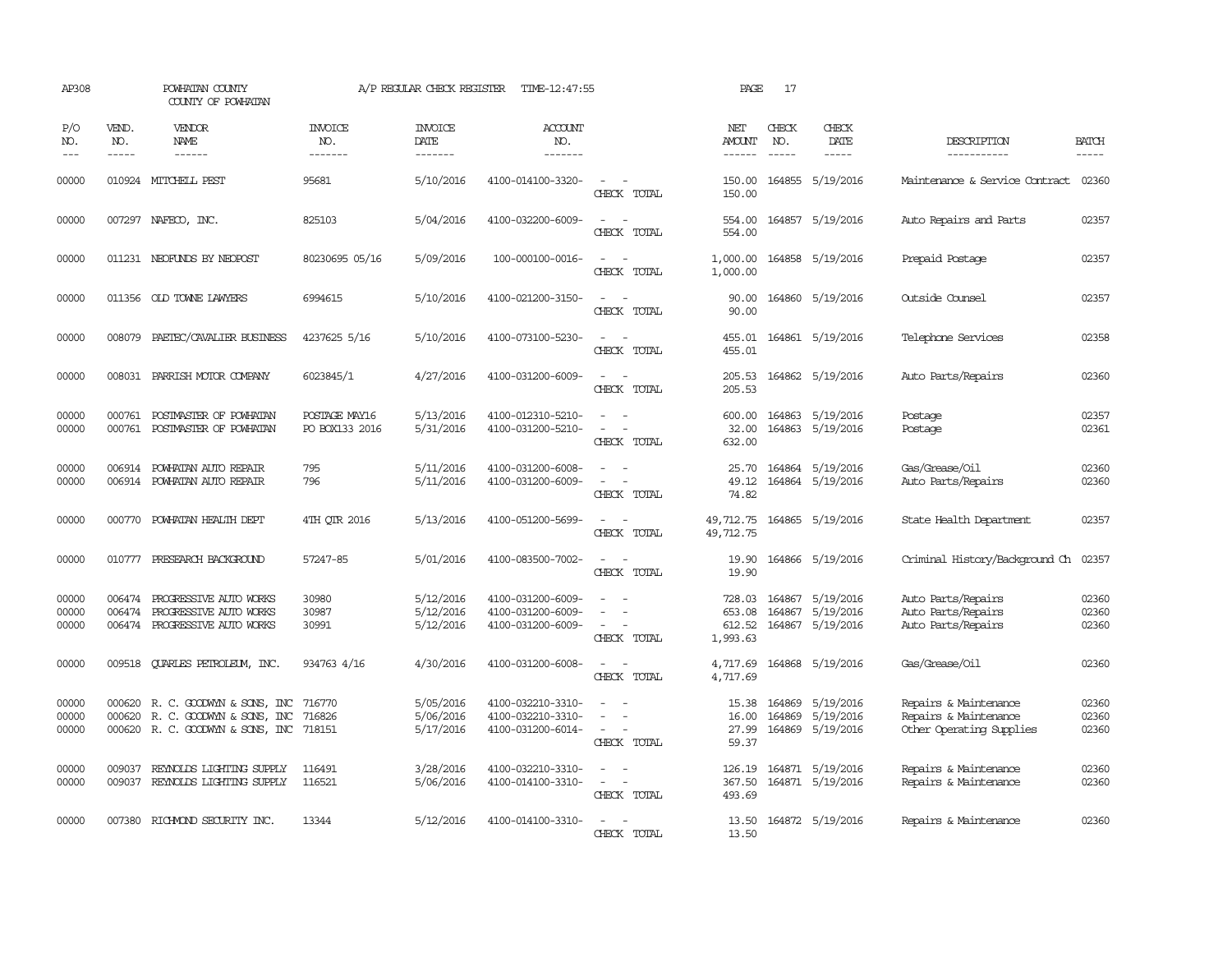| AP308                       |                             | POWHATAN COUNTY<br>COUNTY OF POWHATAN                                                                    |                                  | A/P REGULAR CHECK REGISTER          | TIME-12:47:55                                               |                                                                                                                             | PAGE                                   | 17                            |                                                          |                                                                            |                         |
|-----------------------------|-----------------------------|----------------------------------------------------------------------------------------------------------|----------------------------------|-------------------------------------|-------------------------------------------------------------|-----------------------------------------------------------------------------------------------------------------------------|----------------------------------------|-------------------------------|----------------------------------------------------------|----------------------------------------------------------------------------|-------------------------|
| P/O<br>NO.<br>$\frac{1}{2}$ | VEND.<br>NO.<br>$- - - - -$ | <b>VENDOR</b><br>NAME                                                                                    | <b>INVOICE</b><br>NO.<br>------- | <b>INVOICE</b><br>DATE<br>--------  | <b>ACCOUNT</b><br>NO.<br>-------                            |                                                                                                                             | NET<br>AMOUNT<br>------                | CHECK<br>NO.<br>$\frac{1}{2}$ | CHECK<br>DATE<br>$- - - - -$                             | DESCRIPTION<br>-----------                                                 | <b>BATCH</b><br>-----   |
| 00000                       |                             | 010924 MITCHELL PEST                                                                                     | 95681                            | 5/10/2016                           | 4100-014100-3320-                                           | $\equiv$<br>CHECK TOTAL                                                                                                     | 150.00<br>150.00                       |                               | 164855 5/19/2016                                         | Maintenance & Service Contract                                             | 02360                   |
| 00000                       |                             | 007297 NAFECO, INC.                                                                                      | 825103                           | 5/04/2016                           | 4100-032200-6009-                                           | $\overline{\phantom{a}}$<br>CHECK TOTAL                                                                                     | 554.00<br>554.00                       |                               | 164857 5/19/2016                                         | Auto Repairs and Parts                                                     | 02357                   |
| 00000                       |                             | 011231 NEOFUNDS BY NEOPOST                                                                               | 80230695 05/16                   | 5/09/2016                           | 100-000100-0016-                                            | $\sim$<br>CHECK TOTAL                                                                                                       | 1,000.00<br>1,000.00                   |                               | 164858 5/19/2016                                         | Prepaid Postage                                                            | 02357                   |
| 00000                       |                             | 011356 OLD TOWNE LAWYERS                                                                                 | 6994615                          | 5/10/2016                           | 4100-021200-3150-                                           | $\sim$<br>CHECK TOTAL                                                                                                       | 90.00<br>90.00                         |                               | 164860 5/19/2016                                         | Outside Counsel                                                            | 02357                   |
| 00000                       |                             | 008079 PAETEC/CAVALIER BUSINESS                                                                          | 4237625 5/16                     | 5/10/2016                           | 4100-073100-5230-                                           | $ -$<br>CHECK TOTAL                                                                                                         | 455.01                                 |                               | 455.01 164861 5/19/2016                                  | Telephone Services                                                         | 02358                   |
| 00000                       |                             | 008031 PARRISH MOTOR COMPANY                                                                             | 6023845/1                        | 4/27/2016                           | 4100-031200-6009-                                           | $\sim$<br>$\sim$<br>CHECK TOTAL                                                                                             | 205.53<br>205.53                       |                               | 164862 5/19/2016                                         | Auto Parts/Repairs                                                         | 02360                   |
| 00000<br>00000              | 000761                      | 000761 POSTMASTER OF POWHATAN<br>POSTMASTER OF POWHATAN                                                  | POSTAGE MAY16<br>PO BOX133 2016  | 5/13/2016<br>5/31/2016              | 4100-012310-5210-<br>4100-031200-5210-                      | CHECK TOTAL                                                                                                                 | 600.00<br>32.00<br>632.00              |                               | 164863 5/19/2016<br>164863 5/19/2016                     | Postage<br>Postage                                                         | 02357<br>02361          |
| 00000<br>00000              | 006914                      | POWHATAN AUTO REPAIR<br>006914 POWHATAN AUTO REPAIR                                                      | 795<br>796                       | 5/11/2016<br>5/11/2016              | 4100-031200-6008-<br>4100-031200-6009-                      | $\sim$<br>CHECK TOTAL                                                                                                       | 25.70<br>49.12<br>74.82                |                               | 164864 5/19/2016<br>164864 5/19/2016                     | Gas/Grease/Oil<br>Auto Parts/Repairs                                       | 02360<br>02360          |
| 00000                       |                             | 000770 POWHATAN HEALTH DEPT                                                                              | 4TH QTR 2016                     | 5/13/2016                           | 4100-051200-5699-                                           | $\frac{1}{2} \left( \frac{1}{2} \right) \left( \frac{1}{2} \right) = \frac{1}{2} \left( \frac{1}{2} \right)$<br>CHECK TOTAL | 49,712.75<br>49,712.75                 |                               | 164865 5/19/2016                                         | State Health Department                                                    | 02357                   |
| 00000                       |                             | 010777 PRESEARCH BACKGROUND                                                                              | 57247-85                         | 5/01/2016                           | 4100-083500-7002-                                           | $\omega_{\rm{max}}$ , $\omega_{\rm{max}}$<br>CHECK TOTAL                                                                    | 19.90<br>19.90                         |                               | 164866 5/19/2016                                         | Criminal History/Background Ch                                             | 02357                   |
| 00000<br>00000<br>00000     | 006474<br>006474            | PROGRESSIVE AUTO WORKS<br>PROGRESSIVE AUTO WORKS<br>006474 PROGRESSIVE AUTO WORKS                        | 30980<br>30987<br>30991          | 5/12/2016<br>5/12/2016<br>5/12/2016 | 4100-031200-6009-<br>4100-031200-6009-<br>4100-031200-6009- | $\equiv$<br>$\equiv$<br>CHECK TOTAL                                                                                         | 728.03<br>653.08<br>612.52<br>1,993.63 |                               | 164867 5/19/2016<br>164867 5/19/2016<br>164867 5/19/2016 | Auto Parts/Repairs<br>Auto Parts/Repairs<br>Auto Parts/Repairs             | 02360<br>02360<br>02360 |
| 00000                       | 009518                      | <b>QUARLES PETROLEUM, INC.</b>                                                                           | 934763 4/16                      | 4/30/2016                           | 4100-031200-6008-                                           | $\equiv$<br>CHECK TOTAL                                                                                                     | 4,717.69<br>4,717.69                   |                               | 164868 5/19/2016                                         | Gas/Grease/Oil                                                             | 02360                   |
| 00000<br>00000<br>00000     | 000620                      | 000620 R. C. GOODWYN & SONS, INC<br>R. C. GOODWYN & SONS, INC<br>000620 R. C. GOODWYN & SONS, INC 718151 | 716770<br>716826                 | 5/05/2016<br>5/06/2016<br>5/17/2016 | 4100-032210-3310-<br>4100-032210-3310-<br>4100-031200-6014- | $\sim$<br>$\sim$<br>CHECK TOTAL                                                                                             | 15.38<br>16.00<br>27.99<br>59.37       | 164869                        | 164869 5/19/2016<br>5/19/2016<br>164869 5/19/2016        | Repairs & Maintenance<br>Repairs & Maintenance<br>Other Operating Supplies | 02360<br>02360<br>02360 |
| 00000<br>00000              | 009037                      | REYNOLDS LIGHTING SUPPLY<br>009037 REYNOLDS LIGHTING SUPPLY                                              | 116491<br>116521                 | 3/28/2016<br>5/06/2016              | 4100-032210-3310-<br>4100-014100-3310-                      | $\frac{1}{2} \left( \frac{1}{2} \right) \left( \frac{1}{2} \right) = \frac{1}{2} \left( \frac{1}{2} \right)$<br>CHECK TOTAL | 126.19<br>367.50<br>493.69             |                               | 164871 5/19/2016<br>164871 5/19/2016                     | Repairs & Maintenance<br>Repairs & Maintenance                             | 02360<br>02360          |
| 00000                       |                             | 007380 RICHMOND SECURITY INC.                                                                            | 13344                            | 5/12/2016                           | 4100-014100-3310-                                           | $\overline{\phantom{a}}$<br>CHECK TOTAL                                                                                     | 13.50<br>13.50                         |                               | 164872 5/19/2016                                         | Repairs & Maintenance                                                      | 02360                   |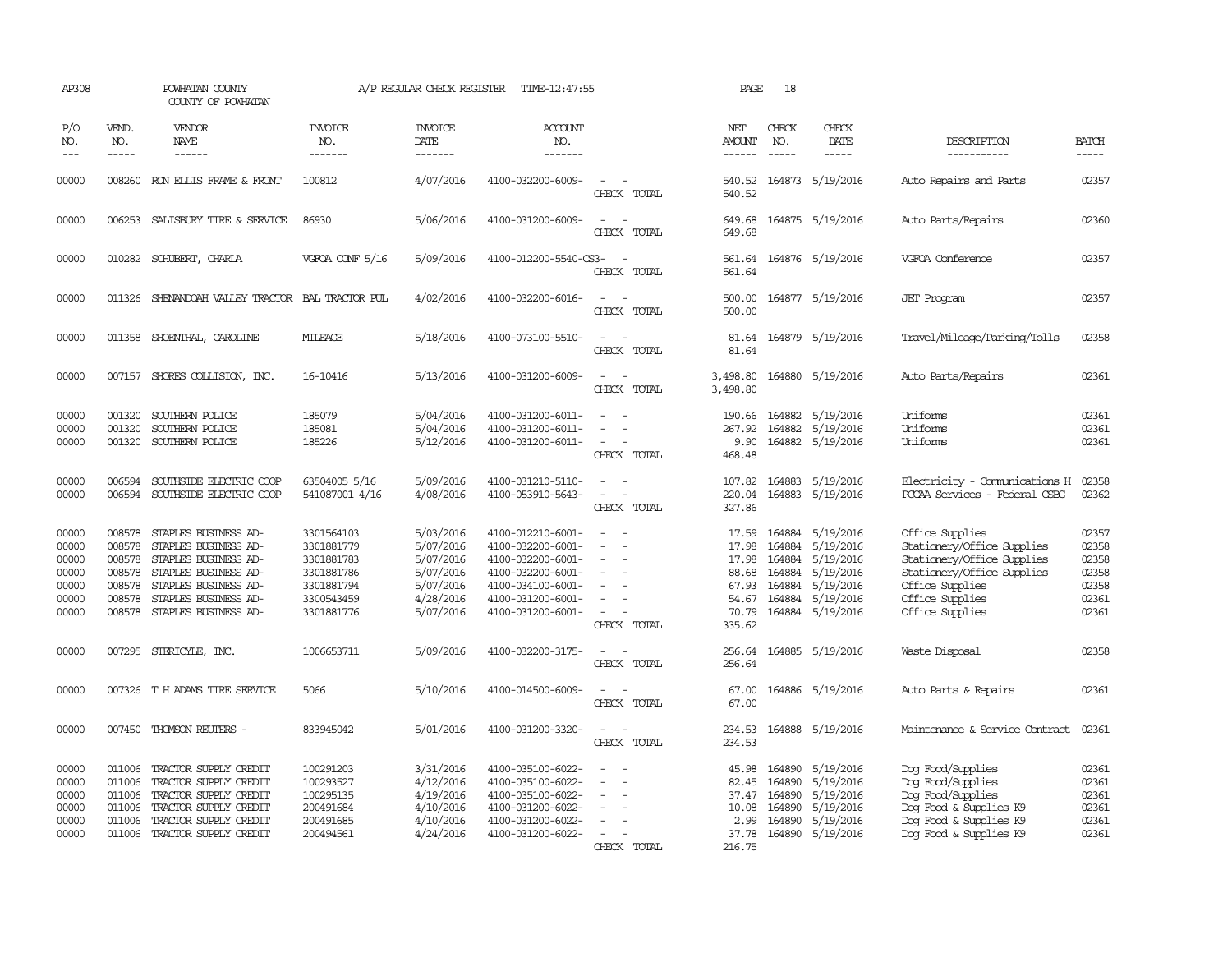| AP308                                                       |                                                          | POWHATAN COUNTY<br>COUNTY OF POWHATAN                                                                                                                                       |                                                                                                | A/P REGULAR CHECK REGISTER                                                              | TIME-12:47:55                                                                                                                                   |                                         | PAGE                                                                  | 18                                                       |                                                                                                |                                                                                                                                                                    |                                                             |
|-------------------------------------------------------------|----------------------------------------------------------|-----------------------------------------------------------------------------------------------------------------------------------------------------------------------------|------------------------------------------------------------------------------------------------|-----------------------------------------------------------------------------------------|-------------------------------------------------------------------------------------------------------------------------------------------------|-----------------------------------------|-----------------------------------------------------------------------|----------------------------------------------------------|------------------------------------------------------------------------------------------------|--------------------------------------------------------------------------------------------------------------------------------------------------------------------|-------------------------------------------------------------|
| P/O<br>NO.<br>$---$                                         | VEND.<br>NO.<br>$- - - - -$                              | VENDOR<br><b>NAME</b><br>$- - - - - -$                                                                                                                                      | <b>INVOICE</b><br>NO.<br>-------                                                               | <b>INVOICE</b><br>DATE<br>-------                                                       | <b>ACCOUNT</b><br>NO.<br>-------                                                                                                                |                                         | NET<br>AMOUNT<br>$- - - - - -$                                        | CHECK<br>NO.<br>$- - - - -$                              | CHECK<br>DATE<br>-----                                                                         | DESCRIPTION<br>-----------                                                                                                                                         | <b>BATCH</b><br>-----                                       |
| 00000                                                       |                                                          | 008260 RON ELLIS FRAME & FRONT                                                                                                                                              | 100812                                                                                         | 4/07/2016                                                                               | 4100-032200-6009-                                                                                                                               | CHECK TOTAL                             | 540.52<br>540.52                                                      |                                                          | 164873 5/19/2016                                                                               | Auto Repairs and Parts                                                                                                                                             | 02357                                                       |
| 00000                                                       |                                                          | 006253 SALISBURY TIRE & SERVICE                                                                                                                                             | 86930                                                                                          | 5/06/2016                                                                               | 4100-031200-6009-                                                                                                                               | $\sim$<br>CHECK TOTAL                   | 649.68<br>649.68                                                      |                                                          | 164875 5/19/2016                                                                               | Auto Parts/Repairs                                                                                                                                                 | 02360                                                       |
| 00000                                                       |                                                          | 010282 SCHUBERT, CHARLA                                                                                                                                                     | VGFOA CONF 5/16                                                                                | 5/09/2016                                                                               | 4100-012200-5540-CS3-                                                                                                                           | $\sim$<br>CHECK TOTAL                   | 561.64                                                                |                                                          | 561.64 164876 5/19/2016                                                                        | VGFOA Conference                                                                                                                                                   | 02357                                                       |
| 00000                                                       |                                                          | 011326 SHENANDOAH VALLEY TRACTOR BAL TRACTOR PUL                                                                                                                            |                                                                                                | 4/02/2016                                                                               | 4100-032200-6016-                                                                                                                               | CHECK TOTAL                             | 500.00<br>500.00                                                      |                                                          | 164877 5/19/2016                                                                               | <b>JET</b> Program                                                                                                                                                 | 02357                                                       |
| 00000                                                       | 011358                                                   | SHOENTHAL, CAROLINE                                                                                                                                                         | MILEAGE                                                                                        | 5/18/2016                                                                               | 4100-073100-5510-                                                                                                                               | CHECK TOTAL                             | 81.64<br>81.64                                                        |                                                          | 164879 5/19/2016                                                                               | Travel/Mileage/Parking/Tolls                                                                                                                                       | 02358                                                       |
| 00000                                                       |                                                          | 007157 SHORES COLLISION, INC.                                                                                                                                               | 16-10416                                                                                       | 5/13/2016                                                                               | 4100-031200-6009-                                                                                                                               | CHECK TOTAL                             | 3,498.80<br>3,498.80                                                  |                                                          | 164880 5/19/2016                                                                               | Auto Parts/Repairs                                                                                                                                                 | 02361                                                       |
| 00000<br>00000<br>00000                                     | 001320<br>001320<br>001320                               | SOUTHERN POLICE<br>SOUTHERN POLICE<br>SOUTHERN POLICE                                                                                                                       | 185079<br>185081<br>185226                                                                     | 5/04/2016<br>5/04/2016<br>5/12/2016                                                     | 4100-031200-6011-<br>4100-031200-6011-<br>4100-031200-6011-                                                                                     | $\overline{\phantom{a}}$<br>CHECK TOTAL | 190.66<br>267.92<br>9.90<br>468.48                                    | 164882<br>164882                                         | 5/19/2016<br>5/19/2016<br>164882 5/19/2016                                                     | Uniforms<br>Uniforms<br>Uniforms                                                                                                                                   | 02361<br>02361<br>02361                                     |
| 00000<br>00000                                              | 006594<br>006594                                         | SOUTHSIDE ELECTRIC COOP<br>SOUTHSIDE ELECTRIC COOP                                                                                                                          | 63504005 5/16<br>541087001 4/16                                                                | 5/09/2016<br>4/08/2016                                                                  | 4100-031210-5110-<br>4100-053910-5643-                                                                                                          | CHECK TOTAL                             | 107.82<br>220.04<br>327.86                                            | 164883<br>164883                                         | 5/19/2016<br>5/19/2016                                                                         | Electricity - Comunications H<br>PCCAA Services - Federal CSBG                                                                                                     | 02358<br>02362                                              |
| 00000<br>00000<br>00000<br>00000<br>00000<br>00000<br>00000 | 008578<br>008578<br>008578<br>008578<br>008578<br>008578 | STAPLES BUSINESS AD-<br>STAPLES BUSINESS AD-<br>STAPLES BUSINESS AD-<br>STAPLES BUSINESS AD-<br>STAPLES BUSINESS AD-<br>STAPLES BUSINESS AD-<br>008578 STAPLES BUSINESS AD- | 3301564103<br>3301881779<br>3301881783<br>3301881786<br>3301881794<br>3300543459<br>3301881776 | 5/03/2016<br>5/07/2016<br>5/07/2016<br>5/07/2016<br>5/07/2016<br>4/28/2016<br>5/07/2016 | 4100-012210-6001-<br>4100-032200-6001-<br>4100-032200-6001-<br>4100-032200-6001-<br>4100-034100-6001-<br>4100-031200-6001-<br>4100-031200-6001- | CHECK TOTAL                             | 17.59<br>17.98<br>17.98<br>88.68<br>67.93<br>54.67<br>70.79<br>335.62 | 164884<br>164884<br>164884<br>164884<br>164884<br>164884 | 5/19/2016<br>5/19/2016<br>5/19/2016<br>5/19/2016<br>5/19/2016<br>5/19/2016<br>164884 5/19/2016 | Office Supplies<br>Stationery/Office Supplies<br>Stationery/Office Supplies<br>Stationery/Office Supplies<br>Office Supplies<br>Office Supplies<br>Office Supplies | 02357<br>02358<br>02358<br>02358<br>02358<br>02361<br>02361 |
| 00000                                                       |                                                          | 007295 STERICYLE, INC.                                                                                                                                                      | 1006653711                                                                                     | 5/09/2016                                                                               | 4100-032200-3175-                                                                                                                               | CHECK TOTAL                             | 256.64<br>256.64                                                      |                                                          | 164885 5/19/2016                                                                               | Waste Disposal                                                                                                                                                     | 02358                                                       |
| 00000                                                       |                                                          | 007326 T H ADAMS TIRE SERVICE                                                                                                                                               | 5066                                                                                           | 5/10/2016                                                                               | 4100-014500-6009-                                                                                                                               | CHECK TOTAL                             | 67.00<br>67.00                                                        |                                                          | 164886 5/19/2016                                                                               | Auto Parts & Repairs                                                                                                                                               | 02361                                                       |
| 00000                                                       |                                                          | 007450 THOMSON REUTERS -                                                                                                                                                    | 833945042                                                                                      | 5/01/2016                                                                               | 4100-031200-3320-                                                                                                                               | CHECK TOTAL                             | 234.53                                                                |                                                          | 234.53 164888 5/19/2016                                                                        | Maintenance & Service Contract                                                                                                                                     | 02361                                                       |
| 00000<br>00000<br>00000<br>00000<br>00000<br>00000          | 011006<br>011006<br>011006<br>011006<br>011006           | TRACTOR SUPPLY CREDIT<br>TRACTOR SUPPLY CREDIT<br>TRACTOR SUPPLY CREDIT<br>TRACTOR SUPPLY CREDIT<br>TRACTOR SUPPLY CREDIT<br>011006 TRACTOR SUPPLY CREDIT                   | 100291203<br>100293527<br>100295135<br>200491684<br>200491685<br>200494561                     | 3/31/2016<br>4/12/2016<br>4/19/2016<br>4/10/2016<br>4/10/2016<br>4/24/2016              | 4100-035100-6022-<br>4100-035100-6022-<br>4100-035100-6022-<br>4100-031200-6022-<br>4100-031200-6022-<br>4100-031200-6022-                      | CHECK<br>TOTAL                          | 45.98<br>82.45<br>37.47<br>10.08<br>2.99<br>37.78<br>216.75           | 164890<br>164890<br>164890<br>164890<br>164890           | 5/19/2016<br>5/19/2016<br>5/19/2016<br>5/19/2016<br>5/19/2016<br>164890 5/19/2016              | Dog Food/Supplies<br>Dog Food/Supplies<br>Dog Food/Supplies<br>Dog Food & Supplies K9<br>Dog Food & Supplies K9<br>Dog Food & Supplies K9                          | 02361<br>02361<br>02361<br>02361<br>02361<br>02361          |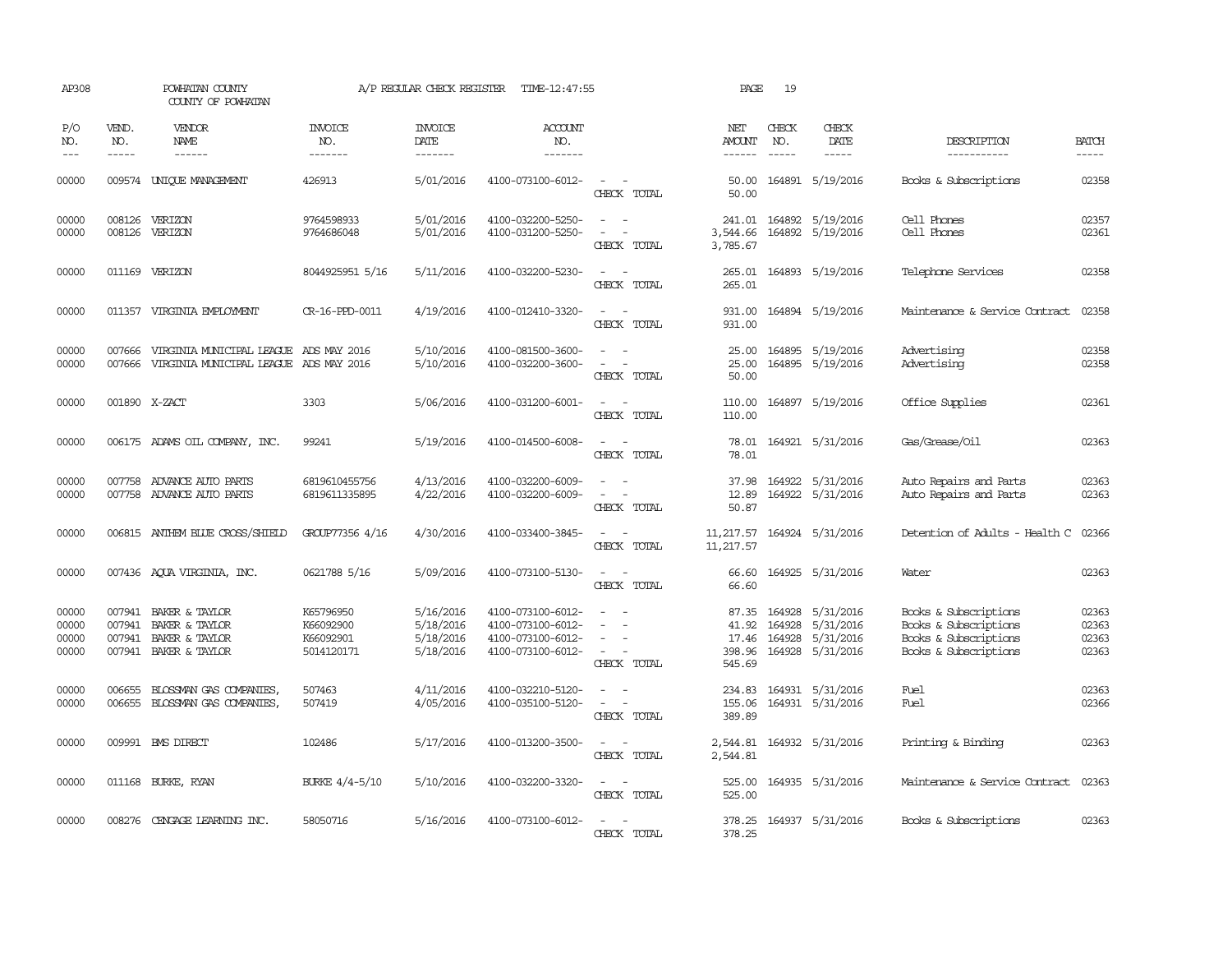| AP308                            |                             | POWHATAN COUNTY<br>COUNTY OF POWHATAN                                                     |                                                   | A/P REGULAR CHECK REGISTER                       | TIME-12:47:55                                                                    |                                                                                                                             | PAGE                                  | 19                            |                                                                            |                                                                                                  |                                  |
|----------------------------------|-----------------------------|-------------------------------------------------------------------------------------------|---------------------------------------------------|--------------------------------------------------|----------------------------------------------------------------------------------|-----------------------------------------------------------------------------------------------------------------------------|---------------------------------------|-------------------------------|----------------------------------------------------------------------------|--------------------------------------------------------------------------------------------------|----------------------------------|
| P/O<br>NO.<br>$\qquad \qquad -$  | VEND.<br>NO.<br>$- - - - -$ | VENDOR<br>NAME                                                                            | <b>INVOICE</b><br>NO.<br>-------                  | <b>INVOICE</b><br>DATE<br>-------                | <b>ACCOUNT</b><br>NO.<br>-------                                                 |                                                                                                                             | NET<br><b>AMOUNT</b><br>$- - - - - -$ | CHECK<br>NO.<br>$\frac{1}{2}$ | CHECK<br>DATE                                                              | DESCRIPTION<br>-----------                                                                       | <b>BATCH</b><br>-----            |
| 00000                            |                             | 009574 UNIQUE MANAGEMENT                                                                  | 426913                                            | 5/01/2016                                        | 4100-073100-6012-                                                                | $\sim$<br>CHECK TOTAL                                                                                                       | 50.00<br>50.00                        |                               | 164891 5/19/2016                                                           | Books & Subscriptions                                                                            | 02358                            |
| 00000<br>00000                   | 008126                      | 008126 VERIZON<br>VERIZON                                                                 | 9764598933<br>9764686048                          | 5/01/2016<br>5/01/2016                           | 4100-032200-5250-<br>4100-031200-5250-                                           | $\sim$<br>$\sim$<br>CHECK TOTAL                                                                                             | 3,544.66<br>3,785.67                  |                               | 241.01 164892 5/19/2016<br>164892 5/19/2016                                | Cell Phones<br>Cell Phones                                                                       | 02357<br>02361                   |
| 00000                            |                             | 011169 VERIZON                                                                            | 8044925951 5/16                                   | 5/11/2016                                        | 4100-032200-5230-                                                                | $\overline{\phantom{a}}$<br>CHECK TOTAL                                                                                     | 265.01<br>265.01                      |                               | 164893 5/19/2016                                                           | Telephone Services                                                                               | 02358                            |
| 00000                            |                             | 011357 VIRGINIA EMPLOYMENT                                                                | CR-16-PPD-0011                                    | 4/19/2016                                        | 4100-012410-3320-                                                                | $\omega_{\rm{max}}$ , $\omega_{\rm{max}}$<br>CHECK TOTAL                                                                    | 931.00<br>931.00                      |                               | 164894 5/19/2016                                                           | Maintenance & Service Contract                                                                   | 02358                            |
| 00000<br>00000                   | 007666<br>007666            | VIRGINIA MUNICIPAL LEAGUE ADS MAY 2016<br>VIRGINIA MUNICIPAL LEAGUE ADS MAY 2016          |                                                   | 5/10/2016<br>5/10/2016                           | 4100-081500-3600-<br>4100-032200-3600-                                           | $\equiv$<br>$\overline{\phantom{a}}$<br>CHECK TOTAL                                                                         | 25.00<br>25.00<br>50.00               |                               | 164895 5/19/2016<br>164895 5/19/2016                                       | Advertising<br>Advertising                                                                       | 02358<br>02358                   |
| 00000                            | 001890 X-ZACT               |                                                                                           | 3303                                              | 5/06/2016                                        | 4100-031200-6001-                                                                | $\sim$ $ \sim$<br>CHECK TOTAL                                                                                               | 110.00<br>110.00                      |                               | 164897 5/19/2016                                                           | Office Supplies                                                                                  | 02361                            |
| 00000                            |                             | 006175 ADAMS OIL COMPANY, INC.                                                            | 99241                                             | 5/19/2016                                        | 4100-014500-6008-                                                                | $\sim$ $\sim$<br>CHECK TOTAL                                                                                                | 78.01<br>78.01                        |                               | 164921 5/31/2016                                                           | Gas/Grease/Oil                                                                                   | 02363                            |
| 00000<br>00000                   |                             | 007758 ADVANCE AUTO PARTS<br>007758 ADVANCE AUTO PARTS                                    | 6819610455756<br>6819611335895                    | 4/13/2016<br>4/22/2016                           | 4100-032200-6009-<br>4100-032200-6009-                                           | CHECK TOTAL                                                                                                                 | 37.98<br>12.89<br>50.87               |                               | 164922 5/31/2016<br>164922 5/31/2016                                       | Auto Repairs and Parts<br>Auto Repairs and Parts                                                 | 02363<br>02363                   |
| 00000                            |                             | 006815 ANTHEM BLUE CROSS/SHIELD                                                           | GROUP77356 4/16                                   | 4/30/2016                                        | 4100-033400-3845-                                                                | $\frac{1}{2} \left( \frac{1}{2} \right) \left( \frac{1}{2} \right) = \frac{1}{2} \left( \frac{1}{2} \right)$<br>CHECK TOTAL | 11,217.57<br>11,217.57                |                               | 164924 5/31/2016                                                           | Detention of Adults - Health C                                                                   | 02366                            |
| 00000                            |                             | 007436 AQUA VIRGINIA, INC.                                                                | 0621788 5/16                                      | 5/09/2016                                        | 4100-073100-5130-                                                                | $\sim$<br>- -<br>CHECK TOTAL                                                                                                | 66.60<br>66.60                        |                               | 164925 5/31/2016                                                           | Water                                                                                            | 02363                            |
| 00000<br>00000<br>00000<br>00000 | 007941                      | 007941 BAKER & TAYLOR<br>BAKER & TAYLOR<br>007941 BAKER & TAYLOR<br>007941 BAKER & TAYLOR | K65796950<br>K66092900<br>K66092901<br>5014120171 | 5/16/2016<br>5/18/2016<br>5/18/2016<br>5/18/2016 | 4100-073100-6012-<br>4100-073100-6012-<br>4100-073100-6012-<br>4100-073100-6012- | $\equiv$<br>$\overline{\phantom{a}}$<br>CHECK TOTAL                                                                         | 41.92<br>398.96<br>545.69             | 164928<br>164928              | 87.35 164928 5/31/2016<br>5/31/2016<br>17.46 164928 5/31/2016<br>5/31/2016 | Books & Subscriptions<br>Books & Subscriptions<br>Books & Subscriptions<br>Books & Subscriptions | 02363<br>02363<br>02363<br>02363 |
| 00000<br>00000                   | 006655                      | BLOSSMAN GAS COMPANIES,<br>006655 BLOSSMAN GAS COMPANIES,                                 | 507463<br>507419                                  | 4/11/2016<br>4/05/2016                           | 4100-032210-5120-<br>4100-035100-5120-                                           | $\overline{\phantom{a}}$<br>$\sim$<br>$\equiv$<br>CHECK TOTAL                                                               | 234.83<br>155.06<br>389.89            |                               | 164931 5/31/2016<br>164931 5/31/2016                                       | Fuel<br>Fuel                                                                                     | 02363<br>02366                   |
| 00000                            |                             | 009991 BMS DIRECT                                                                         | 102486                                            | 5/17/2016                                        | 4100-013200-3500-                                                                | $\sim$<br>$\overline{\phantom{a}}$<br>CHECK TOTAL                                                                           | 2,544.81<br>2,544.81                  |                               | 164932 5/31/2016                                                           | Printing & Binding                                                                               | 02363                            |
| 00000                            |                             | 011168 BURKE, RYAN                                                                        | BURKE 4/4-5/10                                    | 5/10/2016                                        | 4100-032200-3320-                                                                | $\sim$ 10 $\sim$ 10 $\sim$<br>CHECK TOTAL                                                                                   | 525.00<br>525.00                      |                               | 164935 5/31/2016                                                           | Maintenance & Service Contract                                                                   | 02363                            |
| 00000                            |                             | 008276 CENGAGE LEARNING INC.                                                              | 58050716                                          | 5/16/2016                                        | 4100-073100-6012-                                                                | CHECK TOTAL                                                                                                                 | 378.25                                |                               | 378.25 164937 5/31/2016                                                    | Books & Subscriptions                                                                            | 02363                            |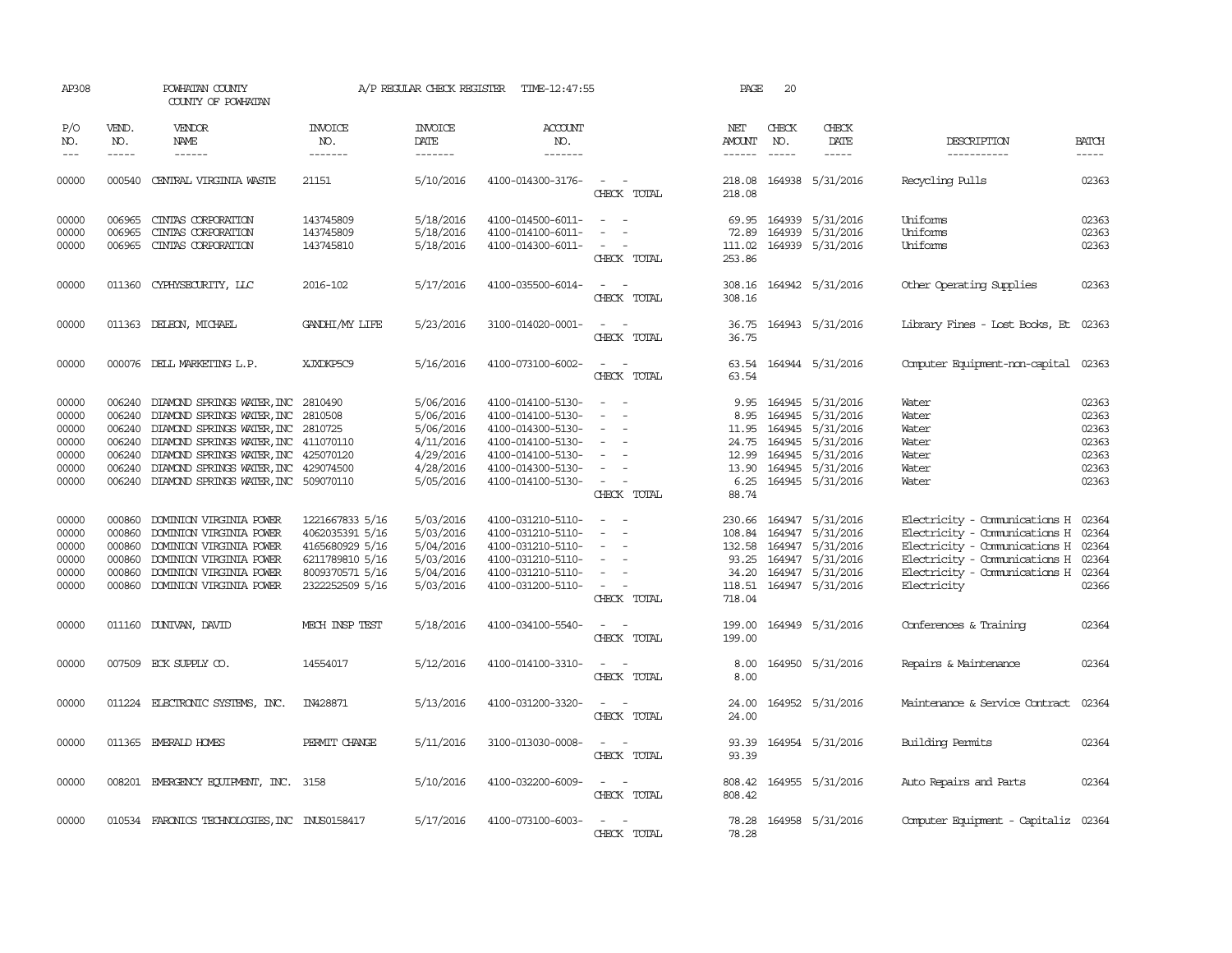| AP308                                                       |                                                | POWHATAN COUNTY<br>COUNTY OF POWHATAN                                                                                                                                                                                                                                                            |                                                                                                                | A/P REGULAR CHECK REGISTER                                                              | TIME-12:47:55                                                                                                                                   |                                                                                                                                              | PAGE                                                            | 20                                             |                                                                                                            |                                                                                                                                                                                              |                                                             |
|-------------------------------------------------------------|------------------------------------------------|--------------------------------------------------------------------------------------------------------------------------------------------------------------------------------------------------------------------------------------------------------------------------------------------------|----------------------------------------------------------------------------------------------------------------|-----------------------------------------------------------------------------------------|-------------------------------------------------------------------------------------------------------------------------------------------------|----------------------------------------------------------------------------------------------------------------------------------------------|-----------------------------------------------------------------|------------------------------------------------|------------------------------------------------------------------------------------------------------------|----------------------------------------------------------------------------------------------------------------------------------------------------------------------------------------------|-------------------------------------------------------------|
| P/O<br>NO.                                                  | VEND.<br>NO.                                   | VENDOR<br>NAME                                                                                                                                                                                                                                                                                   | <b>INVOICE</b><br>NO.                                                                                          | <b>INVOICE</b><br>DATE                                                                  | <b>ACCOUNT</b><br>NO.                                                                                                                           |                                                                                                                                              | NET<br>AMOUNT                                                   | CHECK<br>NO.                                   | CHECK<br>DATE                                                                                              | DESCRIPTION                                                                                                                                                                                  | <b>BATCH</b>                                                |
| $---$                                                       | $\frac{1}{2}$                                  | $- - - - - -$                                                                                                                                                                                                                                                                                    | -------                                                                                                        | -------                                                                                 | -------                                                                                                                                         |                                                                                                                                              |                                                                 | $\frac{1}{2}$                                  | -----                                                                                                      | -----------                                                                                                                                                                                  |                                                             |
| 00000                                                       |                                                | 000540 CENTRAL VIRGINIA WASTE                                                                                                                                                                                                                                                                    | 21151                                                                                                          | 5/10/2016                                                                               | 4100-014300-3176-                                                                                                                               | $\sim$<br>CHECK TOTAL                                                                                                                        | 218.08<br>218.08                                                |                                                | 164938 5/31/2016                                                                                           | Recycling Pulls                                                                                                                                                                              | 02363                                                       |
| 00000<br>00000<br>00000                                     | 006965<br>006965<br>006965                     | CINIAS CORPORATION<br>CINIAS CORPORATION<br>CINIAS CORPORATION                                                                                                                                                                                                                                   | 143745809<br>143745809<br>143745810                                                                            | 5/18/2016<br>5/18/2016<br>5/18/2016                                                     | 4100-014500-6011-<br>4100-014100-6011-<br>4100-014300-6011-                                                                                     | $\overline{\phantom{a}}$<br>$\sim$<br>$\overline{\phantom{a}}$                                                                               | 72.89<br>111.02                                                 |                                                | 69.95 164939 5/31/2016<br>164939 5/31/2016<br>164939 5/31/2016                                             | Uniforms<br>Uniforms<br>Uniforms                                                                                                                                                             | 02363<br>02363<br>02363                                     |
|                                                             |                                                |                                                                                                                                                                                                                                                                                                  |                                                                                                                |                                                                                         |                                                                                                                                                 | CHECK TOTAL                                                                                                                                  | 253.86                                                          |                                                |                                                                                                            |                                                                                                                                                                                              |                                                             |
| 00000                                                       |                                                | 011360 CYPHYSECURITY, LLC                                                                                                                                                                                                                                                                        | 2016-102                                                                                                       | 5/17/2016                                                                               | 4100-035500-6014-                                                                                                                               | CHECK TOTAL                                                                                                                                  | 308.16                                                          |                                                | 308.16 164942 5/31/2016                                                                                    | Other Operating Supplies                                                                                                                                                                     | 02363                                                       |
| 00000                                                       |                                                | 011363 DELEON, MICHAEL                                                                                                                                                                                                                                                                           | GANDHI/MY LIFE                                                                                                 | 5/23/2016                                                                               | 3100-014020-0001-                                                                                                                               | CHECK TOTAL                                                                                                                                  | 36.75<br>36.75                                                  |                                                | 164943 5/31/2016                                                                                           | Library Fines - Lost Books, Et                                                                                                                                                               | 02363                                                       |
| 00000                                                       |                                                | 000076 DELL MARKETING L.P.                                                                                                                                                                                                                                                                       | XJXDKP5C9                                                                                                      | 5/16/2016                                                                               | 4100-073100-6002-                                                                                                                               | CHECK TOTAL                                                                                                                                  | 63.54<br>63.54                                                  |                                                | 164944 5/31/2016                                                                                           | Computer Equipment-non-capital                                                                                                                                                               | 02363                                                       |
| 00000<br>00000<br>00000<br>00000<br>00000<br>00000<br>00000 | 006240                                         | 006240 DIAMOND SPRINGS WATER, INC<br>DIAMOND SPRINGS WATER, INC<br>006240 DIAMOND SPRINGS WATER, INC<br>006240 DIAMOND SPRINGS WATER, INC 411070110<br>006240 DIAMOND SPRINGS WATER, INC 425070120<br>006240 DIAMOND SPRINGS WATER, INC 429074500<br>006240 DIAMOND SPRINGS WATER, INC 509070110 | 2810490<br>2810508<br>2810725                                                                                  | 5/06/2016<br>5/06/2016<br>5/06/2016<br>4/11/2016<br>4/29/2016<br>4/28/2016<br>5/05/2016 | 4100-014100-5130-<br>4100-014100-5130-<br>4100-014300-5130-<br>4100-014100-5130-<br>4100-014100-5130-<br>4100-014300-5130-<br>4100-014100-5130- | $\overline{\phantom{a}}$<br>$\sim$<br>$\overline{\phantom{a}}$<br>$\equiv$<br>$\overline{\phantom{a}}$<br>$\sim$<br>$\overline{\phantom{a}}$ | 8.95<br>11.95<br>24.75<br>12.99<br>13.90<br>6.25                | 164945<br>164945<br>164945<br>164945<br>164945 | 9.95 164945 5/31/2016<br>5/31/2016<br>5/31/2016<br>5/31/2016<br>5/31/2016<br>5/31/2016<br>164945 5/31/2016 | Water<br>Water<br>Water<br>Water<br>Water<br>Water<br>Water                                                                                                                                  | 02363<br>02363<br>02363<br>02363<br>02363<br>02363<br>02363 |
| 00000<br>00000<br>00000<br>00000<br>00000<br>00000          | 000860<br>000860<br>000860<br>000860<br>000860 | DOMINION VIRGINIA POWER<br>DOMINION VIRGINIA POWER<br>DOMINION VIRGINIA POWER<br>DOMINION VIRGINIA POWER<br>DOMINION VIRGINIA POWER<br>000860 DOMINION VIRGINIA POWER                                                                                                                            | 1221667833 5/16<br>4062035391 5/16<br>4165680929 5/16<br>6211789810 5/16<br>8009370571 5/16<br>2322252509 5/16 | 5/03/2016<br>5/03/2016<br>5/04/2016<br>5/03/2016<br>5/04/2016<br>5/03/2016              | 4100-031210-5110-<br>4100-031210-5110-<br>4100-031210-5110-<br>4100-031210-5110-<br>4100-031210-5110-<br>4100-031200-5110-                      | CHECK TOTAL<br>$\equiv$<br>$\overline{\phantom{a}}$<br>$\sim$<br>$\overline{\phantom{a}}$<br>$\sim$<br>$\sim$                                | 88.74<br>230.66<br>108.84<br>132.58<br>93.25<br>34.20<br>118.51 | 164947<br>164947<br>164947<br>164947           | 5/31/2016<br>5/31/2016<br>5/31/2016<br>5/31/2016<br>164947 5/31/2016<br>164947 5/31/2016                   | Electricity - Comunications H<br>Electricity - Comunications H 02364<br>Electricity - Comunications H<br>Electricity - Comunications H<br>Electricity - Comunications H 02364<br>Electricity | 02364<br>02364<br>02364<br>02366                            |
|                                                             |                                                |                                                                                                                                                                                                                                                                                                  |                                                                                                                |                                                                                         |                                                                                                                                                 | CHECK TOTAL                                                                                                                                  | 718.04                                                          |                                                |                                                                                                            |                                                                                                                                                                                              |                                                             |
| 00000                                                       |                                                | 011160 DUNIVAN, DAVID                                                                                                                                                                                                                                                                            | MECH INSP TEST                                                                                                 | 5/18/2016                                                                               | 4100-034100-5540-                                                                                                                               | $\overline{\phantom{a}}$<br>CHECK TOTAL                                                                                                      | 199.00<br>199.00                                                |                                                | 164949 5/31/2016                                                                                           | Conferences & Training                                                                                                                                                                       | 02364                                                       |
| 00000                                                       |                                                | 007509 ECK SUPPLY CO.                                                                                                                                                                                                                                                                            | 14554017                                                                                                       | 5/12/2016                                                                               | 4100-014100-3310-                                                                                                                               | $\sim$<br>$\sim$<br>CHECK TOTAL                                                                                                              | 8.00<br>8.00                                                    |                                                | 164950 5/31/2016                                                                                           | Repairs & Maintenance                                                                                                                                                                        | 02364                                                       |
| 00000                                                       |                                                | 011224 ELECTRONIC SYSTEMS, INC.                                                                                                                                                                                                                                                                  | IN428871                                                                                                       | 5/13/2016                                                                               | 4100-031200-3320-                                                                                                                               | $\sim$<br>CHECK TOTAL                                                                                                                        | 24.00<br>24.00                                                  |                                                | 164952 5/31/2016                                                                                           | Maintenance & Service Contract                                                                                                                                                               | 02364                                                       |
| 00000                                                       |                                                | 011365 EMERALD HOMES                                                                                                                                                                                                                                                                             | PERMIT CHANGE                                                                                                  | 5/11/2016                                                                               | 3100-013030-0008-                                                                                                                               | $\sim$<br>CHECK TOTAL                                                                                                                        | 93.39<br>93.39                                                  |                                                | 164954 5/31/2016                                                                                           | Building Permits                                                                                                                                                                             | 02364                                                       |
| 00000                                                       |                                                | 008201 EMERGENCY EQUIPMENT, INC. 3158                                                                                                                                                                                                                                                            |                                                                                                                | 5/10/2016                                                                               | 4100-032200-6009-                                                                                                                               | $\hspace{0.1mm}-\hspace{0.1mm}$<br>CHECK TOTAL                                                                                               | 808.42                                                          |                                                | 808.42 164955 5/31/2016                                                                                    | Auto Repairs and Parts                                                                                                                                                                       | 02364                                                       |
| 00000                                                       |                                                | 010534 FARONICS TECHNOLOGIES, INC INUS0158417                                                                                                                                                                                                                                                    |                                                                                                                | 5/17/2016                                                                               | 4100-073100-6003-                                                                                                                               | $\sim$<br>$\sim$<br>CHECK TOTAL                                                                                                              | 78.28<br>78.28                                                  |                                                | 164958 5/31/2016                                                                                           | Computer Equipment - Capitaliz 02364                                                                                                                                                         |                                                             |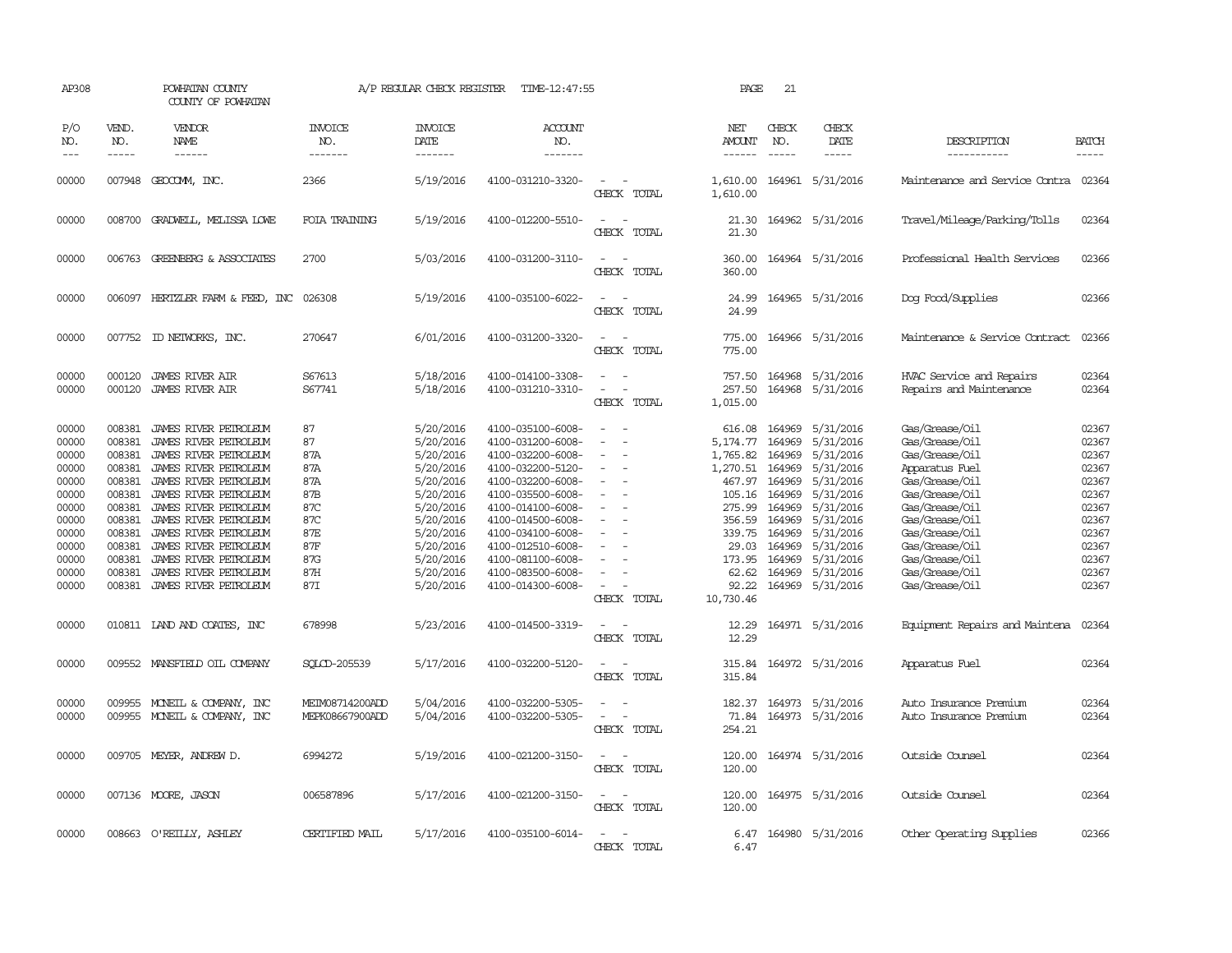| AP308                                                                                                             |                                                                                                                                | POWHATAN COUNTY<br>COUNTY OF POWHATAN                                                                                                                                                                                                                                                                                             |                                                                                       | A/P REGULAR CHECK REGISTER                                                                                                                                            | TIME-12:47:55                                                                                                                                                                                                                                                                 |                                                                                                                                                                                             | PAGE                                                                                                                                           | 21                                                                                                                   |                                                                                                                                                                              |                                                                                                                                                                                                                                        |                                                                                                                   |
|-------------------------------------------------------------------------------------------------------------------|--------------------------------------------------------------------------------------------------------------------------------|-----------------------------------------------------------------------------------------------------------------------------------------------------------------------------------------------------------------------------------------------------------------------------------------------------------------------------------|---------------------------------------------------------------------------------------|-----------------------------------------------------------------------------------------------------------------------------------------------------------------------|-------------------------------------------------------------------------------------------------------------------------------------------------------------------------------------------------------------------------------------------------------------------------------|---------------------------------------------------------------------------------------------------------------------------------------------------------------------------------------------|------------------------------------------------------------------------------------------------------------------------------------------------|----------------------------------------------------------------------------------------------------------------------|------------------------------------------------------------------------------------------------------------------------------------------------------------------------------|----------------------------------------------------------------------------------------------------------------------------------------------------------------------------------------------------------------------------------------|-------------------------------------------------------------------------------------------------------------------|
| P/O<br>NO.<br>$---$                                                                                               | VEND.<br>NO.<br>$- - - - -$                                                                                                    | VENDOR<br>NAME<br>------                                                                                                                                                                                                                                                                                                          | <b>INVOICE</b><br>NO.<br>-------                                                      | <b>INVOICE</b><br>DATE<br>-------                                                                                                                                     | ACCOUNT<br>NO.<br>-------                                                                                                                                                                                                                                                     |                                                                                                                                                                                             | NET<br>AMOUNT<br>------                                                                                                                        | CHECK<br>NO.<br>$\frac{1}{2}$                                                                                        | CHECK<br>DATE<br>$- - - - -$                                                                                                                                                 | DESCRIPTION<br>-----------                                                                                                                                                                                                             | <b>BATCH</b><br>$- - - - -$                                                                                       |
| 00000                                                                                                             |                                                                                                                                | 007948 GEOCOMM, INC.                                                                                                                                                                                                                                                                                                              | 2366                                                                                  | 5/19/2016                                                                                                                                                             | 4100-031210-3320-                                                                                                                                                                                                                                                             | $\overline{\phantom{a}}$<br>CHECK TOTAL                                                                                                                                                     | 1,610.00<br>1,610.00                                                                                                                           |                                                                                                                      | 164961 5/31/2016                                                                                                                                                             | Maintenance and Service Contra                                                                                                                                                                                                         | 02364                                                                                                             |
| 00000                                                                                                             |                                                                                                                                | 008700 GRADWELL, MELISSA LOWE                                                                                                                                                                                                                                                                                                     | FOIA TRAINING                                                                         | 5/19/2016                                                                                                                                                             | 4100-012200-5510-                                                                                                                                                                                                                                                             | CHECK TOTAL                                                                                                                                                                                 | 21.30<br>21.30                                                                                                                                 |                                                                                                                      | 164962 5/31/2016                                                                                                                                                             | Travel/Mileage/Parking/Tolls                                                                                                                                                                                                           | 02364                                                                                                             |
| 00000                                                                                                             |                                                                                                                                | 006763 GREENBERG & ASSOCIATES                                                                                                                                                                                                                                                                                                     | 2700                                                                                  | 5/03/2016                                                                                                                                                             | 4100-031200-3110-                                                                                                                                                                                                                                                             | $\sim$<br>CHECK TOTAL                                                                                                                                                                       | 360.00<br>360.00                                                                                                                               |                                                                                                                      | 164964 5/31/2016                                                                                                                                                             | Professional Health Services                                                                                                                                                                                                           | 02366                                                                                                             |
| 00000                                                                                                             |                                                                                                                                | 006097 HERTZLER FARM & FEED, INC 026308                                                                                                                                                                                                                                                                                           |                                                                                       | 5/19/2016                                                                                                                                                             | 4100-035100-6022-                                                                                                                                                                                                                                                             | $\sim$<br>CHECK TOTAL                                                                                                                                                                       | 24.99                                                                                                                                          |                                                                                                                      | 24.99 164965 5/31/2016                                                                                                                                                       | Dog Food/Supplies                                                                                                                                                                                                                      | 02366                                                                                                             |
| 00000                                                                                                             | 007752                                                                                                                         | ID NEIWORKS, INC.                                                                                                                                                                                                                                                                                                                 | 270647                                                                                | 6/01/2016                                                                                                                                                             | 4100-031200-3320-                                                                                                                                                                                                                                                             | $\overline{\phantom{a}}$<br>CHECK TOTAL                                                                                                                                                     | 775.00<br>775.00                                                                                                                               |                                                                                                                      | 164966 5/31/2016                                                                                                                                                             | Maintenance & Service Contract                                                                                                                                                                                                         | 02366                                                                                                             |
| 00000<br>00000                                                                                                    | 000120<br>000120                                                                                                               | <b>JAMES RIVER AIR</b><br><b>JAMES RIVER AIR</b>                                                                                                                                                                                                                                                                                  | S67613<br>S67741                                                                      | 5/18/2016<br>5/18/2016                                                                                                                                                | 4100-014100-3308-<br>4100-031210-3310-                                                                                                                                                                                                                                        | CHECK TOTAL                                                                                                                                                                                 | 757.50<br>257.50<br>1,015.00                                                                                                                   | 164968<br>164968                                                                                                     | 5/31/2016<br>5/31/2016                                                                                                                                                       | HVAC Service and Repairs<br>Repairs and Maintenance                                                                                                                                                                                    | 02364<br>02364                                                                                                    |
| 00000<br>00000<br>00000<br>00000<br>00000<br>00000<br>00000<br>00000<br>00000<br>00000<br>00000<br>00000<br>00000 | 008381<br>008381<br>008381<br>008381<br>008381<br>008381<br>008381<br>008381<br>008381<br>008381<br>008381<br>008381<br>008381 | JAMES RIVER PETROLEUM<br>JAMES RIVER PEIROLEUM<br>JAMES RIVER PEIROLEUM<br>JAMES RIVER PETROLEUM<br>JAMES RIVER PETROLEUM<br>JAMES RIVER PETROLEUM<br>JAMES RIVER PETROLEUM<br>JAMES RIVER PETROLEUM<br>JAMES RIVER PETROLEUM<br>JAMES RIVER PETROLEUM<br>JAMES RIVER PETROLEUM<br>JAMES RIVER PETROLEUM<br>JAMES RIVER PETROLEUM | 87<br>87<br>87A<br>87A<br>87A<br>87B<br>87C<br>87C<br>87E<br>87F<br>87G<br>87H<br>87I | 5/20/2016<br>5/20/2016<br>5/20/2016<br>5/20/2016<br>5/20/2016<br>5/20/2016<br>5/20/2016<br>5/20/2016<br>5/20/2016<br>5/20/2016<br>5/20/2016<br>5/20/2016<br>5/20/2016 | 4100-035100-6008-<br>4100-031200-6008-<br>4100-032200-6008-<br>4100-032200-5120-<br>4100-032200-6008-<br>4100-035500-6008-<br>4100-014100-6008-<br>4100-014500-6008-<br>4100-034100-6008-<br>4100-012510-6008-<br>4100-081100-6008-<br>4100-083500-6008-<br>4100-014300-6008- | $\overline{\phantom{a}}$<br>$\sim$<br>$\sim$<br>$\overline{\phantom{a}}$<br>$\sim$<br>$\overline{\phantom{a}}$<br>$\equiv$<br>$\equiv$<br>$\sim$<br>$\overline{\phantom{a}}$<br>CHECK TOTAL | 616.08<br>5,174.77<br>1,765.82<br>1,270.51<br>467.97<br>105.16<br>275.99<br>356.59<br>339.75<br>29.03<br>173.95<br>62.62<br>92.22<br>10,730.46 | 164969<br>164969<br>164969<br>164969<br>164969<br>164969<br>164969<br>164969<br>164969<br>164969<br>164969<br>164969 | 5/31/2016<br>5/31/2016<br>5/31/2016<br>5/31/2016<br>5/31/2016<br>5/31/2016<br>5/31/2016<br>5/31/2016<br>5/31/2016<br>5/31/2016<br>5/31/2016<br>5/31/2016<br>164969 5/31/2016 | Gas/Grease/Oil<br>Gas/Grease/Oil<br>Gas/Grease/Oil<br>Apparatus Fuel<br>Gas/Grease/Oil<br>Gas/Grease/Oil<br>Gas/Grease/Oil<br>Gas/Grease/Oil<br>Gas/Grease/Oil<br>Gas/Grease/Oil<br>Gas/Grease/Oil<br>Gas/Grease/Oil<br>Gas/Grease/Oil | 02367<br>02367<br>02367<br>02367<br>02367<br>02367<br>02367<br>02367<br>02367<br>02367<br>02367<br>02367<br>02367 |
| 00000                                                                                                             |                                                                                                                                | 010811 IAND AND COATES, INC                                                                                                                                                                                                                                                                                                       | 678998                                                                                | 5/23/2016                                                                                                                                                             | 4100-014500-3319-                                                                                                                                                                                                                                                             | $\overline{\phantom{a}}$<br>CHECK TOTAL                                                                                                                                                     | 12.29<br>12.29                                                                                                                                 |                                                                                                                      | 164971 5/31/2016                                                                                                                                                             | Equipment Repairs and Maintena                                                                                                                                                                                                         | 02364                                                                                                             |
| 00000<br>00000                                                                                                    | 009955                                                                                                                         | 009552 MANSFIELD OIL COMPANY<br>MONEIL & COMPANY, INC                                                                                                                                                                                                                                                                             | SOLCD-205539<br>MEIM08714200ADD                                                       | 5/17/2016<br>5/04/2016                                                                                                                                                | 4100-032200-5120-<br>4100-032200-5305-                                                                                                                                                                                                                                        | $\sim$<br>CHECK TOTAL                                                                                                                                                                       | 315.84<br>315.84<br>182.37                                                                                                                     |                                                                                                                      | 164972 5/31/2016<br>164973 5/31/2016                                                                                                                                         | Apparatus Fuel<br>Auto Insurance Premium                                                                                                                                                                                               | 02364<br>02364                                                                                                    |
| 00000                                                                                                             |                                                                                                                                | 009955 MONEIL & COMPANY, INC                                                                                                                                                                                                                                                                                                      | MEPK08667900ADD                                                                       | 5/04/2016                                                                                                                                                             | 4100-032200-5305-                                                                                                                                                                                                                                                             | $\sim$<br>CHECK TOTAL                                                                                                                                                                       | 71.84<br>254.21                                                                                                                                |                                                                                                                      | 164973 5/31/2016                                                                                                                                                             | Auto Insurance Premium                                                                                                                                                                                                                 | 02364                                                                                                             |
| 00000                                                                                                             |                                                                                                                                | 009705 MEYER, ANDREW D.                                                                                                                                                                                                                                                                                                           | 6994272                                                                               | 5/19/2016                                                                                                                                                             | 4100-021200-3150-                                                                                                                                                                                                                                                             | $\equiv$<br>CHECK TOTAL                                                                                                                                                                     | 120.00<br>120.00                                                                                                                               |                                                                                                                      | 164974 5/31/2016                                                                                                                                                             | Outside Counsel                                                                                                                                                                                                                        | 02364                                                                                                             |
| 00000                                                                                                             |                                                                                                                                | 007136 MOORE, JASON                                                                                                                                                                                                                                                                                                               | 006587896                                                                             | 5/17/2016                                                                                                                                                             | 4100-021200-3150-                                                                                                                                                                                                                                                             | $\overline{\phantom{a}}$<br>$\overline{\phantom{a}}$<br>CHECK TOTAL                                                                                                                         | 120.00<br>120.00                                                                                                                               |                                                                                                                      | 164975 5/31/2016                                                                                                                                                             | Outside Counsel                                                                                                                                                                                                                        | 02364                                                                                                             |
| 00000                                                                                                             |                                                                                                                                | 008663 O'REILLY, ASHLEY                                                                                                                                                                                                                                                                                                           | CERTIFIED MAIL                                                                        | 5/17/2016                                                                                                                                                             | 4100-035100-6014-                                                                                                                                                                                                                                                             | $\sim$<br>CHECK TOTAL                                                                                                                                                                       | 6.47<br>6.47                                                                                                                                   |                                                                                                                      | 164980 5/31/2016                                                                                                                                                             | Other Operating Supplies                                                                                                                                                                                                               | 02366                                                                                                             |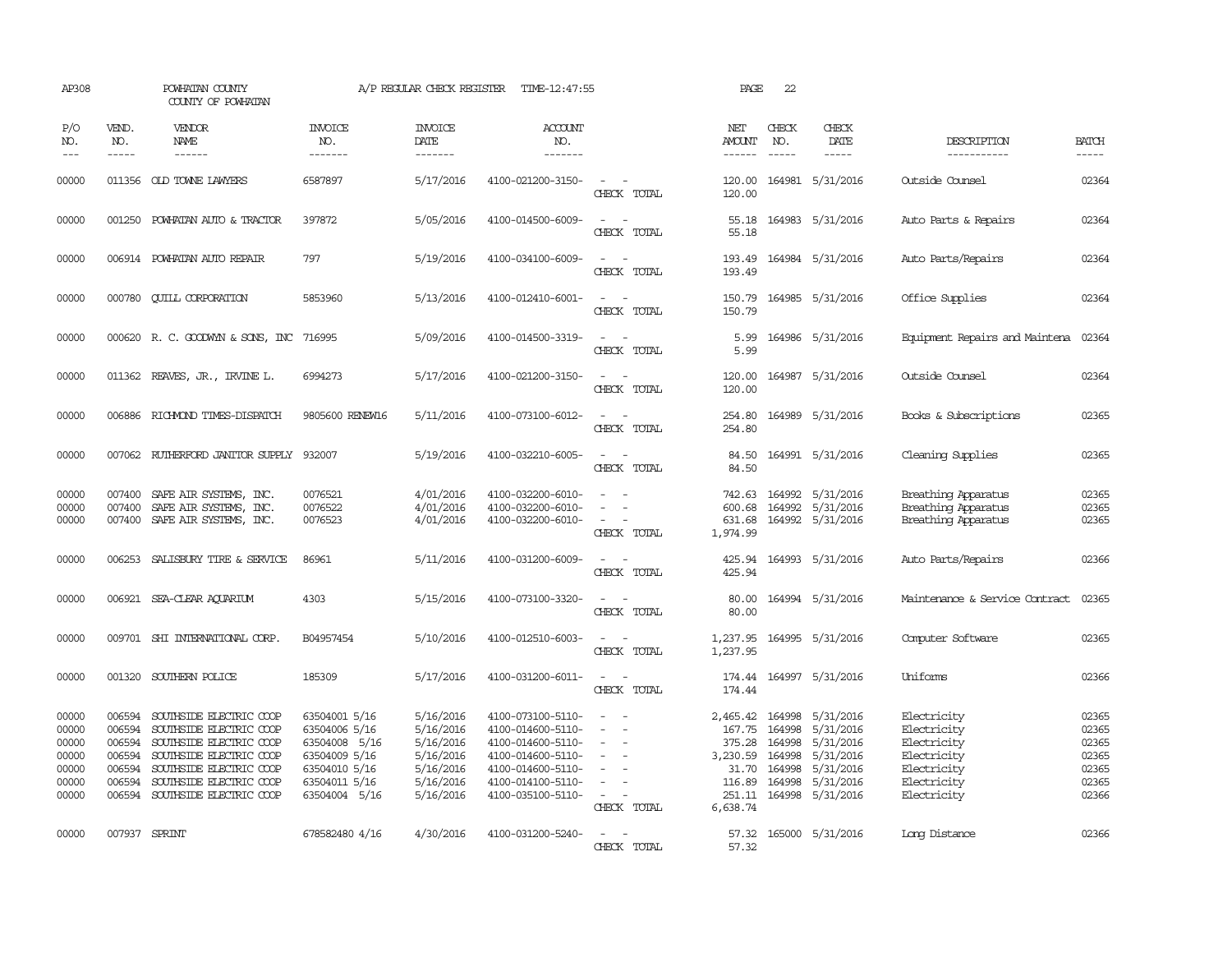| AP308                                                       |                                                          | POWHATAN COUNTY<br>COUNTY OF POWHATAN                                                                                                                                                            |                                                                                                                     | A/P REGULAR CHECK REGISTER                                                              | TIME-12:47:55                                                                                                                                   |                                                                                                                             | PAGE                                                        | 22                                             |                                                                                                                       |                                                                                                       |                                                             |
|-------------------------------------------------------------|----------------------------------------------------------|--------------------------------------------------------------------------------------------------------------------------------------------------------------------------------------------------|---------------------------------------------------------------------------------------------------------------------|-----------------------------------------------------------------------------------------|-------------------------------------------------------------------------------------------------------------------------------------------------|-----------------------------------------------------------------------------------------------------------------------------|-------------------------------------------------------------|------------------------------------------------|-----------------------------------------------------------------------------------------------------------------------|-------------------------------------------------------------------------------------------------------|-------------------------------------------------------------|
| P/O<br>NO.<br>$---$                                         | VEND.<br>NO.<br>$- - - - -$                              | VENDOR<br>NAME<br>------                                                                                                                                                                         | <b>INVOICE</b><br>NO.<br>-------                                                                                    | <b>INVOICE</b><br>DATE<br>-------                                                       | <b>ACCOUNT</b><br>NO.<br>-------                                                                                                                |                                                                                                                             | NET<br>AMOUNT<br>------                                     | CHECK<br>NO.<br>$- - - - -$                    | CHECK<br>DATE<br>$\cdots \cdots \cdots$                                                                               | DESCRIPTION<br>-----------                                                                            | <b>BATCH</b><br>$- - - - -$                                 |
| 00000                                                       |                                                          | 011356 OLD TOWNE LAWYERS                                                                                                                                                                         | 6587897                                                                                                             | 5/17/2016                                                                               | 4100-021200-3150-                                                                                                                               | $\sim$ $ \sim$<br>CHECK TOTAL                                                                                               | 120.00                                                      |                                                | 120.00 164981 5/31/2016                                                                                               | Outside Counsel                                                                                       | 02364                                                       |
| 00000                                                       |                                                          | 001250 POWHATAN AUTO & TRACTOR                                                                                                                                                                   | 397872                                                                                                              | 5/05/2016                                                                               | 4100-014500-6009-                                                                                                                               | - -<br>$\sim$<br>CHECK TOTAL                                                                                                | 55.18<br>55.18                                              |                                                | 164983 5/31/2016                                                                                                      | Auto Parts & Repairs                                                                                  | 02364                                                       |
| 00000                                                       |                                                          | 006914 POWHATAN AUTO REPAIR                                                                                                                                                                      | 797                                                                                                                 | 5/19/2016                                                                               | 4100-034100-6009-                                                                                                                               | $\sim$<br>$\sim$<br>CHECK TOTAL                                                                                             | 193.49<br>193.49                                            |                                                | 164984 5/31/2016                                                                                                      | Auto Parts/Repairs                                                                                    | 02364                                                       |
| 00000                                                       | 000780                                                   | <b>QUILL CORPORATION</b>                                                                                                                                                                         | 5853960                                                                                                             | 5/13/2016                                                                               | 4100-012410-6001-                                                                                                                               | CHECK TOTAL                                                                                                                 | 150.79<br>150.79                                            |                                                | 164985 5/31/2016                                                                                                      | Office Supplies                                                                                       | 02364                                                       |
| 00000                                                       |                                                          | 000620 R. C. GOODWYN & SONS, INC                                                                                                                                                                 | 716995                                                                                                              | 5/09/2016                                                                               | 4100-014500-3319-                                                                                                                               | $\overline{\phantom{a}}$<br>CHECK TOTAL                                                                                     | 5.99<br>5.99                                                |                                                | 164986 5/31/2016                                                                                                      | Equipment Repairs and Maintena                                                                        | 02364                                                       |
| 00000                                                       |                                                          | 011362 REAVES, JR., IRVINE L.                                                                                                                                                                    | 6994273                                                                                                             | 5/17/2016                                                                               | 4100-021200-3150-                                                                                                                               | $\sim$<br>CHECK TOTAL                                                                                                       | 120.00<br>120.00                                            |                                                | 164987 5/31/2016                                                                                                      | Outside Counsel                                                                                       | 02364                                                       |
| 00000                                                       |                                                          | 006886 RICHMOND TIMES-DISPATCH                                                                                                                                                                   | 9805600 RENEW16                                                                                                     | 5/11/2016                                                                               | 4100-073100-6012-                                                                                                                               | $\frac{1}{2} \left( \frac{1}{2} \right) \left( \frac{1}{2} \right) = \frac{1}{2} \left( \frac{1}{2} \right)$<br>CHECK TOTAL | 254.80<br>254.80                                            |                                                | 164989 5/31/2016                                                                                                      | Books & Subscriptions                                                                                 | 02365                                                       |
| 00000                                                       | 007062                                                   | RUTHERFORD JANITOR SUPPLY                                                                                                                                                                        | 932007                                                                                                              | 5/19/2016                                                                               | 4100-032210-6005-                                                                                                                               | $\sim$ $-$<br>CHECK TOTAL                                                                                                   | 84.50<br>84.50                                              |                                                | 164991 5/31/2016                                                                                                      | Cleaning Supplies                                                                                     | 02365                                                       |
| 00000<br>00000<br>00000                                     | 007400<br>007400                                         | SAFE AIR SYSTEMS, INC.<br>SAFE AIR SYSTEMS, INC.<br>007400 SAFE AIR SYSTEMS, INC.                                                                                                                | 0076521<br>0076522<br>0076523                                                                                       | 4/01/2016<br>4/01/2016<br>4/01/2016                                                     | 4100-032200-6010-<br>4100-032200-6010-<br>4100-032200-6010-                                                                                     | $\equiv$<br>CHECK TOTAL                                                                                                     | 742.63<br>600.68<br>631.68<br>1,974.99                      |                                                | 164992 5/31/2016<br>164992 5/31/2016<br>164992 5/31/2016                                                              | Breathing Apparatus<br>Breathing Apparatus<br>Breathing Apparatus                                     | 02365<br>02365<br>02365                                     |
| 00000                                                       | 006253                                                   | SALISBURY TIRE & SERVICE                                                                                                                                                                         | 86961                                                                                                               | 5/11/2016                                                                               | 4100-031200-6009-                                                                                                                               | CHECK TOTAL                                                                                                                 | 425.94<br>425.94                                            |                                                | 164993 5/31/2016                                                                                                      | Auto Parts/Repairs                                                                                    | 02366                                                       |
| 00000                                                       |                                                          | 006921 SEA-CLEAR AQUARIUM                                                                                                                                                                        | 4303                                                                                                                | 5/15/2016                                                                               | 4100-073100-3320-                                                                                                                               | CHECK TOTAL                                                                                                                 | 80.00<br>80.00                                              |                                                | 164994 5/31/2016                                                                                                      | Maintenance & Service Contract                                                                        | 02365                                                       |
| 00000                                                       | 009701                                                   | SHI INTERNATIONAL CORP.                                                                                                                                                                          | B04957454                                                                                                           | 5/10/2016                                                                               | 4100-012510-6003-                                                                                                                               | CHECK TOTAL                                                                                                                 | 1,237.95<br>1,237.95                                        |                                                | 164995 5/31/2016                                                                                                      | Computer Software                                                                                     | 02365                                                       |
| 00000                                                       |                                                          | 001320 SOUTHERN POLICE                                                                                                                                                                           | 185309                                                                                                              | 5/17/2016                                                                               | 4100-031200-6011-                                                                                                                               | $\sim$<br>CHECK TOTAL                                                                                                       | 174.44<br>174.44                                            |                                                | 164997 5/31/2016                                                                                                      | Uniforms                                                                                              | 02366                                                       |
| 00000<br>00000<br>00000<br>00000<br>00000<br>00000<br>00000 | 006594<br>006594<br>006594<br>006594<br>006594<br>006594 | SOUTHSIDE ELECTRIC COOP<br>SOUTHSIDE ELECTRIC COOP<br>SOUTHSIDE ELECTRIC COOP<br>SOUTHSIDE ELECTRIC COOP<br>SOUTHSIDE ELECTRIC COOP<br>SOUTHSIDE ELECTRIC COOP<br>006594 SOUTHSIDE ELECTRIC COOP | 63504001 5/16<br>63504006 5/16<br>63504008 5/16<br>63504009 5/16<br>63504010 5/16<br>63504011 5/16<br>63504004 5/16 | 5/16/2016<br>5/16/2016<br>5/16/2016<br>5/16/2016<br>5/16/2016<br>5/16/2016<br>5/16/2016 | 4100-073100-5110-<br>4100-014600-5110-<br>4100-014600-5110-<br>4100-014600-5110-<br>4100-014600-5110-<br>4100-014100-5110-<br>4100-035100-5110- | $\equiv$<br>$\equiv$<br>$\equiv$<br>$\sim$<br>$\sim$<br>$\sim$ 100 $\mu$<br>$\sim$<br>CHECK TOTAL                           | 167.75<br>375.28<br>3,230.59<br>31.70<br>116.89<br>6,638.74 | 164998<br>164998<br>164998<br>164998<br>164998 | 2,465.42 164998 5/31/2016<br>5/31/2016<br>5/31/2016<br>5/31/2016<br>5/31/2016<br>5/31/2016<br>251.11 164998 5/31/2016 | Electricity<br>Electricity<br>Electricity<br>Electricity<br>Electricity<br>Electricity<br>Electricity | 02365<br>02365<br>02365<br>02365<br>02365<br>02365<br>02366 |
| 00000                                                       |                                                          | 007937 SPRINT                                                                                                                                                                                    | 678582480 4/16                                                                                                      | 4/30/2016                                                                               | 4100-031200-5240-                                                                                                                               | $\overline{\phantom{a}}$<br>CHECK TOTAL                                                                                     | 57.32<br>57.32                                              |                                                | 165000 5/31/2016                                                                                                      | Long Distance                                                                                         | 02366                                                       |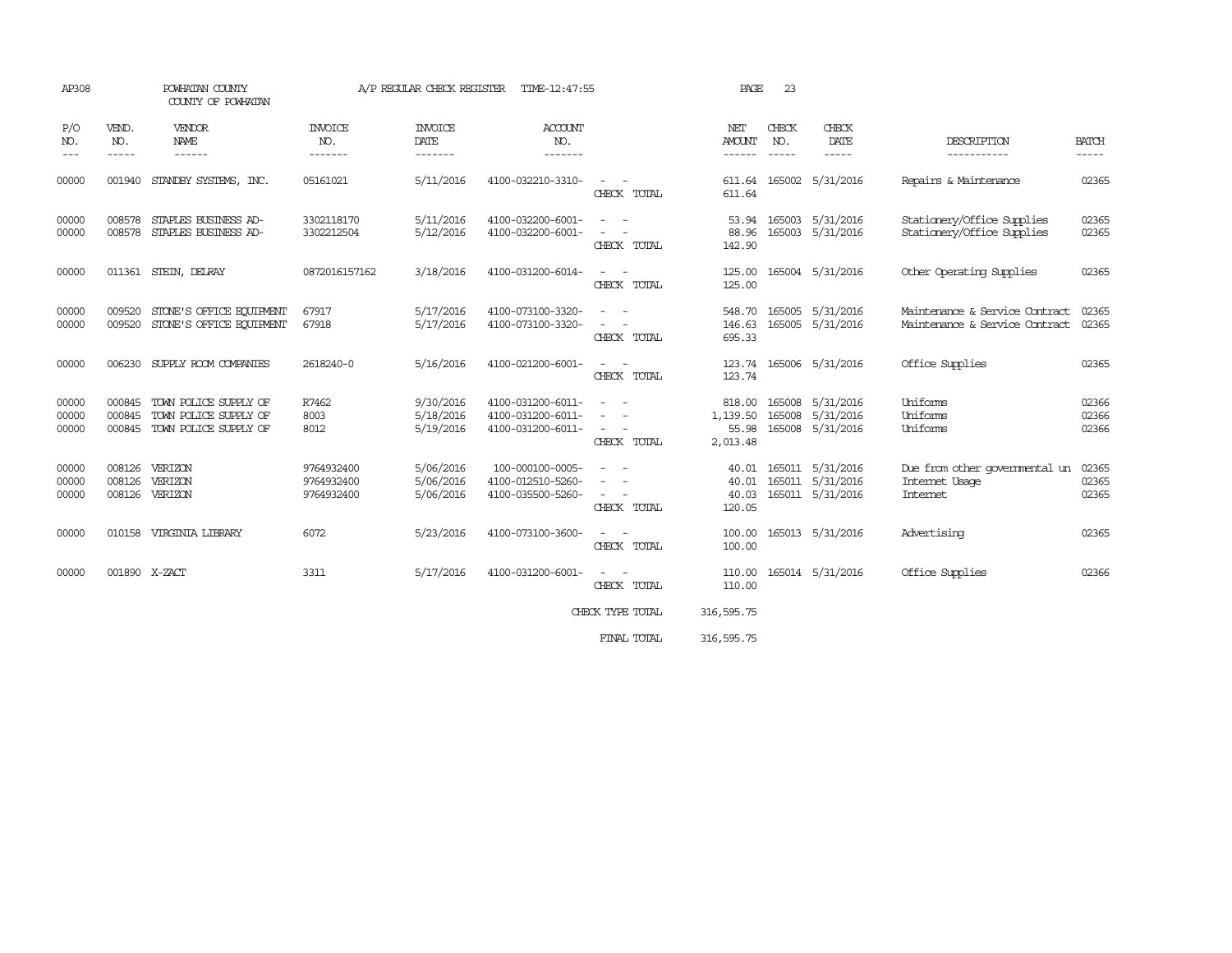| AP308                   |                       | POWHATAN COUNTY<br>A/P REGULAR CHECK REGISTER<br>TIME-12:47:55<br>COUNTY OF POWHATAN  |                                        |                                     |                                                             | PAGE                                                                                                                                                                                | 23                                      |              |                                                          |                                                                  |                         |
|-------------------------|-----------------------|---------------------------------------------------------------------------------------|----------------------------------------|-------------------------------------|-------------------------------------------------------------|-------------------------------------------------------------------------------------------------------------------------------------------------------------------------------------|-----------------------------------------|--------------|----------------------------------------------------------|------------------------------------------------------------------|-------------------------|
| P/O<br>NO.<br>$\cdots$  | VEND.<br>NO.<br>----- | VENDOR<br>NAME<br>------                                                              | <b>INVOICE</b><br>NO.<br>-------       | <b>INVOICE</b><br>DATE<br>-------   | <b>ACCOUNT</b><br>NO.<br>-------                            |                                                                                                                                                                                     | NET<br>AMOUNT<br>------                 | CHECK<br>NO. | CHECK<br>DATE                                            | DESCRIPTION<br>-----------                                       | <b>BATCH</b><br>-----   |
| 00000                   |                       | 001940 STANDBY SYSTEMS, INC.                                                          | 05161021                               | 5/11/2016                           | 4100-032210-3310-                                           | $\sim$ 100 $\mu$<br>CHECK TOTAL                                                                                                                                                     | 611.64                                  |              | 611.64 165002 5/31/2016                                  | Repairs & Maintenance                                            | 02365                   |
| 00000<br>00000          | 008578<br>008578      | STAPLES BUSINESS AD-<br>STAPLES BUSINESS AD-                                          | 3302118170<br>3302212504               | 5/11/2016<br>5/12/2016              | 4100-032200-6001-<br>4100-032200-6001-                      | CHECK TOTAL                                                                                                                                                                         | 53.94<br>88.96<br>142.90                |              | 165003 5/31/2016<br>165003 5/31/2016                     | Stationery/Office Supplies<br>Stationery/Office Supplies         | 02365<br>02365          |
| 00000                   |                       | 011361 STEIN, DEIRAY                                                                  | 0872016157162                          | 3/18/2016                           | 4100-031200-6014-                                           | CHECK TOTAL                                                                                                                                                                         | 125.00                                  |              | 125.00 165004 5/31/2016                                  | Other Operating Supplies                                         | 02365                   |
| 00000<br>00000          | 009520<br>009520      | STONE'S OFFICE EQUIPMENT<br>STONE'S OFFICE EQUIPMENT                                  | 67917<br>67918                         | 5/17/2016<br>5/17/2016              | 4100-073100-3320-<br>4100-073100-3320-                      | $\sim$ 100 $\mu$<br>$\sim$ 100 $\mu$<br>CHECK TOTAL                                                                                                                                 | 548.70<br>695.33                        |              | 165005 5/31/2016<br>146.63 165005 5/31/2016              | Maintenance & Service Contract<br>Maintenance & Service Contract | 02365<br>02365          |
| 00000                   |                       | 006230 SUPPLY ROOM COMPANIES                                                          | 2618240-0                              | 5/16/2016                           | 4100-021200-6001-                                           | $\sim 100$<br>CHECK TOTAL                                                                                                                                                           | 123.74                                  |              | 123.74 165006 5/31/2016                                  | Office Supplies                                                  | 02365                   |
| 00000<br>00000<br>00000 | 000845                | 000845 TOWN POLICE SUPPLY OF<br>TOWN POLICE SUPPLY OF<br>000845 TOWN POLICE SUPPLY OF | R7462<br>8003<br>8012                  | 9/30/2016<br>5/18/2016<br>5/19/2016 | 4100-031200-6011-<br>4100-031200-6011-<br>4100-031200-6011- | $\frac{1}{2} \left( \frac{1}{2} \right) \left( \frac{1}{2} \right) = \frac{1}{2} \left( \frac{1}{2} \right)$<br>$\overline{\phantom{a}}$<br>$\overline{\phantom{a}}$<br>CHECK TOTAL | 818.00<br>1,139.50<br>55.98<br>2,013.48 |              | 165008 5/31/2016<br>165008 5/31/2016<br>165008 5/31/2016 | Uniforms<br>Uniforms<br>Uniforms                                 | 02366<br>02366<br>02366 |
| 00000<br>00000<br>00000 | 008126<br>008126      | VERIZON<br>VERIZON<br>008126 VERIZON                                                  | 9764932400<br>9764932400<br>9764932400 | 5/06/2016<br>5/06/2016<br>5/06/2016 | 100-000100-0005-<br>4100-012510-5260-<br>4100-035500-5260-  | $\overline{\phantom{a}}$<br>$\sim$ 100 $\mu$<br>CHECK TOTAL                                                                                                                         | 40.01<br>40.01<br>40.03<br>120.05       |              | 165011 5/31/2016<br>165011 5/31/2016<br>165011 5/31/2016 | Due from other governmental un<br>Internet Usage<br>Internet     | 02365<br>02365<br>02365 |
| 00000                   |                       | 010158 VIRGINIA LIBRARY                                                               | 6072                                   | 5/23/2016                           | 4100-073100-3600-                                           | $\sim$ 100 $\mu$<br>CHECK TOTAL                                                                                                                                                     | 100.00<br>100.00                        |              | 165013 5/31/2016                                         | Advertising                                                      | 02365                   |
| 00000                   | 001890 X-ZACT         |                                                                                       | 3311                                   | 5/17/2016                           | 4100-031200-6001-                                           | $\sim$ 100 $\sim$<br>CHECK TOTAL                                                                                                                                                    | 110.00<br>110.00                        |              | 165014 5/31/2016                                         | Office Supplies                                                  | 02366                   |
|                         |                       |                                                                                       |                                        |                                     |                                                             | CHECK TYPE TOTAL                                                                                                                                                                    | 316,595.75                              |              |                                                          |                                                                  |                         |

FINAL TOTAL 316,595.75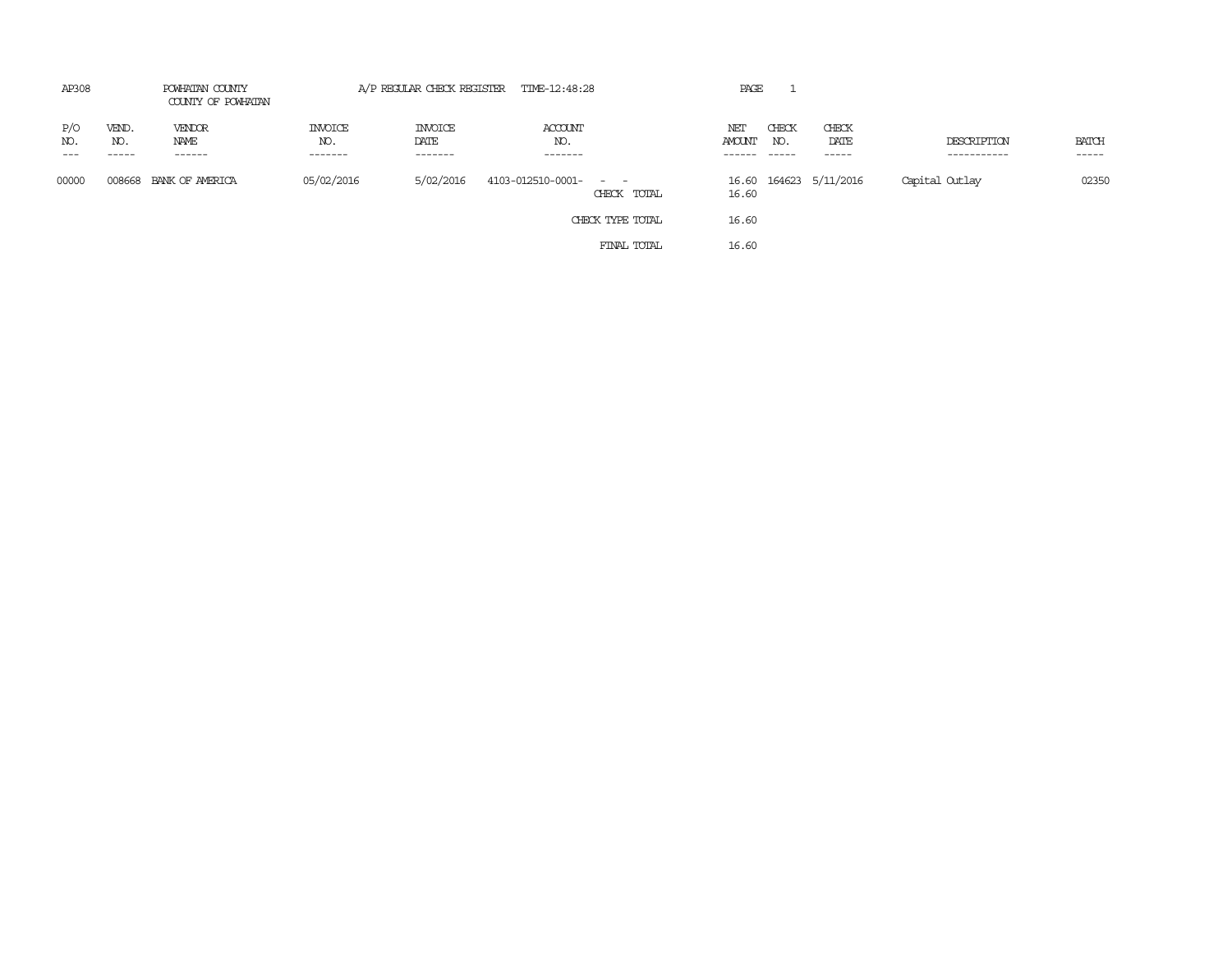| AP308               |                       | POWHATAN COUNTY<br>COUNTY OF POWHATAN |                           |                                   | A/P REGULAR CHECK REGISTER TIME-12:48:28 |             | PAGE          |              |                        |                            |                 |
|---------------------|-----------------------|---------------------------------------|---------------------------|-----------------------------------|------------------------------------------|-------------|---------------|--------------|------------------------|----------------------------|-----------------|
| P/O<br>NO.<br>$---$ | VEND.<br>NO.<br>----- | VENDOR<br>NAME<br>------              | INVOICE<br>NO.<br>------- | <b>INVOICE</b><br>DATE<br>------- | ACCOUNT<br>NO.<br>-------                |             | NET<br>AMOUNT | CHECK<br>NO. | CHECK<br>DATE<br>----- | DESCRIPTION<br>----------- | BATCH<br>------ |
| 00000               | 008668                | BANK OF AMERICA                       | 05/02/2016                | 5/02/2016                         | 4103-012510-0001-<br>$\sim$ $ \sim$ $ -$ | CHECK TOTAL | 16.60         |              | 16.60 164623 5/11/2016 | Capital Outlay             | 02350           |
|                     |                       |                                       |                           |                                   | CHECK TYPE TOTAL                         |             | 16.60         |              |                        |                            |                 |
|                     |                       |                                       |                           |                                   |                                          | FINAL TOTAL | 16.60         |              |                        |                            |                 |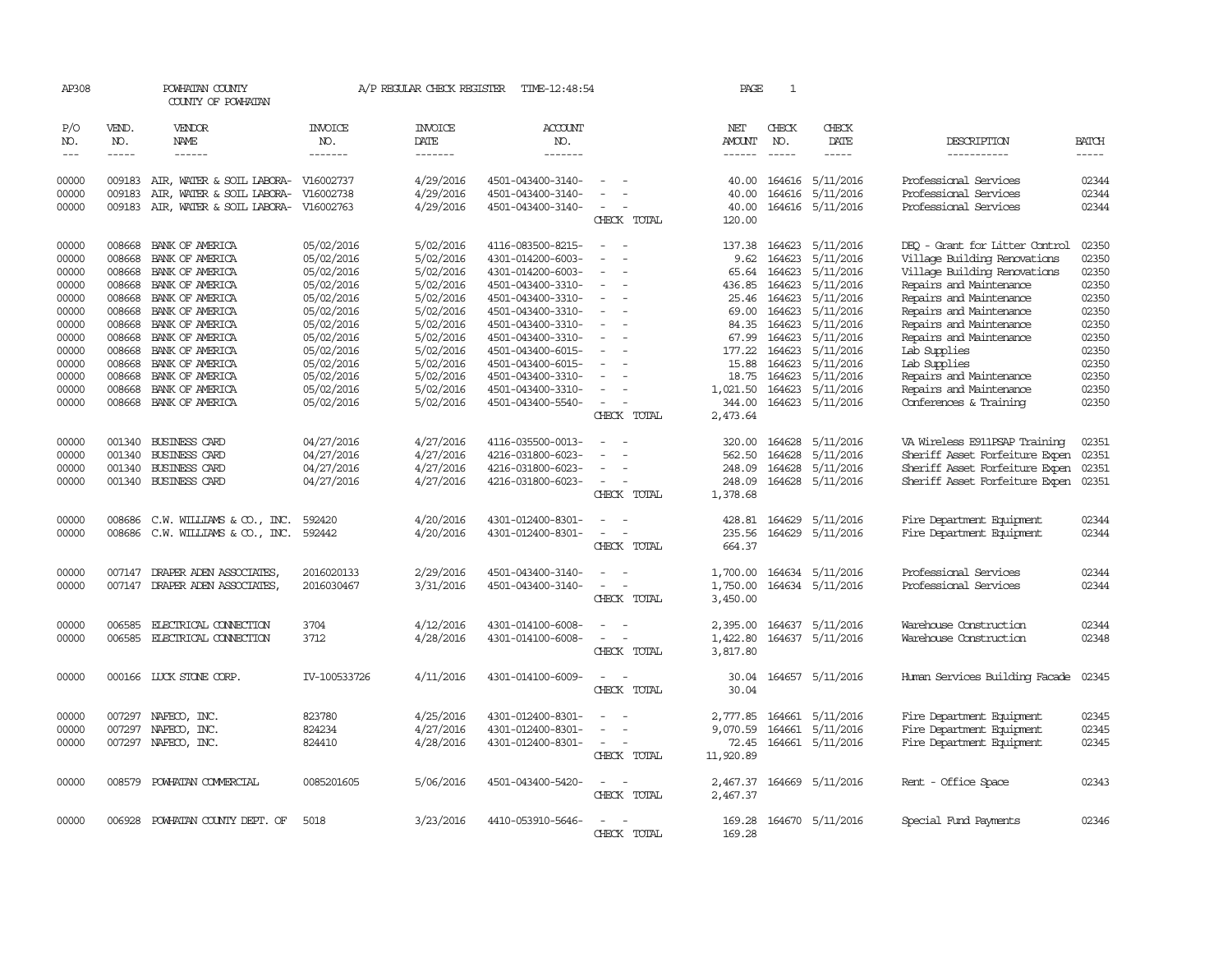| AP308               |                          | POWHATAN COUNTY<br>COUNTY OF POWHATAN |                           | A/P REGULAR CHECK REGISTER        | TIME-12:48:54             |                                                      | PAGE               | 1                           |                           |                                |                             |
|---------------------|--------------------------|---------------------------------------|---------------------------|-----------------------------------|---------------------------|------------------------------------------------------|--------------------|-----------------------------|---------------------------|--------------------------------|-----------------------------|
| P/O<br>NO.<br>$---$ | VEND.<br>NO.<br>$\cdots$ | VENDOR<br>NAME<br>------              | INVOICE<br>NO.<br>------- | <b>INVOICE</b><br>DATE<br>------- | ACCOUNT<br>NO.<br>------- |                                                      | NET<br>AMOUNT      | CHECK<br>NO.<br>$- - - - -$ | CHECK<br>DATE<br>-----    | DESCRIPTION<br>-----------     | <b>BATCH</b><br>$- - - - -$ |
| 00000               | 009183                   | AIR, WATER & SOIL LABORA-             | V16002737                 | 4/29/2016                         | 4501-043400-3140-         |                                                      | 40.00              | 164616                      | 5/11/2016                 | Professional Services          | 02344                       |
| 00000               | 009183                   | AIR, WATER & SOIL LABORA-             | V16002738                 | 4/29/2016                         | 4501-043400-3140-         | $\overline{\phantom{a}}$                             | 40.00              | 164616                      | 5/11/2016                 | Professional Services          | 02344                       |
| 00000               |                          | 009183 AIR, WATER & SOIL LABORA-      | V16002763                 | 4/29/2016                         | 4501-043400-3140-         | $\sim$                                               | 40.00              |                             | 164616 5/11/2016          | Professional Services          | 02344                       |
|                     |                          |                                       |                           |                                   |                           | CHECK TOTAL                                          | 120.00             |                             |                           |                                |                             |
| 00000               | 008668                   | BANK OF AMERICA                       | 05/02/2016                | 5/02/2016                         | 4116-083500-8215-         | $\overline{a}$                                       | 137.38             | 164623                      | 5/11/2016                 | DEO - Grant for Litter Control | 02350                       |
| 00000               | 008668                   | BANK OF AMERICA                       | 05/02/2016                | 5/02/2016                         | 4301-014200-6003-         |                                                      | 9.62               | 164623                      | 5/11/2016                 | Village Building Renovations   | 02350                       |
| 00000               | 008668                   | BANK OF AMERICA                       | 05/02/2016                | 5/02/2016                         | 4301-014200-6003-         | $\sim$                                               | 65.64              | 164623                      | 5/11/2016                 | Village Building Renovations   | 02350                       |
| 00000               | 008668                   | BANK OF AMERICA                       | 05/02/2016                | 5/02/2016                         | 4501-043400-3310-         | $\sim$                                               | 436.85             | 164623                      | 5/11/2016                 | Repairs and Maintenance        | 02350                       |
| 00000               | 008668                   | BANK OF AMERICA                       | 05/02/2016                | 5/02/2016                         | 4501-043400-3310-         |                                                      | 25.46              | 164623                      | 5/11/2016                 | Repairs and Maintenance        | 02350                       |
| 00000               | 008668                   | BANK OF AMERICA                       | 05/02/2016                | 5/02/2016                         | 4501-043400-3310-         |                                                      | 69.00              | 164623                      | 5/11/2016                 | Repairs and Maintenance        | 02350                       |
| 00000               |                          | 008668 BANK OF AMERICA                | 05/02/2016                | 5/02/2016                         | 4501-043400-3310-         | $\equiv$<br>$\overline{\phantom{a}}$                 | 84.35              | 164623                      | 5/11/2016                 | Repairs and Maintenance        | 02350                       |
| 00000               |                          | 008668 BANK OF AMERICA                | 05/02/2016                | 5/02/2016                         | 4501-043400-3310-         | $\sim$                                               | 67.99              | 164623                      | 5/11/2016                 | Repairs and Maintenance        | 02350                       |
| 00000               | 008668                   | BANK OF AMERICA                       | 05/02/2016                | 5/02/2016                         | 4501-043400-6015-         |                                                      | 177.22             | 164623                      | 5/11/2016                 | Lab Supplies                   | 02350                       |
| 00000               | 008668                   | BANK OF AMERICA                       | 05/02/2016                | 5/02/2016                         | 4501-043400-6015-         |                                                      | 15.88              | 164623                      | 5/11/2016                 | Lab Supplies                   | 02350                       |
| 00000               | 008668                   | BANK OF AMERICA                       | 05/02/2016                | 5/02/2016                         | 4501-043400-3310-         | $\overline{a}$                                       | 18.75              | 164623                      | 5/11/2016                 | Repairs and Maintenance        | 02350                       |
| 00000               | 008668                   | BANK OF AMERICA                       | 05/02/2016                | 5/02/2016                         | 4501-043400-3310-         |                                                      | 1,021.50           | 164623                      | 5/11/2016                 | Repairs and Maintenance        | 02350<br>02350              |
| 00000               | 008668                   | BANK OF AMERICA                       | 05/02/2016                | 5/02/2016                         | 4501-043400-5540-         | CHECK TOTAL                                          | 344.00<br>2,473.64 |                             | 164623 5/11/2016          | Conferences & Training         |                             |
| 00000               | 001340                   | BUSINESS CARD                         | 04/27/2016                | 4/27/2016                         | 4116-035500-0013-         |                                                      | 320.00             | 164628                      | 5/11/2016                 | VA Wireless E911PSAP Training  | 02351                       |
| 00000               | 001340                   | <b>BUSINESS CARD</b>                  | 04/27/2016                | 4/27/2016                         | 4216-031800-6023-         |                                                      | 562.50             | 164628                      | 5/11/2016                 | Sheriff Asset Forfeiture Expen | 02351                       |
| 00000               | 001340                   | BUSINESS CARD                         | 04/27/2016                | 4/27/2016                         | 4216-031800-6023-         | $\equiv$                                             | 248.09             | 164628                      | 5/11/2016                 | Sheriff Asset Forfeiture Expen | 02351                       |
| 00000               | 001340                   | BUSINESS CARD                         | 04/27/2016                | 4/27/2016                         | 4216-031800-6023-         |                                                      | 248.09             | 164628                      | 5/11/2016                 | Sheriff Asset Forfeiture Expen | 02351                       |
|                     |                          |                                       |                           |                                   |                           | CHECK TOTAL                                          | 1,378.68           |                             |                           |                                |                             |
| 00000               | 008686                   | C.W. WILLIAMS & CO., INC.             | 592420                    | 4/20/2016                         | 4301-012400-8301-         | $\sim$<br>$\overline{\phantom{a}}$                   | 428.81             | 164629                      | 5/11/2016                 | Fire Department Equipment      | 02344                       |
| 00000               |                          | 008686 C.W. WILLIAMS & CO., INC.      | 592442                    | 4/20/2016                         | 4301-012400-8301-         | $\overline{\phantom{a}}$<br>$\overline{\phantom{a}}$ | 235.56             | 164629                      | 5/11/2016                 | Fire Department Equipment      | 02344                       |
|                     |                          |                                       |                           |                                   |                           | CHECK TOTAL                                          | 664.37             |                             |                           |                                |                             |
| 00000               | 007147                   | DRAPER ADEN ASSOCIATES,               | 2016020133                | 2/29/2016                         | 4501-043400-3140-         |                                                      | 1,700.00           |                             | 164634 5/11/2016          | Professional Services          | 02344                       |
| 00000               | 007147                   | DRAPER ADEN ASSOCIATES,               | 2016030467                | 3/31/2016                         | 4501-043400-3140-         |                                                      | 1,750.00           |                             | 164634 5/11/2016          | Professional Services          | 02344                       |
|                     |                          |                                       |                           |                                   |                           | CHECK TOTAL                                          | 3,450.00           |                             |                           |                                |                             |
| 00000               | 006585                   | ELECTRICAL CONNECTION                 | 3704                      | 4/12/2016                         | 4301-014100-6008-         |                                                      | 2,395.00           | 164637                      | 5/11/2016                 | Warehouse Construction         | 02344                       |
| 00000               |                          | 006585 ELECTRICAL CONNECTION          | 3712                      | 4/28/2016                         | 4301-014100-6008-         | $\overline{\phantom{a}}$                             | 1,422.80           |                             | 164637 5/11/2016          | Warehouse Construction         | 02348                       |
|                     |                          |                                       |                           |                                   |                           | CHECK TOTAL                                          | 3,817.80           |                             |                           |                                |                             |
| 00000               |                          | 000166 LUCK STONE CORP.               | IV-100533726              | 4/11/2016                         | 4301-014100-6009-         | $\overline{\phantom{a}}$<br>$\overline{\phantom{a}}$ | 30.04              |                             | 164657 5/11/2016          | Human Services Building Facade | 02345                       |
|                     |                          |                                       |                           |                                   |                           | CHECK TOTAL                                          | 30.04              |                             |                           |                                |                             |
| 00000               | 007297                   | NAFECO, INC.                          | 823780                    | 4/25/2016                         | 4301-012400-8301-         |                                                      | 2,777.85           | 164661                      | 5/11/2016                 | Fire Department Equipment      | 02345                       |
| 00000               | 007297                   | NAFECO, INC.                          | 824234                    | 4/27/2016                         | 4301-012400-8301-         |                                                      | 9,070.59           | 164661                      | 5/11/2016                 | Fire Department Equipment      | 02345                       |
| 00000               |                          | 007297 NAFECO, INC.                   | 824410                    | 4/28/2016                         | 4301-012400-8301-         | CHECK TOTAL                                          | 72.45<br>11,920.89 |                             | 164661 5/11/2016          | Fire Department Equipment      | 02345                       |
|                     |                          |                                       |                           |                                   |                           |                                                      |                    |                             |                           |                                |                             |
| 00000               |                          | 008579 POWHATAN COMMERCIAL            | 0085201605                | 5/06/2016                         | 4501-043400-5420-         | $\sim$<br>$\sim$                                     |                    |                             | 2,467.37 164669 5/11/2016 | Rent - Office Space            | 02343                       |
|                     |                          |                                       |                           |                                   |                           | CHECK TOTAL                                          | 2,467.37           |                             |                           |                                |                             |
| 00000               | 006928                   | POWHATAN COUNTY DEPT. OF              | 5018                      | 3/23/2016                         | 4410-053910-5646-         | $\overline{\phantom{a}}$                             | 169.28             |                             | 164670 5/11/2016          | Special Fund Payments          | 02346                       |
|                     |                          |                                       |                           |                                   |                           | CHECK TOTAL                                          | 169.28             |                             |                           |                                |                             |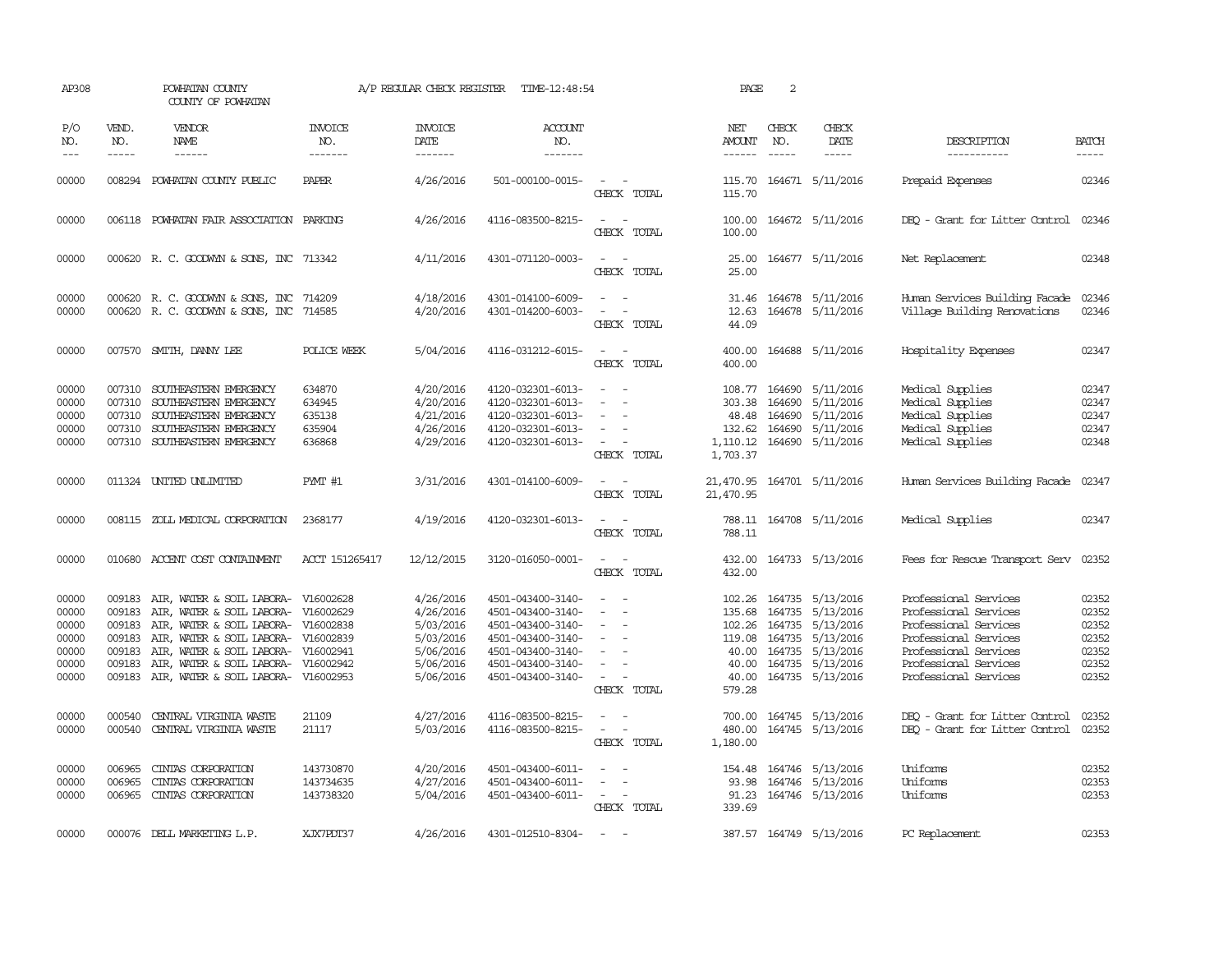| AP308                                                       |                                                          | POWHATAN COUNTY<br>COUNTY OF POWHATAN                                                                                                                                                                                              |                                                               | A/P REGULAR CHECK REGISTER                                                              | TIME-12:48:54                                                                                                                                   |                                                                                                                             | PAGE                                            | 2                                    |                                                                                                                                                              |                                                                                                                                                                             |                                                             |
|-------------------------------------------------------------|----------------------------------------------------------|------------------------------------------------------------------------------------------------------------------------------------------------------------------------------------------------------------------------------------|---------------------------------------------------------------|-----------------------------------------------------------------------------------------|-------------------------------------------------------------------------------------------------------------------------------------------------|-----------------------------------------------------------------------------------------------------------------------------|-------------------------------------------------|--------------------------------------|--------------------------------------------------------------------------------------------------------------------------------------------------------------|-----------------------------------------------------------------------------------------------------------------------------------------------------------------------------|-------------------------------------------------------------|
| P/O<br>NO.<br>$---$                                         | VEND.<br>NO.<br>$- - - - -$                              | VENDOR<br>NAME                                                                                                                                                                                                                     | <b>INVOICE</b><br>NO.<br>-------                              | <b>INVOICE</b><br>DATE<br>-------                                                       | <b>ACCOUNT</b><br>NO.<br>-------                                                                                                                |                                                                                                                             | NET<br><b>AMOUNT</b><br>------                  | CHECK<br>NO.<br>$\frac{1}{2}$        | CHECK<br>DATE<br>$- - - - -$                                                                                                                                 | DESCRIPTION<br>-----------                                                                                                                                                  | <b>BATCH</b><br>-----                                       |
| 00000                                                       | 008294                                                   | POWHATAN COUNTY PUBLIC                                                                                                                                                                                                             | <b>PAPER</b>                                                  | 4/26/2016                                                                               | 501-000100-0015-                                                                                                                                | $\sim$<br>CHECK TOTAL                                                                                                       | 115.70<br>115.70                                |                                      | 164671 5/11/2016                                                                                                                                             | Prepaid Expenses                                                                                                                                                            | 02346                                                       |
| 00000                                                       |                                                          | 006118 POWHATAN FAIR ASSOCIATION PARKING                                                                                                                                                                                           |                                                               | 4/26/2016                                                                               | 4116-083500-8215-                                                                                                                               | $\sim$ 10 $\sim$<br>$\sim$<br>CHECK TOTAL                                                                                   | 100.00<br>100.00                                |                                      | 164672 5/11/2016                                                                                                                                             | DEO - Grant for Litter Control                                                                                                                                              | 02346                                                       |
| 00000                                                       |                                                          | 000620 R. C. GOODWYN & SONS, INC 713342                                                                                                                                                                                            |                                                               | 4/11/2016                                                                               | 4301-071120-0003-                                                                                                                               | CHECK TOTAL                                                                                                                 | 25.00<br>25.00                                  |                                      | 164677 5/11/2016                                                                                                                                             | Net Replacement                                                                                                                                                             | 02348                                                       |
| 00000<br>00000                                              |                                                          | 000620 R.C. GOODWYN & SONS, INC 714209<br>000620 R. C. GOODWYN & SONS, INC 714585                                                                                                                                                  |                                                               | 4/18/2016<br>4/20/2016                                                                  | 4301-014100-6009-<br>4301-014200-6003-                                                                                                          | $\overline{\phantom{a}}$<br>CHECK TOTAL                                                                                     | 31.46<br>12.63<br>44.09                         |                                      | 164678 5/11/2016<br>164678 5/11/2016                                                                                                                         | Human Services Building Facade<br>Village Building Renovations                                                                                                              | 02346<br>02346                                              |
| 00000                                                       |                                                          | 007570 SMITH, DANNY LEE                                                                                                                                                                                                            | POLICE WEEK                                                   | 5/04/2016                                                                               | 4116-031212-6015-                                                                                                                               | CHECK TOTAL                                                                                                                 | 400.00<br>400.00                                |                                      | 164688 5/11/2016                                                                                                                                             | Hospitality Expenses                                                                                                                                                        | 02347                                                       |
| 00000<br>00000<br>00000<br>00000<br>00000                   | 007310<br>007310<br>007310<br>007310                     | SOUTHEASTERN EMERGENCY<br>SOUTHEASTERN EMERGENCY<br>SOUTHEASTERN EMERGENCY<br>SOUTHEASTERN EMERGENCY<br>007310 SOUTHEASTERN EMERGENCY                                                                                              | 634870<br>634945<br>635138<br>635904<br>636868                | 4/20/2016<br>4/20/2016<br>4/21/2016<br>4/26/2016<br>4/29/2016                           | 4120-032301-6013-<br>4120-032301-6013-<br>4120-032301-6013-<br>4120-032301-6013-<br>4120-032301-6013-                                           | $\equiv$<br>$\overline{\phantom{a}}$<br>$\sim$<br>CHECK TOTAL                                                               | 108.77<br>303.38<br>48.48<br>132.62<br>1,703.37 | 164690<br>164690<br>164690<br>164690 | 5/11/2016<br>5/11/2016<br>5/11/2016<br>5/11/2016<br>1,110.12 164690 5/11/2016                                                                                | Medical Supplies<br>Medical Supplies<br>Medical Supplies<br>Medical Supplies<br>Medical Supplies                                                                            | 02347<br>02347<br>02347<br>02347<br>02348                   |
| 00000                                                       |                                                          | 011324 UNITED UNLIMITED                                                                                                                                                                                                            | PYMT #1                                                       | 3/31/2016                                                                               | 4301-014100-6009-                                                                                                                               | $\frac{1}{2} \left( \frac{1}{2} \right) \left( \frac{1}{2} \right) = \frac{1}{2} \left( \frac{1}{2} \right)$<br>CHECK TOTAL | 21,470.95                                       |                                      | 21,470.95 164701 5/11/2016                                                                                                                                   | Human Services Building Facade                                                                                                                                              | 02347                                                       |
| 00000                                                       |                                                          | 008115 ZOLL MEDICAL CORPORATION                                                                                                                                                                                                    | 2368177                                                       | 4/19/2016                                                                               | 4120-032301-6013-                                                                                                                               | CHECK TOTAL                                                                                                                 | 788.11                                          |                                      | 788.11 164708 5/11/2016                                                                                                                                      | Medical Supplies                                                                                                                                                            | 02347                                                       |
| 00000                                                       |                                                          | 010680 ACCENT COST CONTAINMENT                                                                                                                                                                                                     | ACCT 151265417                                                | 12/12/2015                                                                              | 3120-016050-0001-                                                                                                                               | $\frac{1}{2} \left( \frac{1}{2} \right) \left( \frac{1}{2} \right) = \frac{1}{2} \left( \frac{1}{2} \right)$<br>CHECK TOTAL | 432.00                                          |                                      | 432.00 164733 5/13/2016                                                                                                                                      | Fees for Rescue Transport Serv                                                                                                                                              | 02352                                                       |
| 00000<br>00000<br>00000<br>00000<br>00000<br>00000<br>00000 | 009183<br>009183<br>009183<br>009183<br>009183<br>009183 | AIR, WATER & SOIL LABORA- V16002628<br>AIR, WATER & SOIL LABORA-<br>AIR, WATER & SOIL LABORA- V16002838<br>AIR, WATER & SOIL LABORA-<br>AIR, WATER & SOIL LABORA-<br>AIR, WATER & SOIL LABORA-<br>009183 AIR, WATER & SOIL LABORA- | V16002629<br>V16002839<br>V16002941<br>V16002942<br>V16002953 | 4/26/2016<br>4/26/2016<br>5/03/2016<br>5/03/2016<br>5/06/2016<br>5/06/2016<br>5/06/2016 | 4501-043400-3140-<br>4501-043400-3140-<br>4501-043400-3140-<br>4501-043400-3140-<br>4501-043400-3140-<br>4501-043400-3140-<br>4501-043400-3140- | $\overline{\phantom{a}}$<br>$\overline{\phantom{a}}$<br>$\overline{\phantom{a}}$<br>$\equiv$<br>CHECK TOTAL                 | 135.68<br>119.08<br>40.00<br>40.00<br>579.28    |                                      | 102.26 164735 5/13/2016<br>164735 5/13/2016<br>102.26 164735 5/13/2016<br>164735 5/13/2016<br>40.00 164735 5/13/2016<br>164735 5/13/2016<br>164735 5/13/2016 | Professional Services<br>Professional Services<br>Professional Services<br>Professional Services<br>Professional Services<br>Professional Services<br>Professional Services | 02352<br>02352<br>02352<br>02352<br>02352<br>02352<br>02352 |
| 00000<br>00000                                              | 000540<br>000540                                         | CENTRAL VIRGINIA WASTE<br>CENIRAL VIRGINIA WASTE                                                                                                                                                                                   | 21109<br>21117                                                | 4/27/2016<br>5/03/2016                                                                  | 4116-083500-8215-<br>4116-083500-8215-                                                                                                          | $\sim$<br>$\equiv$<br>$\overline{\phantom{a}}$<br>CHECK TOTAL                                                               | 700.00<br>480.00<br>1,180.00                    |                                      | 164745 5/13/2016<br>164745 5/13/2016                                                                                                                         | DEQ - Grant for Litter Control<br>DEQ - Grant for Litter Control                                                                                                            | 02352<br>02352                                              |
| 00000<br>00000<br>00000                                     | 006965<br>006965<br>006965                               | CINIAS CORPORATION<br>CINIAS CORPORATION<br>CINIAS CORPORATION                                                                                                                                                                     | 143730870<br>143734635<br>143738320                           | 4/20/2016<br>4/27/2016<br>5/04/2016                                                     | 4501-043400-6011-<br>4501-043400-6011-<br>4501-043400-6011-                                                                                     | $\sim$ 10 $\sim$<br>CHECK TOTAL                                                                                             | 93.98<br>91.23<br>339.69                        |                                      | 154.48 164746 5/13/2016<br>164746 5/13/2016<br>164746 5/13/2016                                                                                              | Uniforms<br>Uniforms<br>Uniforms                                                                                                                                            | 02352<br>02353<br>02353                                     |
| 00000                                                       |                                                          | 000076 DELL MARKETING L.P.                                                                                                                                                                                                         | XJX7PDT37                                                     | 4/26/2016                                                                               | 4301-012510-8304-                                                                                                                               | $\sim$                                                                                                                      |                                                 |                                      | 387.57 164749 5/13/2016                                                                                                                                      | PC Replacement                                                                                                                                                              | 02353                                                       |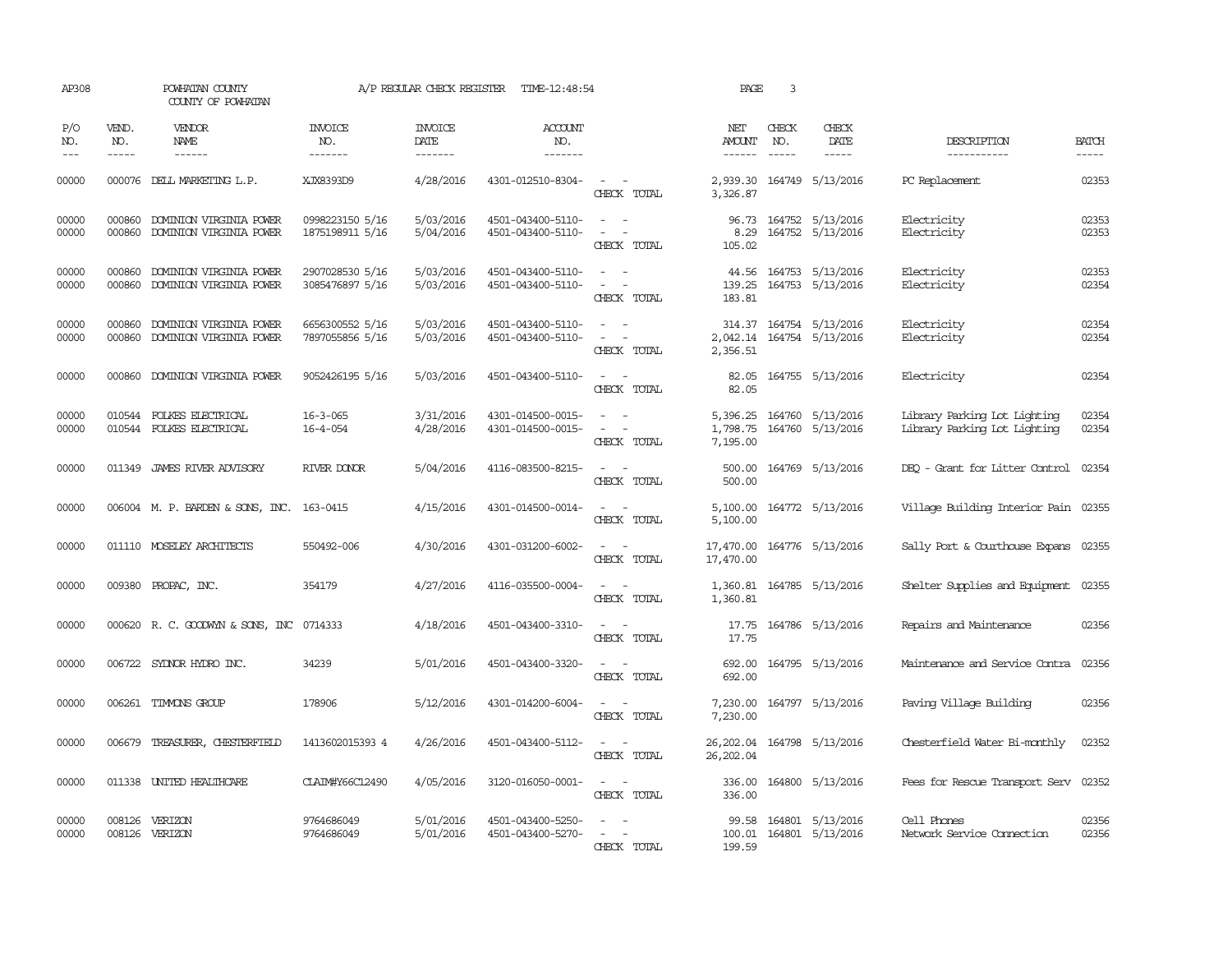| AP308               |                             | POWHATAN COUNTY<br>COUNTY OF POWHATAN                | A/P REGULAR CHECK REGISTER         | TIME-12:48:54                     | PAGE                                   | 3                                                                                                                                                                 |                                  |                             |                                             |                                                              |                             |
|---------------------|-----------------------------|------------------------------------------------------|------------------------------------|-----------------------------------|----------------------------------------|-------------------------------------------------------------------------------------------------------------------------------------------------------------------|----------------------------------|-----------------------------|---------------------------------------------|--------------------------------------------------------------|-----------------------------|
| P/O<br>NO.<br>$---$ | VEND.<br>NO.<br>$- - - - -$ | <b>VENDOR</b><br><b>NAME</b><br>$- - - - - -$        | <b>INVOICE</b><br>NO.<br>-------   | <b>INVOICE</b><br>DATE<br>------- | <b>ACCOUNT</b><br>NO.<br>-------       |                                                                                                                                                                   | NET<br>AMOUNT<br>$- - - - - -$   | CHECK<br>NO.<br>$- - - - -$ | CHECK<br>DATE<br>-----                      | DESCRIPTION<br>-----------                                   | <b>BATCH</b><br>$- - - - -$ |
| 00000               |                             | 000076 DELL MARKETING L.P.                           | XJX8393D9                          | 4/28/2016                         | 4301-012510-8304-                      | $\sim$ $\sim$<br>CHECK TOTAL                                                                                                                                      | 3,326.87                         |                             | 2,939.30 164749 5/13/2016                   | PC Replacement                                               | 02353                       |
| 00000<br>00000      | 000860<br>000860            | DOMINION VIRGINIA POWER<br>DOMINION VIRGINIA POWER   | 0998223150 5/16<br>1875198911 5/16 | 5/03/2016<br>5/04/2016            | 4501-043400-5110-<br>4501-043400-5110- | $\sim$<br>$\sim$<br>$\overline{\phantom{a}}$<br>$\overline{\phantom{a}}$<br>CHECK TOTAL                                                                           | 96.73<br>8.29<br>105.02          |                             | 164752 5/13/2016<br>164752 5/13/2016        | Electricity<br>Electricity                                   | 02353<br>02353              |
| 00000<br>00000      | 000860<br>000860            | DOMINION VIRGINIA POWER<br>DOMINION VIRGINIA POWER   | 2907028530 5/16<br>3085476897 5/16 | 5/03/2016<br>5/03/2016            | 4501-043400-5110-<br>4501-043400-5110- | $\equiv$<br>$\sim$<br>CHECK TOTAL                                                                                                                                 | 139.25<br>183.81                 |                             | 44.56 164753 5/13/2016<br>164753 5/13/2016  | Electricity<br>Electricity                                   | 02353<br>02354              |
| 00000<br>00000      | 000860<br>000860            | DOMINION VIRGINIA POWER<br>DOMINION VIRGINIA POWER   | 6656300552 5/16<br>7897055856 5/16 | 5/03/2016<br>5/03/2016            | 4501-043400-5110-<br>4501-043400-5110- | $\frac{1}{2} \left( \frac{1}{2} \right) \left( \frac{1}{2} \right) = \frac{1}{2} \left( \frac{1}{2} \right)$<br>$\overline{\phantom{a}}$<br>$\sim$<br>CHECK TOTAL | 2,042.14<br>2,356.51             |                             | 314.37 164754 5/13/2016<br>164754 5/13/2016 | Electricity<br>Electricity                                   | 02354<br>02354              |
| 00000               | 000860                      | DOMINION VIRGINIA POWER                              | 9052426195 5/16                    | 5/03/2016                         | 4501-043400-5110-                      | $\sim$ $ -$<br>CHECK TOTAL                                                                                                                                        | 82.05<br>82.05                   |                             | 164755 5/13/2016                            | Electricity                                                  | 02354                       |
| 00000<br>00000      |                             | 010544 FOLKES ELECTRICAL<br>010544 FOLKES ELECTRICAL | $16 - 3 - 065$<br>$16 - 4 - 054$   | 3/31/2016<br>4/28/2016            | 4301-014500-0015-<br>4301-014500-0015- | CHECK TOTAL                                                                                                                                                       | 5,396.25<br>1,798.75<br>7,195.00 |                             | 164760 5/13/2016<br>164760 5/13/2016        | Library Parking Lot Lighting<br>Library Parking Lot Lighting | 02354<br>02354              |
| 00000               |                             | 011349 JAMES RIVER ADVISORY                          | RIVER DONOR                        | 5/04/2016                         | 4116-083500-8215-                      | $\sim$ $\sim$<br>CHECK TOTAL                                                                                                                                      | 500.00<br>500.00                 |                             | 164769 5/13/2016                            | DEQ - Grant for Litter Control 02354                         |                             |
| 00000               |                             | 006004 M. P. BARDEN & SONS, INC. 163-0415            |                                    | 4/15/2016                         | 4301-014500-0014-                      | $\sim$<br>$\sim$<br>CHECK TOTAL                                                                                                                                   | 5,100.00<br>5,100.00             |                             | 164772 5/13/2016                            | Village Building Interior Pain 02355                         |                             |
| 00000               |                             | 011110 MOSELEY ARCHITECTS                            | 550492-006                         | 4/30/2016                         | 4301-031200-6002-                      | $\sim$<br>CHECK TOTAL                                                                                                                                             | 17,470.00<br>17,470.00           |                             | 164776 5/13/2016                            | Sally Port & Courthouse Expans 02355                         |                             |
| 00000               |                             | 009380 PROPAC, INC.                                  | 354179                             | 4/27/2016                         | 4116-035500-0004-                      | $\sim$ 100 $\sim$<br>CHECK TOTAL                                                                                                                                  | 1,360.81                         |                             | 1,360.81 164785 5/13/2016                   | Shelter Supplies and Equipment 02355                         |                             |
| 00000               |                             | 000620 R. C. GOODWYN & SONS, INC                     | 0714333                            | 4/18/2016                         | 4501-043400-3310-                      | $\sim$ $ \sim$<br>CHECK TOTAL                                                                                                                                     | 17.75<br>17.75                   |                             | 164786 5/13/2016                            | Repairs and Maintenance                                      | 02356                       |
| 00000               |                             | 006722 SYDNOR HYDRO INC.                             | 34239                              | 5/01/2016                         | 4501-043400-3320-                      | $\equiv$<br>$\sim$<br>CHECK TOTAL                                                                                                                                 | 692.00<br>692.00                 |                             | 164795 5/13/2016                            | Maintenance and Service Contra                               | 02356                       |
| 00000               |                             | 006261 TIMMONS GROUP                                 | 178906                             | 5/12/2016                         | 4301-014200-6004-                      | $\frac{1}{2} \left( \frac{1}{2} \right) \left( \frac{1}{2} \right) = \frac{1}{2} \left( \frac{1}{2} \right)$<br>CHECK TOTAL                                       | 7,230.00                         |                             | 7,230.00 164797 5/13/2016                   | Paving Village Building                                      | 02356                       |
| 00000               | 006679                      | TREASURER, CHESTERFIELD                              | 1413602015393 4                    | 4/26/2016                         | 4501-043400-5112-                      | $\sim$ 100 $\sim$<br>CHECK TOTAL                                                                                                                                  | 26,202.04<br>26,202.04           |                             | 164798 5/13/2016                            | Chesterfield Water Bi-monthly                                | 02352                       |
| 00000               | 011338                      | UNITED HEALTHCARE                                    | CLAIM#Y66C12490                    | 4/05/2016                         | 3120-016050-0001-                      | $\frac{1}{2} \left( \frac{1}{2} \right) \left( \frac{1}{2} \right) = \frac{1}{2} \left( \frac{1}{2} \right)$<br>CHECK TOTAL                                       | 336.00<br>336.00                 |                             | 164800 5/13/2016                            | Fees for Rescue Transport Serv                               | 02352                       |
| 00000<br>00000      | 008126                      | VERIZON<br>008126 VERIZON                            | 9764686049<br>9764686049           | 5/01/2016<br>5/01/2016            | 4501-043400-5250-<br>4501-043400-5270- | CHECK TOTAL                                                                                                                                                       | 99.58<br>100.01<br>199.59        |                             | 164801 5/13/2016<br>164801 5/13/2016        | Cell Phones<br>Network Service Connection                    | 02356<br>02356              |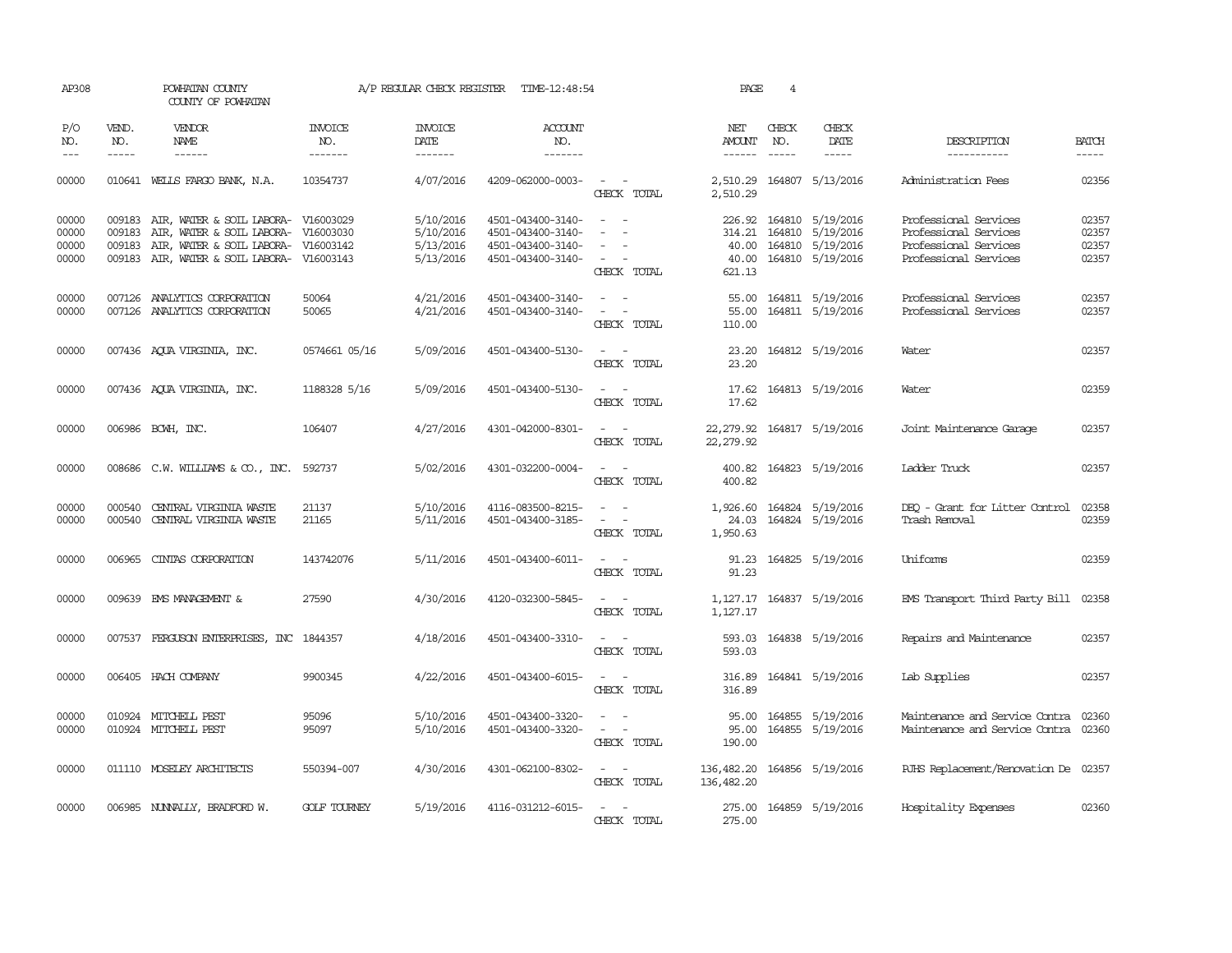| AP308                            | POWHATAN COUNTY<br>COUNTY OF POWHATAN |                                                                                                                                                                        | A/P REGULAR CHECK REGISTER<br>TIME-12:48:54 |                                                  |                                                                                  |                                                                                                                             | PAGE                                      | 4                             |                                                                                            |                                                                                                  |                                  |  |  |
|----------------------------------|---------------------------------------|------------------------------------------------------------------------------------------------------------------------------------------------------------------------|---------------------------------------------|--------------------------------------------------|----------------------------------------------------------------------------------|-----------------------------------------------------------------------------------------------------------------------------|-------------------------------------------|-------------------------------|--------------------------------------------------------------------------------------------|--------------------------------------------------------------------------------------------------|----------------------------------|--|--|
| P/O<br>NO.<br>$---$              | VEND.<br>NO.<br>$- - - - -$           | VENDOR<br>NAME<br>$- - - - - -$                                                                                                                                        | <b>INVOICE</b><br>NO.<br>-------            | INVOICE<br>DATE<br>-------                       | <b>ACCOUNT</b><br>NO.<br>-------                                                 |                                                                                                                             | NET<br>AMOUNT<br>$- - - - - -$            | CHECK<br>NO.<br>$\frac{1}{2}$ | CHECK<br>DATE<br>$- - - - -$                                                               | DESCRIPTION<br>-----------                                                                       | <b>BATCH</b><br>$- - - - -$      |  |  |
| 00000                            |                                       | 010641 WELLS FARGO BANK, N.A.                                                                                                                                          | 10354737                                    | 4/07/2016                                        | 4209-062000-0003-                                                                | $\sim$ $ -$<br>CHECK TOTAL                                                                                                  | 2,510.29<br>2,510.29                      |                               | 164807 5/13/2016                                                                           | Administration Fees                                                                              | 02356                            |  |  |
| 00000<br>00000<br>00000<br>00000 | 009183<br>009183                      | 009183 AIR, WATER & SOIL LABORA- V16003029<br>AIR, WATER & SOIL LABORA- V16003030<br>AIR, WATER & SOIL LABORA- V16003142<br>009183 AIR, WATER & SOIL LABORA- V16003143 |                                             | 5/10/2016<br>5/10/2016<br>5/13/2016<br>5/13/2016 | 4501-043400-3140-<br>4501-043400-3140-<br>4501-043400-3140-<br>4501-043400-3140- | $\sim$ $ -$<br>$\sim$<br>$\sim$ 100 $\sim$<br>CHECK TOTAL                                                                   | 40.00<br>40.00<br>621.13                  |                               | 226.92 164810 5/19/2016<br>314.21 164810 5/19/2016<br>164810 5/19/2016<br>164810 5/19/2016 | Professional Services<br>Professional Services<br>Professional Services<br>Professional Services | 02357<br>02357<br>02357<br>02357 |  |  |
| 00000<br>00000                   |                                       | 007126 ANALYTICS CORPORATION<br>007126 ANALYTICS CORPORATION                                                                                                           | 50064<br>50065                              | 4/21/2016<br>4/21/2016                           | 4501-043400-3140-<br>4501-043400-3140-                                           | $\sim$ $  -$<br>$\sim$ $ -$<br>CHECK TOTAL                                                                                  | 110.00                                    |                               | 55.00 164811 5/19/2016<br>55.00 164811 5/19/2016                                           | Professional Services<br>Professional Services                                                   | 02357<br>02357                   |  |  |
| 00000                            |                                       | 007436 AQUA VIRGINIA, INC.                                                                                                                                             | 0574661 05/16                               | 5/09/2016                                        | 4501-043400-5130-                                                                | $\sim$ $  -$<br>CHECK TOTAL                                                                                                 | 23.20<br>23.20                            |                               | 164812 5/19/2016                                                                           | Water                                                                                            | 02357                            |  |  |
| 00000                            |                                       | 007436 AQUA VIRGINIA, INC.                                                                                                                                             | 1188328 5/16                                | 5/09/2016                                        | 4501-043400-5130-                                                                | $\sim$ $ -$<br>CHECK TOTAL                                                                                                  | 17.62<br>17.62                            |                               | 164813 5/19/2016                                                                           | Water                                                                                            | 02359                            |  |  |
| 00000                            |                                       | 006986 BCWH, INC.                                                                                                                                                      | 106407                                      | 4/27/2016                                        | 4301-042000-8301-                                                                | $\sim$ $  -$<br>CHECK TOTAL                                                                                                 | 22, 279.92<br>22, 279.92                  |                               | 164817 5/19/2016                                                                           | Joint Maintenance Garage                                                                         | 02357                            |  |  |
| 00000                            |                                       | $008686$ C.W. WILLIAMS & CO., INC.                                                                                                                                     | 592737                                      | 5/02/2016                                        | 4301-032200-0004-                                                                | $\sim$<br>$\sim$<br>CHECK TOTAL                                                                                             | 400.82<br>400.82                          |                               | 164823 5/19/2016                                                                           | Ladder Truck                                                                                     | 02357                            |  |  |
| 00000<br>00000                   | 000540                                | CENTRAL VIRGINIA WASTE<br>000540 CENTRAL VIRGINIA WASTE                                                                                                                | 21137<br>21165                              | 5/10/2016<br>5/11/2016                           | 4116-083500-8215-<br>4501-043400-3185-                                           | $\sim$<br>CHECK TOTAL                                                                                                       | 1,926.60<br>1,950.63                      |                               | 164824 5/19/2016<br>24.03 164824 5/19/2016                                                 | DEO - Grant for Litter Control<br>Trash Removal                                                  | 02358<br>02359                   |  |  |
| 00000                            | 006965                                | CINIAS CORPORATION                                                                                                                                                     | 143742076                                   | 5/11/2016                                        | 4501-043400-6011-                                                                | $ -$<br>CHECK TOTAL                                                                                                         | 91.23                                     |                               | 91.23 164825 5/19/2016                                                                     | Uniforms                                                                                         | 02359                            |  |  |
| 00000                            |                                       | 009639 EMS MANAGEMENT &                                                                                                                                                | 27590                                       | 4/30/2016                                        | 4120-032300-5845-                                                                | $\frac{1}{2} \left( \frac{1}{2} \right) \left( \frac{1}{2} \right) = \frac{1}{2} \left( \frac{1}{2} \right)$<br>CHECK TOTAL | 1,127.17                                  |                               | 1, 127.17 164837 5/19/2016                                                                 | EMS Transport Third Party Bill 02358                                                             |                                  |  |  |
| 00000                            |                                       | 007537 FERGUSON ENTERPRISES, INC 1844357                                                                                                                               |                                             | 4/18/2016                                        | 4501-043400-3310-                                                                | $\sim$ $ -$<br>CHECK TOTAL                                                                                                  | 593.03                                    |                               | 593.03 164838 5/19/2016                                                                    | Repairs and Maintenance                                                                          | 02357                            |  |  |
| 00000                            |                                       | 006405 HACH COMPANY                                                                                                                                                    | 9900345                                     | 4/22/2016                                        | 4501-043400-6015-                                                                | $\sim$ 100 $\sim$<br>CHECK TOTAL                                                                                            | 316.89<br>316.89                          |                               | 164841 5/19/2016                                                                           | Lab Supplies                                                                                     | 02357                            |  |  |
| 00000<br>00000                   |                                       | 010924 MITCHELL PEST<br>010924 MITCHELL PEST                                                                                                                           | 95096<br>95097                              | 5/10/2016<br>5/10/2016                           | 4501-043400-3320-<br>4501-043400-3320-                                           | $\sim$ $ \sim$<br>CHECK TOTAL                                                                                               | 95.00<br>95.00<br>190.00                  |                               | 164855 5/19/2016<br>164855 5/19/2016                                                       | Maintenance and Service Contra<br>Maintenance and Service Contra 02360                           | 02360                            |  |  |
| 00000                            |                                       | 011110 MOSELEY ARCHITECTS                                                                                                                                              | 550394-007                                  | 4/30/2016                                        | 4301-062100-8302-                                                                | $\sim$ $ -$<br>CHECK TOTAL                                                                                                  | 136,482.20 164856 5/19/2016<br>136,482.20 |                               |                                                                                            | RJHS Replacement/Renovation De 02357                                                             |                                  |  |  |
| 00000                            |                                       | 006985 NUNNALLY, BRADFORD W.                                                                                                                                           | <b>GOLF TOURNEY</b>                         | 5/19/2016                                        | 4116-031212-6015-                                                                | $\sim$ $  -$<br>CHECK TOTAL                                                                                                 | 275.00                                    |                               | 275.00 164859 5/19/2016                                                                    | Hospitality Expenses                                                                             | 02360                            |  |  |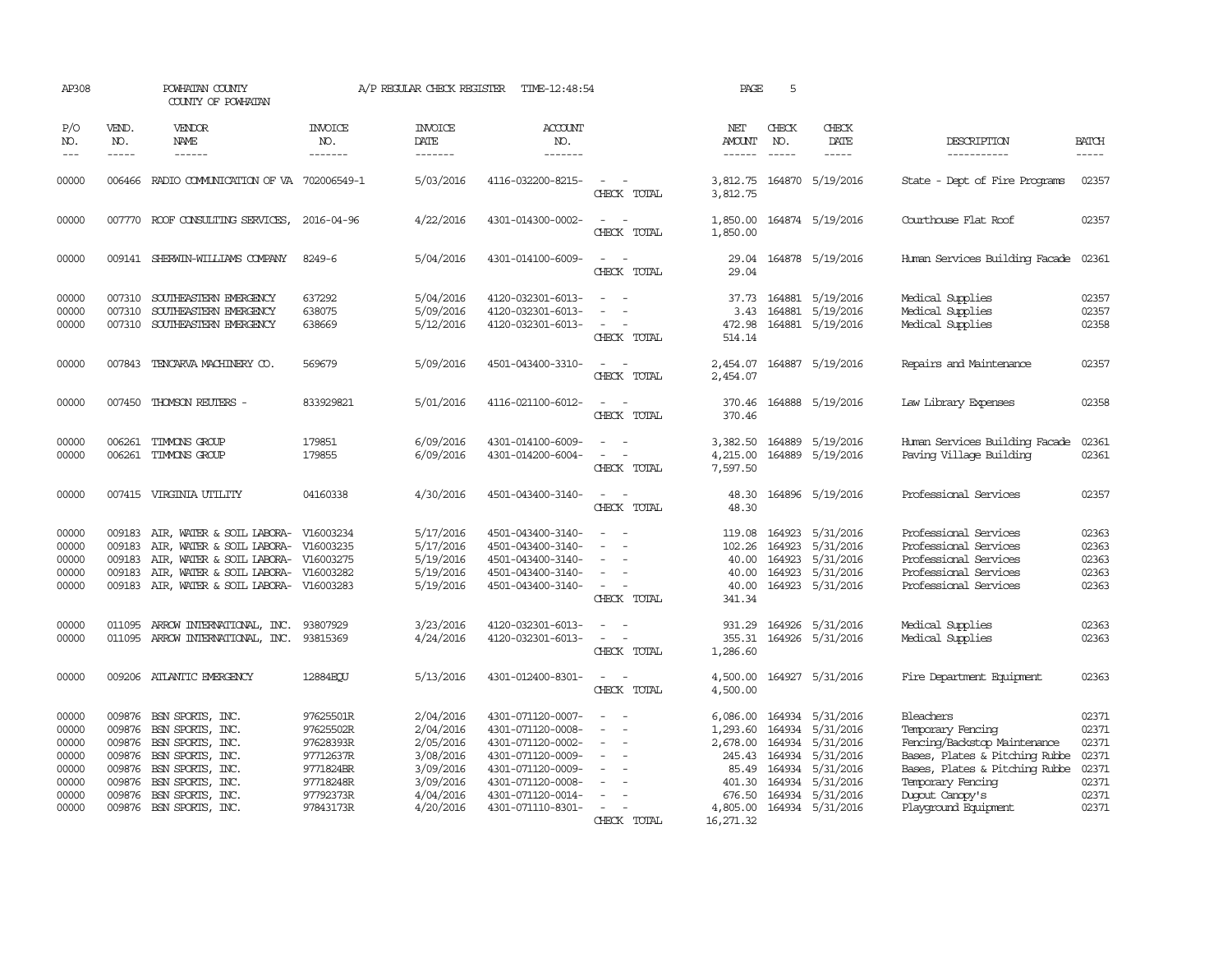| AP308                                                                |                                      | POWHATAN COUNTY<br>COUNTY OF POWHATAN                                                                                                                                                                                                                                                                                                                                                                                                                                                               |                                                                                                      | A/P REGULAR CHECK REGISTER                                                                           | TIME-12:48:54                                                                                                                                                        |                                                                                                                         | PAGE                                                                                    | 5                                                    |                                                                                                                           |                                                                                                                                                                                                    |                                                                      |
|----------------------------------------------------------------------|--------------------------------------|-----------------------------------------------------------------------------------------------------------------------------------------------------------------------------------------------------------------------------------------------------------------------------------------------------------------------------------------------------------------------------------------------------------------------------------------------------------------------------------------------------|------------------------------------------------------------------------------------------------------|------------------------------------------------------------------------------------------------------|----------------------------------------------------------------------------------------------------------------------------------------------------------------------|-------------------------------------------------------------------------------------------------------------------------|-----------------------------------------------------------------------------------------|------------------------------------------------------|---------------------------------------------------------------------------------------------------------------------------|----------------------------------------------------------------------------------------------------------------------------------------------------------------------------------------------------|----------------------------------------------------------------------|
| P/O<br>NO.<br>$---$                                                  | VEND.<br>NO.<br>$\frac{1}{2}$        | VENDOR<br><b>NAME</b><br>$\frac{1}{2} \left( \frac{1}{2} \right) \left( \frac{1}{2} \right) \left( \frac{1}{2} \right) \left( \frac{1}{2} \right) \left( \frac{1}{2} \right) \left( \frac{1}{2} \right) \left( \frac{1}{2} \right) \left( \frac{1}{2} \right) \left( \frac{1}{2} \right) \left( \frac{1}{2} \right) \left( \frac{1}{2} \right) \left( \frac{1}{2} \right) \left( \frac{1}{2} \right) \left( \frac{1}{2} \right) \left( \frac{1}{2} \right) \left( \frac{1}{2} \right) \left( \frac$ | INVOICE<br>NO.<br>-------                                                                            | <b>INVOICE</b><br>DATE<br>-------                                                                    | <b>ACCOUNT</b><br>NO.<br>-------                                                                                                                                     |                                                                                                                         | NET<br><b>AMOUNT</b>                                                                    | CHECK<br>NO.<br>$- - - - -$                          | CHECK<br>DATE<br>$- - - - -$                                                                                              | DESCRIPTION<br>-----------                                                                                                                                                                         | <b>BATCH</b><br>$- - - - -$                                          |
| 00000                                                                | 006466                               | RADIO COMMUNICATION OF VA 702006549-1                                                                                                                                                                                                                                                                                                                                                                                                                                                               |                                                                                                      | 5/03/2016                                                                                            | 4116-032200-8215-                                                                                                                                                    | CHECK TOTAL                                                                                                             | 3,812.75<br>3,812.75                                                                    |                                                      | 164870 5/19/2016                                                                                                          | State - Dept of Fire Programs                                                                                                                                                                      | 02357                                                                |
| 00000                                                                |                                      | 007770 ROOF CONSULTING SERVICES,                                                                                                                                                                                                                                                                                                                                                                                                                                                                    | 2016-04-96                                                                                           | 4/22/2016                                                                                            | 4301-014300-0002-                                                                                                                                                    | CHECK TOTAL                                                                                                             | 1,850.00<br>1,850.00                                                                    |                                                      | 164874 5/19/2016                                                                                                          | Courthouse Flat Roof                                                                                                                                                                               | 02357                                                                |
| 00000                                                                |                                      | 009141 SHERWIN-WILLIAMS COMPANY                                                                                                                                                                                                                                                                                                                                                                                                                                                                     | 8249-6                                                                                               | 5/04/2016                                                                                            | 4301-014100-6009-                                                                                                                                                    | $\sim$<br>CHECK TOTAL                                                                                                   | 29.04<br>29.04                                                                          |                                                      | 164878 5/19/2016                                                                                                          | Human Services Building Facade                                                                                                                                                                     | 02361                                                                |
| 00000<br>00000<br>00000                                              | 007310                               | 007310 SOUTHEASTERN EMERGENCY<br>SOUTHEASTERN EMERGENCY<br>007310 SOUTHEASTERN EMERGENCY                                                                                                                                                                                                                                                                                                                                                                                                            | 637292<br>638075<br>638669                                                                           | 5/04/2016<br>5/09/2016<br>5/12/2016                                                                  | 4120-032301-6013-<br>4120-032301-6013-<br>4120-032301-6013-                                                                                                          | CHECK TOTAL                                                                                                             | 3.43<br>472.98<br>514.14                                                                | 164881                                               | 37.73 164881 5/19/2016<br>5/19/2016<br>164881 5/19/2016                                                                   | Medical Supplies<br>Medical Supplies<br>Medical Supplies                                                                                                                                           | 02357<br>02357<br>02358                                              |
| 00000                                                                |                                      | 007843 TENCARVA MACHINERY CO.                                                                                                                                                                                                                                                                                                                                                                                                                                                                       | 569679                                                                                               | 5/09/2016                                                                                            | 4501-043400-3310-                                                                                                                                                    | $\overline{\phantom{a}}$<br>CHECK TOTAL                                                                                 | 2,454.07                                                                                |                                                      | 2,454.07 164887 5/19/2016                                                                                                 | Repairs and Maintenance                                                                                                                                                                            | 02357                                                                |
| 00000                                                                |                                      | 007450 THOMSON REUTERS -                                                                                                                                                                                                                                                                                                                                                                                                                                                                            | 833929821                                                                                            | 5/01/2016                                                                                            | 4116-021100-6012-                                                                                                                                                    | CHECK TOTAL                                                                                                             | 370.46                                                                                  |                                                      | 370.46 164888 5/19/2016                                                                                                   | Law Library Expenses                                                                                                                                                                               | 02358                                                                |
| 00000<br>00000                                                       |                                      | 006261 TIMMONS GROUP<br>006261 TIMMONS GROUP                                                                                                                                                                                                                                                                                                                                                                                                                                                        | 179851<br>179855                                                                                     | 6/09/2016<br>6/09/2016                                                                               | 4301-014100-6009-<br>4301-014200-6004-                                                                                                                               | $\sim$ $-$<br>CHECK TOTAL                                                                                               | 3,382.50<br>4,215.00<br>7,597.50                                                        |                                                      | 164889 5/19/2016<br>164889 5/19/2016                                                                                      | Human Services Building Facade<br>Paving Village Building                                                                                                                                          | 02361<br>02361                                                       |
| 00000                                                                |                                      | 007415 VIRGINIA UTILITY                                                                                                                                                                                                                                                                                                                                                                                                                                                                             | 04160338                                                                                             | 4/30/2016                                                                                            | 4501-043400-3140-                                                                                                                                                    | $\sim$ $  -$<br>CHECK TOTAL                                                                                             | 48.30<br>48.30                                                                          |                                                      | 164896 5/19/2016                                                                                                          | Professional Services                                                                                                                                                                              | 02357                                                                |
| 00000<br>00000<br>00000<br>00000<br>00000                            | 009183<br>009183<br>009183<br>009183 | AIR, WATER & SOIL LABORA- V16003234<br>AIR, WATER & SOIL LABORA-<br>AIR, WATER & SOIL LABORA-<br>AIR, WATER & SOIL LABORA-<br>009183 AIR, WATER & SOIL LABORA- V16003283                                                                                                                                                                                                                                                                                                                            | V16003235<br>V16003275<br>V16003282                                                                  | 5/17/2016<br>5/17/2016<br>5/19/2016<br>5/19/2016<br>5/19/2016                                        | 4501-043400-3140-<br>4501-043400-3140-<br>4501-043400-3140-<br>4501-043400-3140-<br>4501-043400-3140-                                                                | $\sim$<br>CHECK TOTAL                                                                                                   | 119.08<br>102.26<br>40.00<br>40.00<br>40.00<br>341.34                                   | 164923<br>164923<br>164923                           | 164923 5/31/2016<br>5/31/2016<br>5/31/2016<br>5/31/2016<br>164923 5/31/2016                                               | Professional Services<br>Professional Services<br>Professional Services<br>Professional Services<br>Professional Services                                                                          | 02363<br>02363<br>02363<br>02363<br>02363                            |
| 00000<br>00000                                                       | 011095                               | ARROW INTERNATIONAL, INC.<br>011095 ARROW INTERNATIONAL, INC.                                                                                                                                                                                                                                                                                                                                                                                                                                       | 93807929<br>93815369                                                                                 | 3/23/2016<br>4/24/2016                                                                               | 4120-032301-6013-<br>4120-032301-6013-                                                                                                                               | $\sim$<br>$\overline{\phantom{a}}$<br>CHECK TOTAL                                                                       | 931.29<br>355.31<br>1,286.60                                                            |                                                      | 164926 5/31/2016<br>164926 5/31/2016                                                                                      | Medical Supplies<br>Medical Supplies                                                                                                                                                               | 02363<br>02363                                                       |
| 00000                                                                |                                      | 009206 ATLANTIC EMERGENCY                                                                                                                                                                                                                                                                                                                                                                                                                                                                           | 12884ECU                                                                                             | 5/13/2016                                                                                            | 4301-012400-8301-                                                                                                                                                    | $\sim$<br>$\sim$<br>CHECK TOTAL                                                                                         | 4,500.00<br>4,500.00                                                                    |                                                      | 164927 5/31/2016                                                                                                          | Fire Department Equipment                                                                                                                                                                          | 02363                                                                |
| 00000<br>00000<br>00000<br>00000<br>00000<br>00000<br>00000<br>00000 | 009876<br>009876<br>009876           | 009876 BSN SPORTS, INC.<br>BSN SPORTS, INC.<br>009876 BSN SPORTS, INC.<br>009876 BSN SPORTS, INC.<br>BSN SPORTS, INC.<br>009876 BSN SPORTS, INC.<br>BSN SPORTS, INC.<br>009876 BSN SPORTS, INC.                                                                                                                                                                                                                                                                                                     | 97625501R<br>97625502R<br>97628393R<br>97712637R<br>9771824BR<br>97718248R<br>97792373R<br>97843173R | 2/04/2016<br>2/04/2016<br>2/05/2016<br>3/08/2016<br>3/09/2016<br>3/09/2016<br>4/04/2016<br>4/20/2016 | 4301-071120-0007-<br>4301-071120-0008-<br>4301-071120-0002-<br>4301-071120-0009-<br>4301-071120-0009-<br>4301-071120-0008-<br>4301-071120-0014-<br>4301-071110-8301- | $\equiv$<br>$\overline{\phantom{a}}$<br>$\overline{\phantom{a}}$<br>$\equiv$<br>$\overline{\phantom{a}}$<br>CHECK TOTAL | 6,086.00<br>1,293.60<br>2,678.00<br>245.43<br>401.30<br>676.50<br>4,805.00<br>16,271.32 | 164934<br>164934<br>164934<br>85.49 164934<br>164934 | 164934 5/31/2016<br>5/31/2016<br>5/31/2016<br>5/31/2016<br>5/31/2016<br>164934 5/31/2016<br>5/31/2016<br>164934 5/31/2016 | Bleachers<br>Temporary Fencing<br>Fencing/Backstop Maintenance<br>Bases, Plates & Pitching Rubbe<br>Bases, Plates & Pitching Rubbe<br>Temporary Fencing<br>Duqout Canopy's<br>Playground Equipment | 02371<br>02371<br>02371<br>02371<br>02371<br>02371<br>02371<br>02371 |